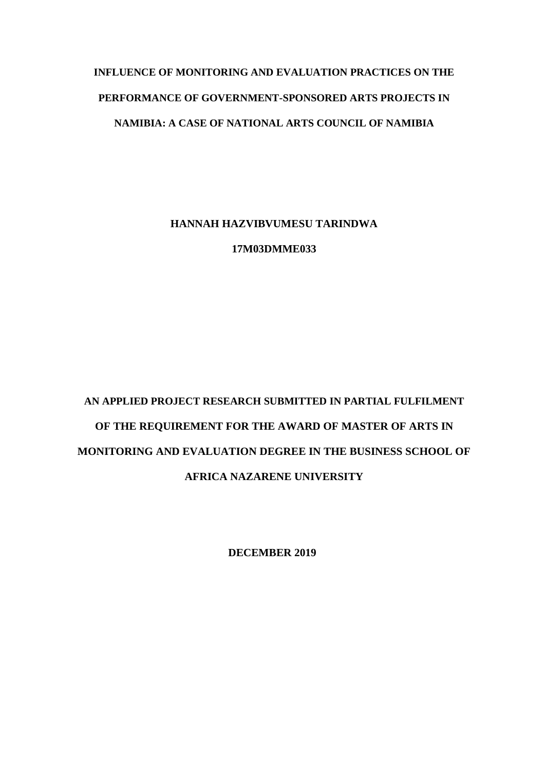# **INFLUENCE OF MONITORING AND EVALUATION PRACTICES ON THE PERFORMANCE OF GOVERNMENT-SPONSORED ARTS PROJECTS IN NAMIBIA: A CASE OF NATIONAL ARTS COUNCIL OF NAMIBIA**

**HANNAH HAZVIBVUMESU TARINDWA**

**17M03DMME033**

# **AN APPLIED PROJECT RESEARCH SUBMITTED IN PARTIAL FULFILMENT OF THE REQUIREMENT FOR THE AWARD OF MASTER OF ARTS IN MONITORING AND EVALUATION DEGREE IN THE BUSINESS SCHOOL OF AFRICA NAZARENE UNIVERSITY**

**DECEMBER 2019**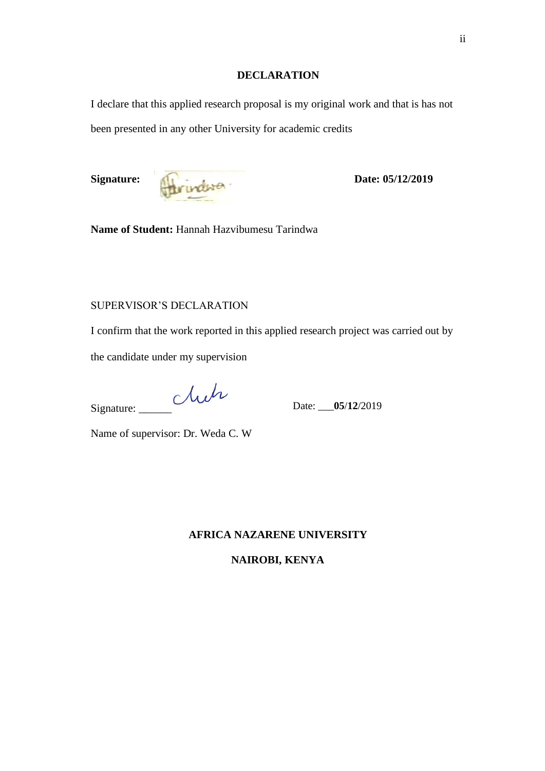#### **DECLARATION**

<span id="page-1-0"></span>I declare that this applied research proposal is my original work and that is has not been presented in any other University for academic credits



**Name of Student:** Hannah Hazvibumesu Tarindwa

### SUPERVISOR'S DECLARATION

I confirm that the work reported in this applied research project was carried out by

the candidate under my supervision

Signature: Und

Date: \_\_\_**05**/**12**/2019

Name of supervisor: Dr. Weda C. W

#### **AFRICA NAZARENE UNIVERSITY**

**NAIROBI, KENYA**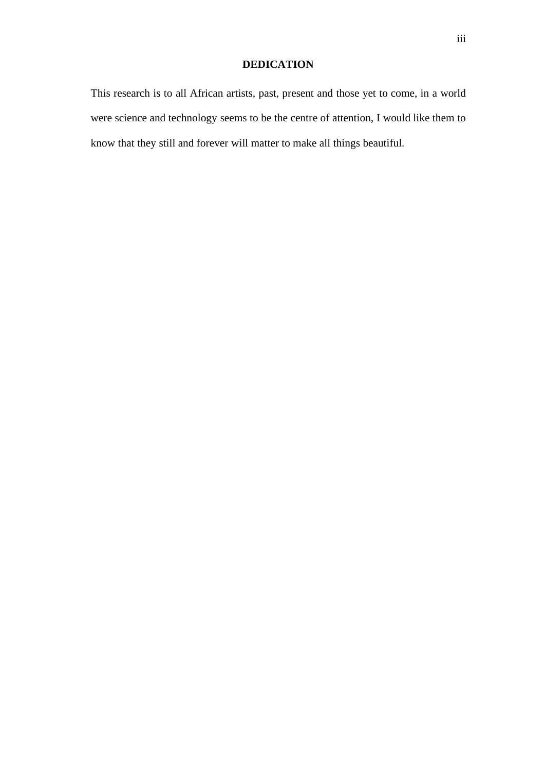## **DEDICATION**

<span id="page-2-0"></span>This research is to all African artists, past, present and those yet to come, in a world were science and technology seems to be the centre of attention, I would like them to know that they still and forever will matter to make all things beautiful.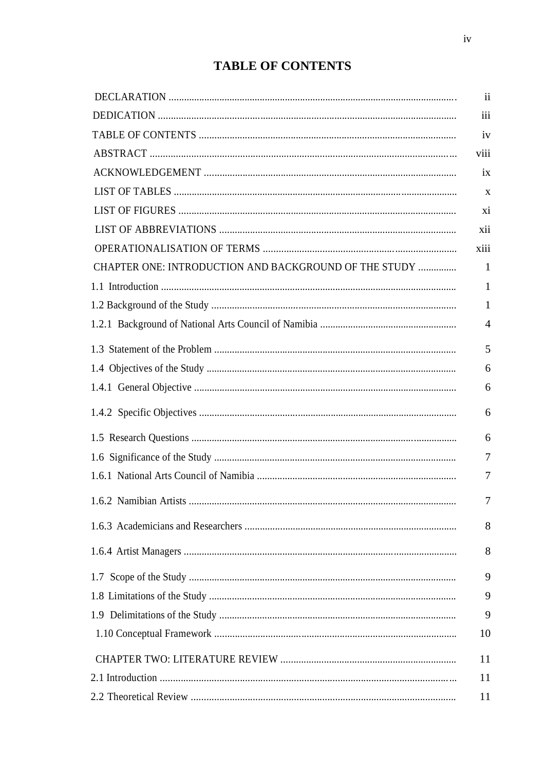## **TABLE OF CONTENTS**

<span id="page-3-0"></span>

| CHAPTER ONE: INTRODUCTION AND BACKGROUND OF THE STUDY |
|-------------------------------------------------------|
|                                                       |
|                                                       |
|                                                       |
|                                                       |
|                                                       |
|                                                       |
|                                                       |
|                                                       |
|                                                       |
|                                                       |
|                                                       |
|                                                       |
|                                                       |
|                                                       |
|                                                       |
|                                                       |
|                                                       |
|                                                       |
|                                                       |
|                                                       |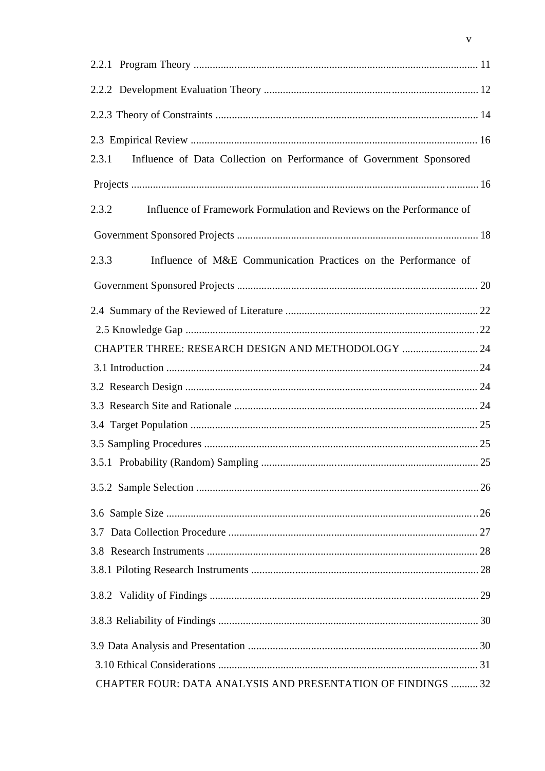| Influence of Data Collection on Performance of Government Sponsored<br>2.3.1  |  |
|-------------------------------------------------------------------------------|--|
|                                                                               |  |
| 2.3.2<br>Influence of Framework Formulation and Reviews on the Performance of |  |
|                                                                               |  |
| 2.3.3<br>Influence of M&E Communication Practices on the Performance of       |  |
|                                                                               |  |
|                                                                               |  |
|                                                                               |  |
| CHAPTER THREE: RESEARCH DESIGN AND METHODOLOGY  24                            |  |
|                                                                               |  |
|                                                                               |  |
|                                                                               |  |
|                                                                               |  |
|                                                                               |  |
|                                                                               |  |
|                                                                               |  |
|                                                                               |  |
|                                                                               |  |
|                                                                               |  |
|                                                                               |  |
|                                                                               |  |
|                                                                               |  |
|                                                                               |  |
|                                                                               |  |
| CHAPTER FOUR: DATA ANALYSIS AND PRESENTATION OF FINDINGS  32                  |  |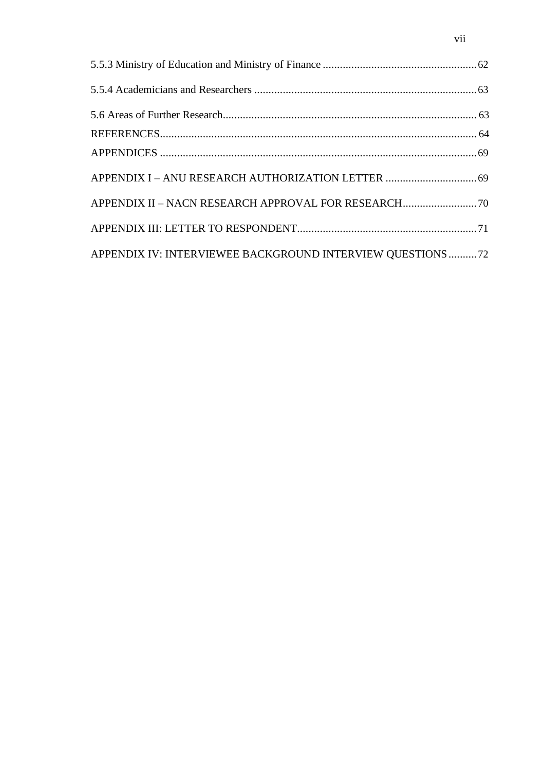| APPENDIX IV: INTERVIEWEE BACKGROUND INTERVIEW QUESTIONS 72 |  |
|------------------------------------------------------------|--|

vii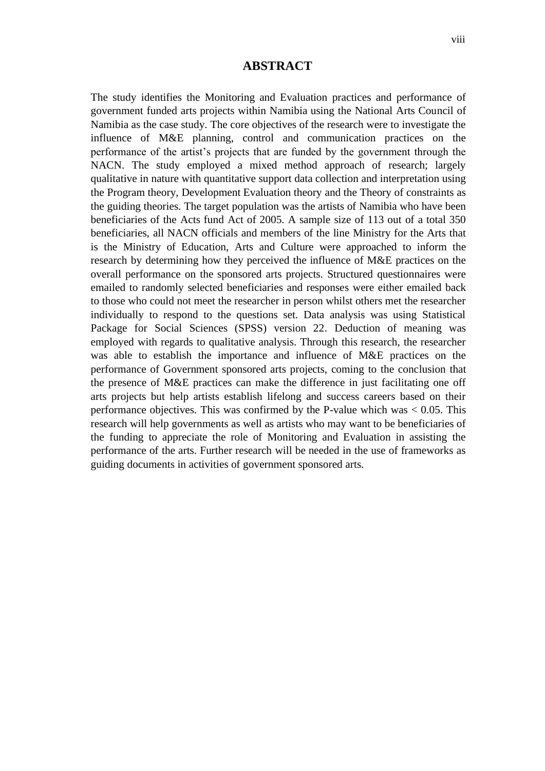### **ABSTRACT**

<span id="page-7-0"></span>The study identifies the Monitoring and Evaluation practices and performance of government funded arts projects within Namibia using the National Arts Council of Namibia as the case study. The core objectives of the research were to investigate the influence of M&E planning, control and communication practices on the performance of the artist's projects that are funded by the government through the NACN. The study employed a mixed method approach of research; largely qualitative in nature with quantitative support data collection and interpretation using the Program theory, Development Evaluation theory and the Theory of constraints as the guiding theories. The target population was the artists of Namibia who have been beneficiaries of the Acts fund Act of 2005. A sample size of 113 out of a total 350 beneficiaries, all NACN officials and members of the line Ministry for the Arts that is the Ministry of Education, Arts and Culture were approached to inform the research by determining how they perceived the influence of M&E practices on the overall performance on the sponsored arts projects. Structured questionnaires were emailed to randomly selected beneficiaries and responses were either emailed back to those who could not meet the researcher in person whilst others met the researcher individually to respond to the questions set. Data analysis was using Statistical Package for Social Sciences (SPSS) version 22. Deduction of meaning was employed with regards to qualitative analysis. Through this research, the researcher was able to establish the importance and influence of M&E practices on the performance of Government sponsored arts projects, coming to the conclusion that the presence of M&E practices can make the difference in just facilitating one off arts projects but help artists establish lifelong and success careers based on their performance objectives. This was confirmed by the P-value which was  $< 0.05$ . This research will help governments as well as artists who may want to be beneficiaries of the funding to appreciate the role of Monitoring and Evaluation in assisting the performance of the arts. Further research will be needed in the use of frameworks as guiding documents in activities of government sponsored arts.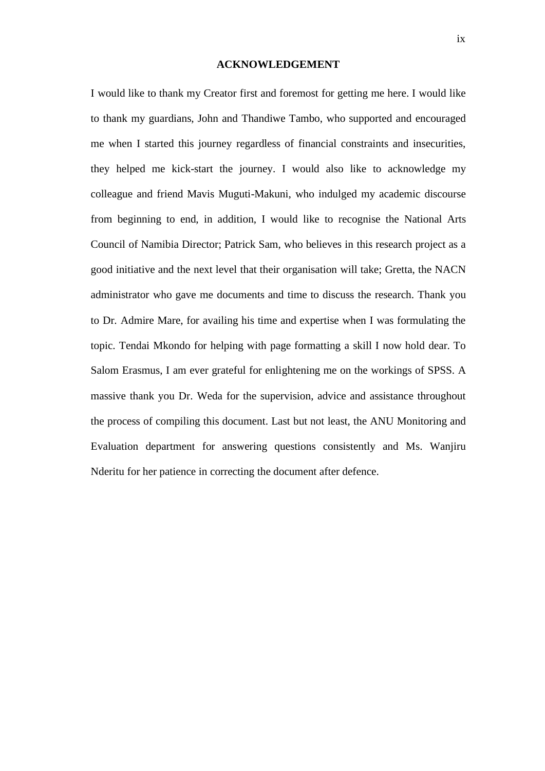#### **ACKNOWLEDGEMENT**

<span id="page-8-0"></span>I would like to thank my Creator first and foremost for getting me here. I would like to thank my guardians, John and Thandiwe Tambo, who supported and encouraged me when I started this journey regardless of financial constraints and insecurities, they helped me kick-start the journey. I would also like to acknowledge my colleague and friend Mavis Muguti-Makuni, who indulged my academic discourse from beginning to end, in addition, I would like to recognise the National Arts Council of Namibia Director; Patrick Sam, who believes in this research project as a good initiative and the next level that their organisation will take; Gretta, the NACN administrator who gave me documents and time to discuss the research. Thank you to Dr. Admire Mare, for availing his time and expertise when I was formulating the topic. Tendai Mkondo for helping with page formatting a skill I now hold dear. To Salom Erasmus, I am ever grateful for enlightening me on the workings of SPSS. A massive thank you Dr. Weda for the supervision, advice and assistance throughout the process of compiling this document. Last but not least, the ANU Monitoring and Evaluation department for answering questions consistently and Ms. Wanjiru Nderitu for her patience in correcting the document after defence.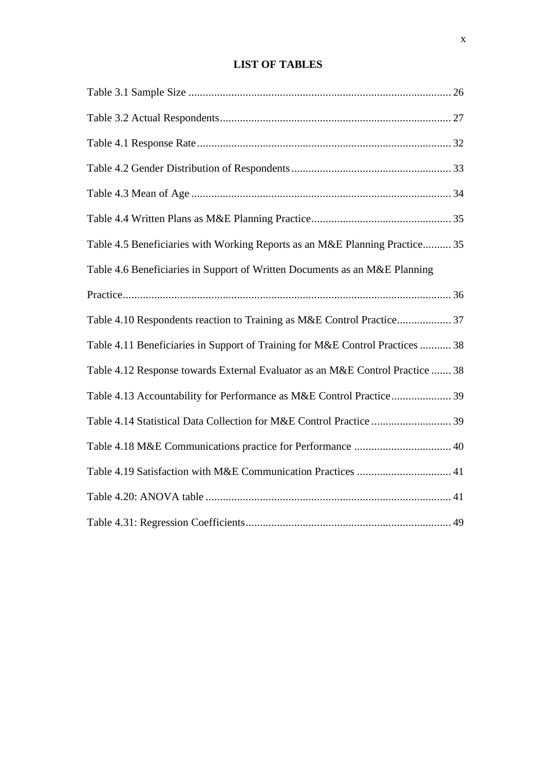## **LIST OF TABLES**

<span id="page-9-0"></span>

| Table 4.5 Beneficiaries with Working Reports as an M&E Planning Practice 35   |
|-------------------------------------------------------------------------------|
| Table 4.6 Beneficiaries in Support of Written Documents as an M&E Planning    |
|                                                                               |
| Table 4.10 Respondents reaction to Training as M&E Control Practice 37        |
| Table 4.11 Beneficiaries in Support of Training for M&E Control Practices  38 |
| Table 4.12 Response towards External Evaluator as an M&E Control Practice  38 |
| Table 4.13 Accountability for Performance as M&E Control Practice 39          |
| Table 4.14 Statistical Data Collection for M&E Control Practice  39           |
|                                                                               |
|                                                                               |
|                                                                               |
|                                                                               |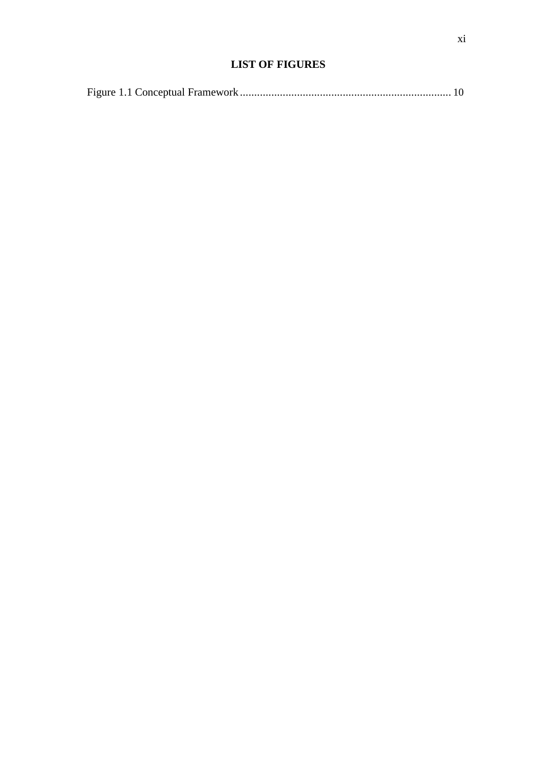## **LIST OF FIGURES**

<span id="page-10-0"></span>

|--|--|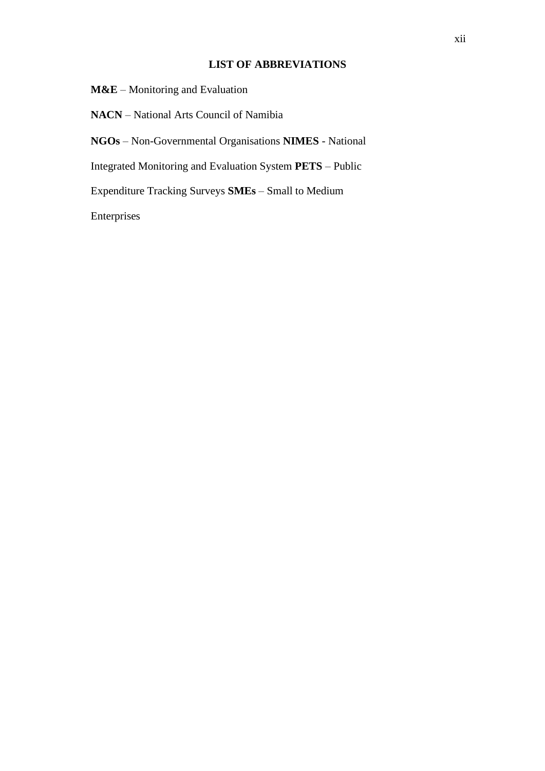#### **LIST OF ABBREVIATIONS**

<span id="page-11-0"></span>**M&E** – Monitoring and Evaluation

**NACN** – National Arts Council of Namibia

**NGOs** – Non-Governmental Organisations **NIMES** - National

Integrated Monitoring and Evaluation System **PETS** – Public

Expenditure Tracking Surveys **SMEs** – Small to Medium

Enterprises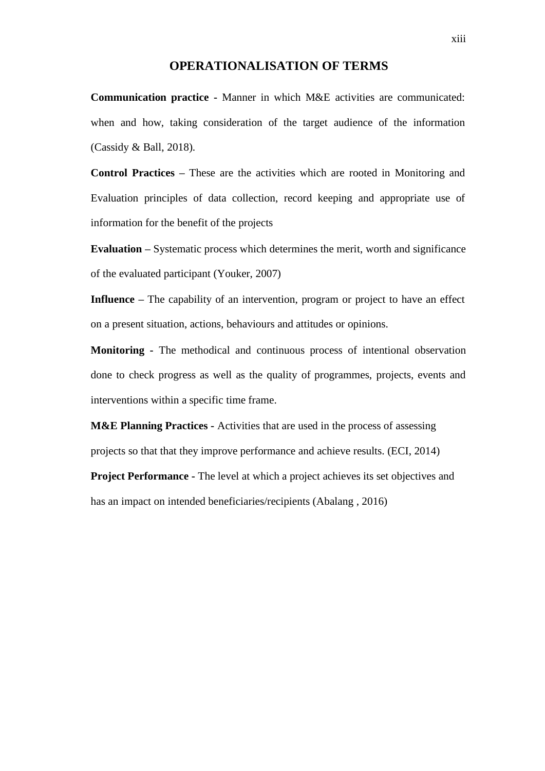## **OPERATIONALISATION OF TERMS**

<span id="page-12-0"></span>**Communication practice -** Manner in which M&E activities are communicated: when and how, taking consideration of the target audience of the information (Cassidy & Ball, 2018).

**Control Practices –** These are the activities which are rooted in Monitoring and Evaluation principles of data collection, record keeping and appropriate use of information for the benefit of the projects

**Evaluation –** Systematic process which determines the merit, worth and significance of the evaluated participant (Youker, 2007)

**Influence** – The capability of an intervention, program or project to have an effect on a present situation, actions, behaviours and attitudes or opinions.

**Monitoring -** The methodical and continuous process of intentional observation done to check progress as well as the quality of programmes, projects, events and interventions within a specific time frame.

**M&E Planning Practices -** Activities that are used in the process of assessing projects so that that they improve performance and achieve results. (ECI, 2014)

**Project Performance -** The level at which a project achieves its set objectives and has an impact on intended beneficiaries/recipients (Abalang , 2016)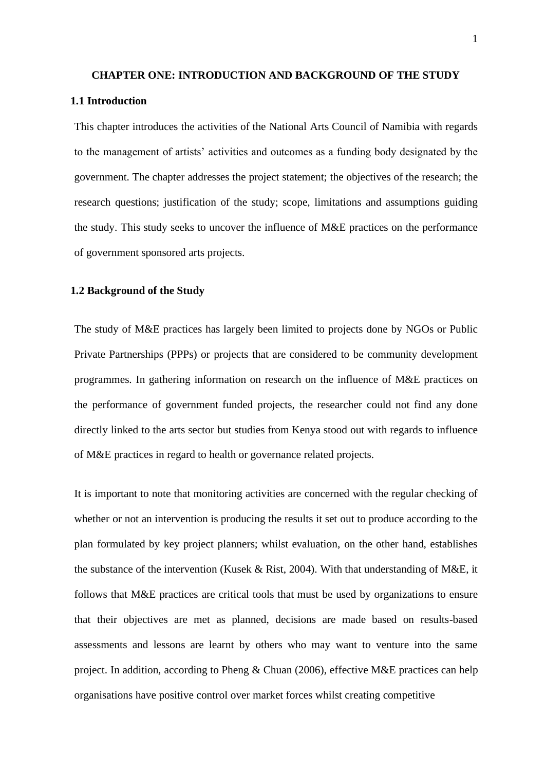#### <span id="page-13-0"></span>**CHAPTER ONE: INTRODUCTION AND BACKGROUND OF THE STUDY**

#### **1.1 Introduction**

This chapter introduces the activities of the National Arts Council of Namibia with regards to the management of artists' activities and outcomes as a funding body designated by the government. The chapter addresses the project statement; the objectives of the research; the research questions; justification of the study; scope, limitations and assumptions guiding the study. This study seeks to uncover the influence of M&E practices on the performance of government sponsored arts projects.

#### **1.2 Background of the Study**

The study of M&E practices has largely been limited to projects done by NGOs or Public Private Partnerships (PPPs) or projects that are considered to be community development programmes. In gathering information on research on the influence of M&E practices on the performance of government funded projects, the researcher could not find any done directly linked to the arts sector but studies from Kenya stood out with regards to influence of M&E practices in regard to health or governance related projects.

It is important to note that monitoring activities are concerned with the regular checking of whether or not an intervention is producing the results it set out to produce according to the plan formulated by key project planners; whilst evaluation, on the other hand, establishes the substance of the intervention (Kusek & Rist, 2004). With that understanding of M&E, it follows that M&E practices are critical tools that must be used by organizations to ensure that their objectives are met as planned, decisions are made based on results-based assessments and lessons are learnt by others who may want to venture into the same project. In addition, according to Pheng & Chuan (2006), effective M&E practices can help organisations have positive control over market forces whilst creating competitive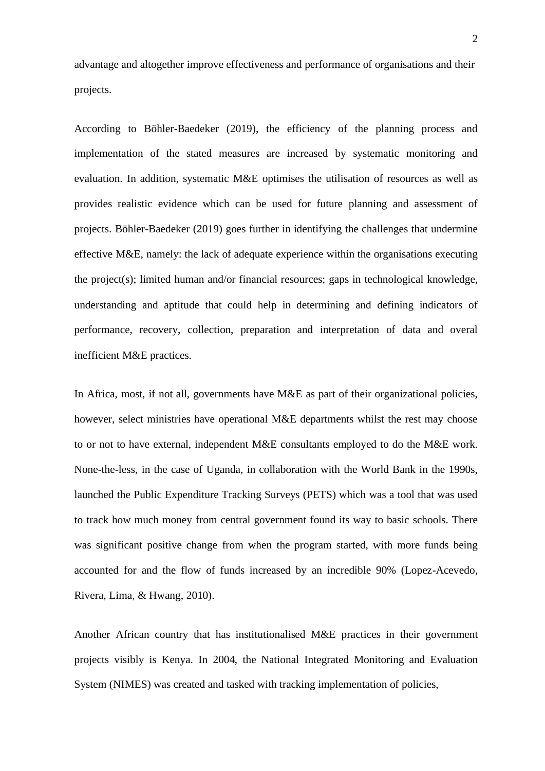advantage and altogether improve effectiveness and performance of organisations and their projects.

According to Böhler-Baedeker (2019), the efficiency of the planning process and implementation of the stated measures are increased by systematic monitoring and evaluation. In addition, systematic M&E optimises the utilisation of resources as well as provides realistic evidence which can be used for future planning and assessment of projects. Böhler-Baedeker (2019) goes further in identifying the challenges that undermine effective M&E, namely: the lack of adequate experience within the organisations executing the project(s); limited human and/or financial resources; gaps in technological knowledge, understanding and aptitude that could help in determining and defining indicators of performance, recovery, collection, preparation and interpretation of data and overal inefficient M&E practices.

In Africa, most, if not all, governments have M&E as part of their organizational policies, however, select ministries have operational M&E departments whilst the rest may choose to or not to have external, independent M&E consultants employed to do the M&E work. None-the-less, in the case of Uganda, in collaboration with the World Bank in the 1990s, launched the Public Expenditure Tracking Surveys (PETS) which was a tool that was used to track how much money from central government found its way to basic schools. There was significant positive change from when the program started, with more funds being accounted for and the flow of funds increased by an incredible 90% (Lopez-Acevedo, Rivera, Lima, & Hwang, 2010).

Another African country that has institutionalised M&E practices in their government projects visibly is Kenya. In 2004, the National Integrated Monitoring and Evaluation System (NIMES) was created and tasked with tracking implementation of policies,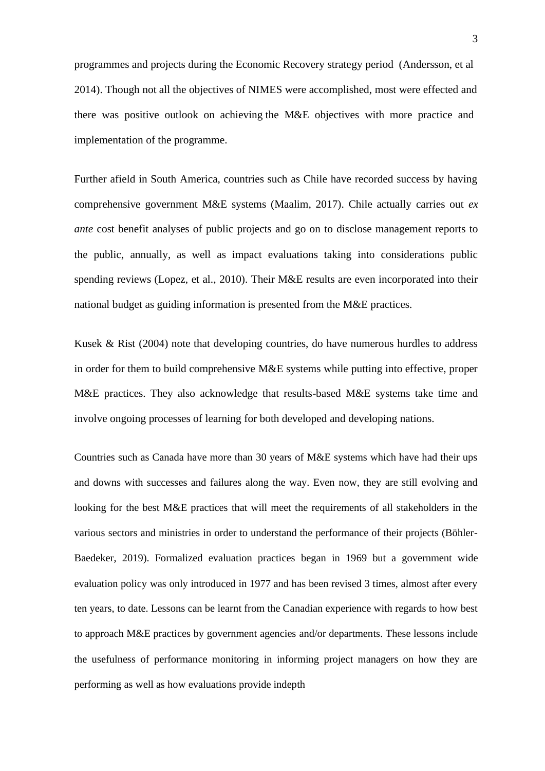programmes and projects during the Economic Recovery strategy period (Andersson, et al 2014). Though not all the objectives of NIMES were accomplished, most were effected and there was positive outlook on achieving the M&E objectives with more practice and implementation of the programme.

Further afield in South America, countries such as Chile have recorded success by having comprehensive government M&E systems (Maalim, 2017). Chile actually carries out *ex ante* cost benefit analyses of public projects and go on to disclose management reports to the public, annually, as well as impact evaluations taking into considerations public spending reviews (Lopez, et al., 2010). Their M&E results are even incorporated into their national budget as guiding information is presented from the M&E practices.

Kusek  $\&$  Rist (2004) note that developing countries, do have numerous hurdles to address in order for them to build comprehensive M&E systems while putting into effective, proper M&E practices. They also acknowledge that results-based M&E systems take time and involve ongoing processes of learning for both developed and developing nations.

Countries such as Canada have more than 30 years of M&E systems which have had their ups and downs with successes and failures along the way. Even now, they are still evolving and looking for the best M&E practices that will meet the requirements of all stakeholders in the various sectors and ministries in order to understand the performance of their projects (Böhler-Baedeker, 2019). Formalized evaluation practices began in 1969 but a government wide evaluation policy was only introduced in 1977 and has been revised 3 times, almost after every ten years, to date. Lessons can be learnt from the Canadian experience with regards to how best to approach M&E practices by government agencies and/or departments. These lessons include the usefulness of performance monitoring in informing project managers on how they are performing as well as how evaluations provide indepth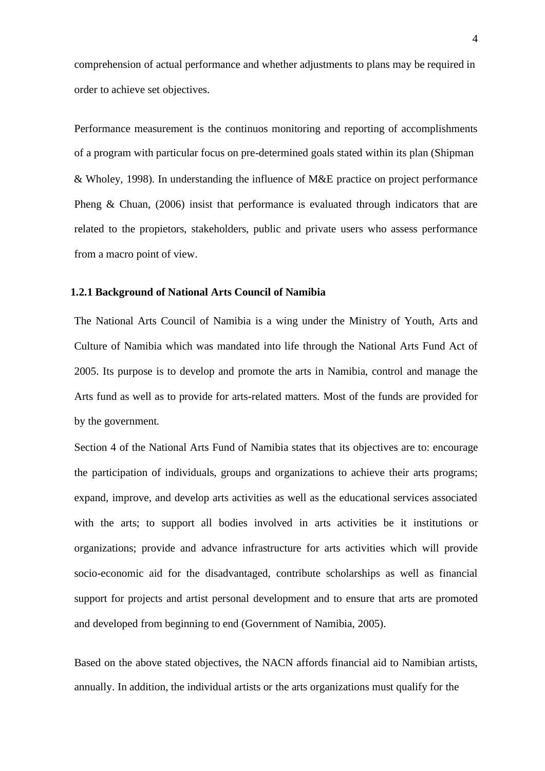<span id="page-16-0"></span>comprehension of actual performance and whether adjustments to plans may be required in order to achieve set objectives.

Performance measurement is the continuos monitoring and reporting of accomplishments of a program with particular focus on pre-determined goals stated within its plan (Shipman & Wholey, 1998). In understanding the influence of M&E practice on project performance Pheng & Chuan, (2006) insist that performance is evaluated through indicators that are related to the propietors, stakeholders, public and private users who assess performance from a macro point of view.

#### **1.2.1 Background of National Arts Council of Namibia**

The National Arts Council of Namibia is a wing under the Ministry of Youth, Arts and Culture of Namibia which was mandated into life through the National Arts Fund Act of 2005. Its purpose is to develop and promote the arts in Namibia, control and manage the Arts fund as well as to provide for arts-related matters. Most of the funds are provided for by the government.

Section 4 of the National Arts Fund of Namibia states that its objectives are to: encourage the participation of individuals, groups and organizations to achieve their arts programs; expand, improve, and develop arts activities as well as the educational services associated with the arts; to support all bodies involved in arts activities be it institutions or organizations; provide and advance infrastructure for arts activities which will provide socio-economic aid for the disadvantaged, contribute scholarships as well as financial support for projects and artist personal development and to ensure that arts are promoted and developed from beginning to end (Government of Namibia, 2005).

Based on the above stated objectives, the NACN affords financial aid to Namibian artists, annually. In addition, the individual artists or the arts organizations must qualify for the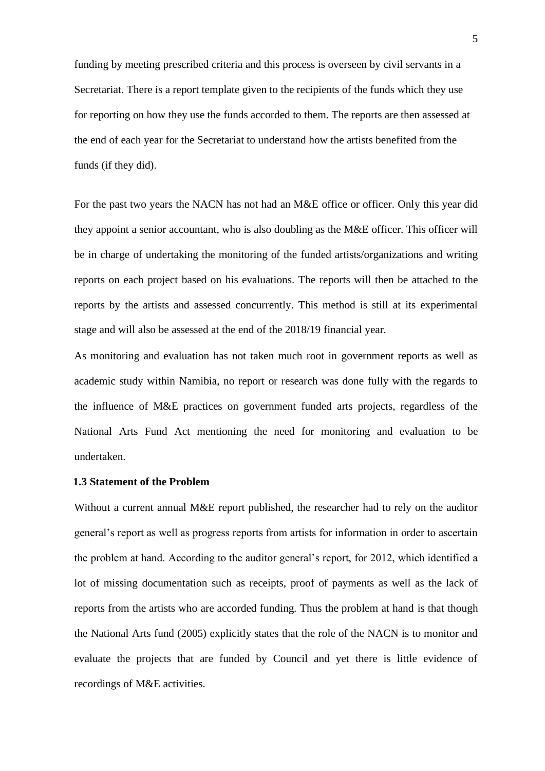<span id="page-17-0"></span>funding by meeting prescribed criteria and this process is overseen by civil servants in a Secretariat. There is a report template given to the recipients of the funds which they use for reporting on how they use the funds accorded to them. The reports are then assessed at the end of each year for the Secretariat to understand how the artists benefited from the funds (if they did).

For the past two years the NACN has not had an M&E office or officer. Only this year did they appoint a senior accountant, who is also doubling as the M&E officer. This officer will be in charge of undertaking the monitoring of the funded artists/organizations and writing reports on each project based on his evaluations. The reports will then be attached to the reports by the artists and assessed concurrently. This method is still at its experimental stage and will also be assessed at the end of the 2018/19 financial year.

As monitoring and evaluation has not taken much root in government reports as well as academic study within Namibia, no report or research was done fully with the regards to the influence of M&E practices on government funded arts projects, regardless of the National Arts Fund Act mentioning the need for monitoring and evaluation to be undertaken.

#### **1.3 Statement of the Problem**

Without a current annual M&E report published, the researcher had to rely on the auditor general's report as well as progress reports from artists for information in order to ascertain the problem at hand. According to the auditor general's report, for 2012, which identified a lot of missing documentation such as receipts, proof of payments as well as the lack of reports from the artists who are accorded funding. Thus the problem at hand is that though the National Arts fund (2005) explicitly states that the role of the NACN is to monitor and evaluate the projects that are funded by Council and yet there is little evidence of recordings of M&E activities.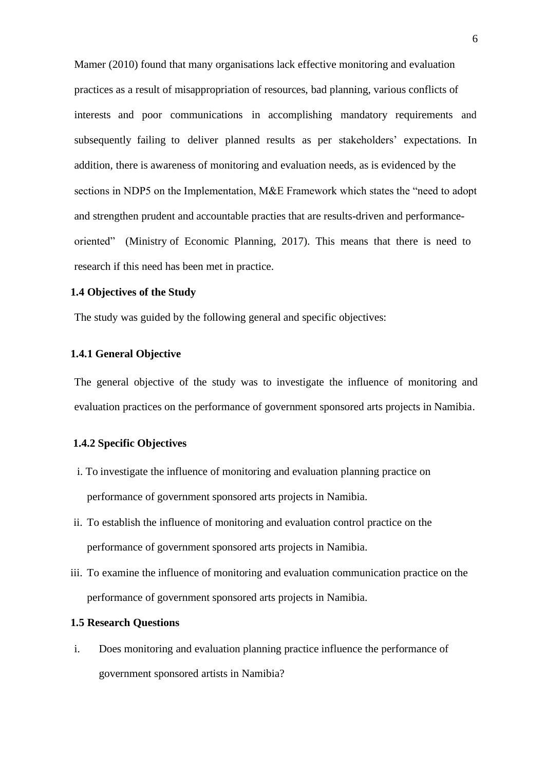<span id="page-18-0"></span>Mamer (2010) found that many organisations lack effective monitoring and evaluation practices as a result of misappropriation of resources, bad planning, various conflicts of interests and poor communications in accomplishing mandatory requirements and subsequently failing to deliver planned results as per stakeholders' expectations. In addition, there is awareness of monitoring and evaluation needs, as is evidenced by the sections in NDP5 on the Implementation, M&E Framework which states the "need to adopt and strengthen prudent and accountable practies that are results-driven and performanceoriented" (Ministry of Economic Planning, 2017). This means that there is need to research if this need has been met in practice.

#### **1.4 Objectives of the Study**

The study was guided by the following general and specific objectives:

#### **1.4.1 General Objective**

The general objective of the study was to investigate the influence of monitoring and evaluation practices on the performance of government sponsored arts projects in Namibia.

#### **1.4.2 Specific Objectives**

- i. To investigate the influence of monitoring and evaluation planning practice on performance of government sponsored arts projects in Namibia.
- ii. To establish the influence of monitoring and evaluation control practice on the performance of government sponsored arts projects in Namibia.
- iii. To examine the influence of monitoring and evaluation communication practice on the performance of government sponsored arts projects in Namibia.

#### **1.5 Research Questions**

i. Does monitoring and evaluation planning practice influence the performance of government sponsored artists in Namibia?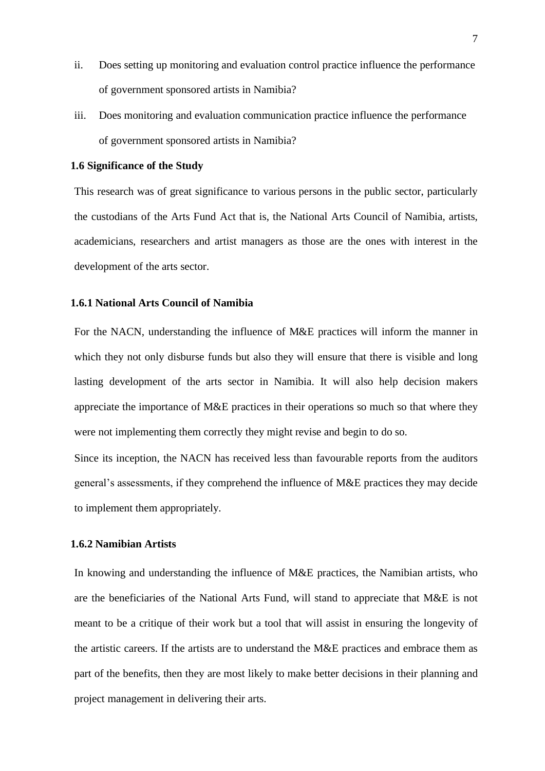- <span id="page-19-0"></span>ii. Does setting up monitoring and evaluation control practice influence the performance of government sponsored artists in Namibia?
- iii. Does monitoring and evaluation communication practice influence the performance of government sponsored artists in Namibia?

#### **1.6 Significance of the Study**

This research was of great significance to various persons in the public sector, particularly the custodians of the Arts Fund Act that is, the National Arts Council of Namibia, artists, academicians, researchers and artist managers as those are the ones with interest in the development of the arts sector.

#### **1.6.1 National Arts Council of Namibia**

For the NACN, understanding the influence of M&E practices will inform the manner in which they not only disburse funds but also they will ensure that there is visible and long lasting development of the arts sector in Namibia. It will also help decision makers appreciate the importance of M&E practices in their operations so much so that where they were not implementing them correctly they might revise and begin to do so.

Since its inception, the NACN has received less than favourable reports from the auditors general's assessments, if they comprehend the influence of M&E practices they may decide to implement them appropriately.

#### **1.6.2 Namibian Artists**

In knowing and understanding the influence of M&E practices, the Namibian artists, who are the beneficiaries of the National Arts Fund, will stand to appreciate that M&E is not meant to be a critique of their work but a tool that will assist in ensuring the longevity of the artistic careers. If the artists are to understand the M&E practices and embrace them as part of the benefits, then they are most likely to make better decisions in their planning and project management in delivering their arts.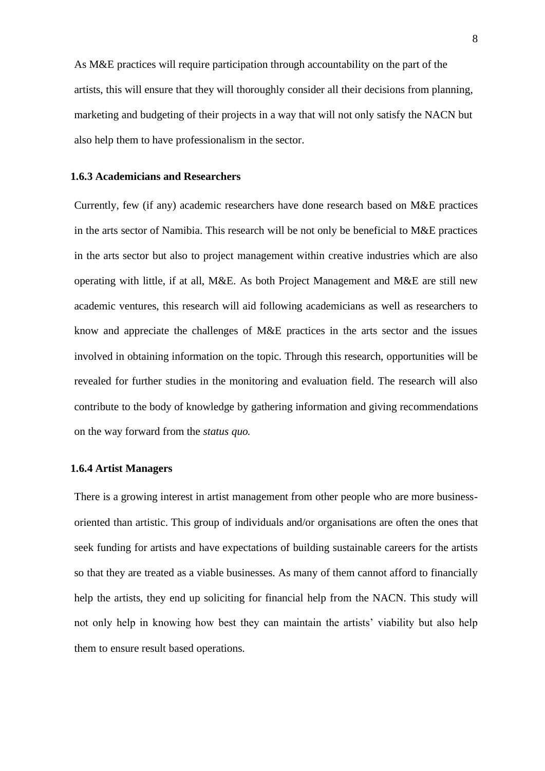<span id="page-20-0"></span>As M&E practices will require participation through accountability on the part of the artists, this will ensure that they will thoroughly consider all their decisions from planning, marketing and budgeting of their projects in a way that will not only satisfy the NACN but also help them to have professionalism in the sector.

#### **1.6.3 Academicians and Researchers**

Currently, few (if any) academic researchers have done research based on M&E practices in the arts sector of Namibia. This research will be not only be beneficial to M&E practices in the arts sector but also to project management within creative industries which are also operating with little, if at all, M&E. As both Project Management and M&E are still new academic ventures, this research will aid following academicians as well as researchers to know and appreciate the challenges of M&E practices in the arts sector and the issues involved in obtaining information on the topic. Through this research, opportunities will be revealed for further studies in the monitoring and evaluation field. The research will also contribute to the body of knowledge by gathering information and giving recommendations on the way forward from the *status quo.*

#### **1.6.4 Artist Managers**

There is a growing interest in artist management from other people who are more businessoriented than artistic. This group of individuals and/or organisations are often the ones that seek funding for artists and have expectations of building sustainable careers for the artists so that they are treated as a viable businesses. As many of them cannot afford to financially help the artists, they end up soliciting for financial help from the NACN. This study will not only help in knowing how best they can maintain the artists' viability but also help them to ensure result based operations.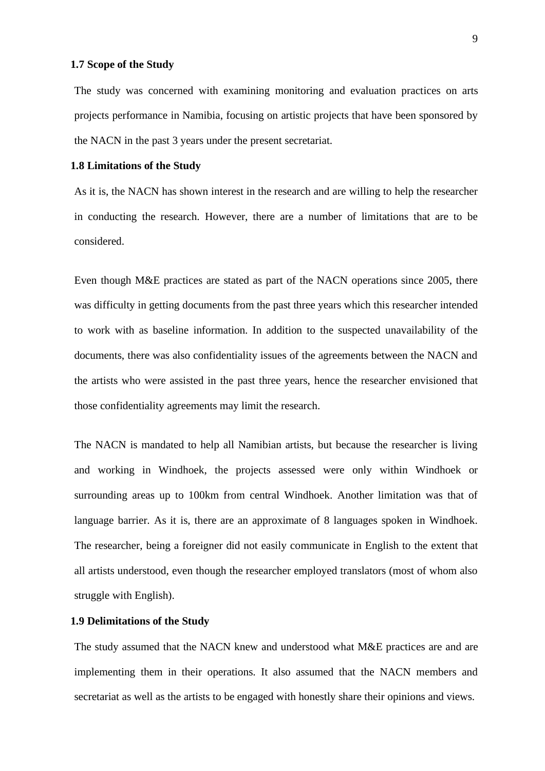#### <span id="page-21-0"></span>**1.7 Scope of the Study**

The study was concerned with examining monitoring and evaluation practices on arts projects performance in Namibia, focusing on artistic projects that have been sponsored by the NACN in the past 3 years under the present secretariat.

#### **1.8 Limitations of the Study**

As it is, the NACN has shown interest in the research and are willing to help the researcher in conducting the research. However, there are a number of limitations that are to be considered.

Even though M&E practices are stated as part of the NACN operations since 2005, there was difficulty in getting documents from the past three years which this researcher intended to work with as baseline information. In addition to the suspected unavailability of the documents, there was also confidentiality issues of the agreements between the NACN and the artists who were assisted in the past three years, hence the researcher envisioned that those confidentiality agreements may limit the research.

The NACN is mandated to help all Namibian artists, but because the researcher is living and working in Windhoek, the projects assessed were only within Windhoek or surrounding areas up to 100km from central Windhoek. Another limitation was that of language barrier. As it is, there are an approximate of 8 languages spoken in Windhoek. The researcher, being a foreigner did not easily communicate in English to the extent that all artists understood, even though the researcher employed translators (most of whom also struggle with English).

#### **1.9 Delimitations of the Study**

The study assumed that the NACN knew and understood what M&E practices are and are implementing them in their operations. It also assumed that the NACN members and secretariat as well as the artists to be engaged with honestly share their opinions and views.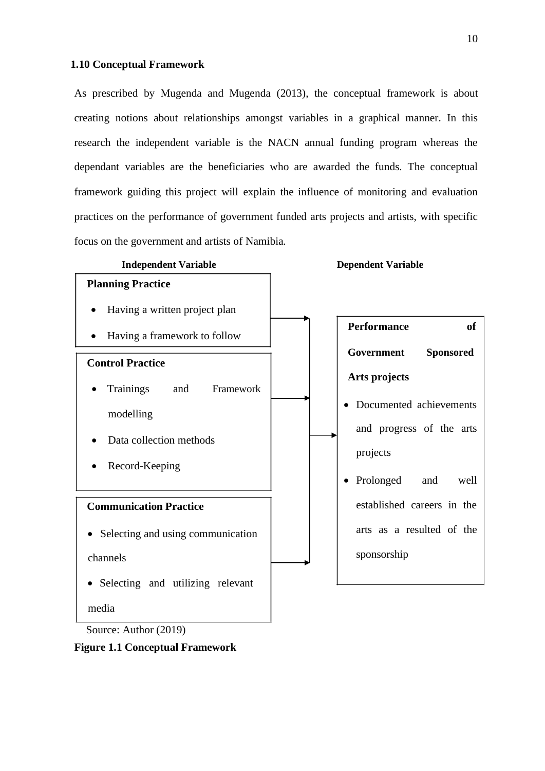#### <span id="page-22-0"></span>**1.10 Conceptual Framework**

As prescribed by Mugenda and Mugenda (2013), the conceptual framework is about creating notions about relationships amongst variables in a graphical manner. In this research the independent variable is the NACN annual funding program whereas the dependant variables are the beneficiaries who are awarded the funds. The conceptual framework guiding this project will explain the influence of monitoring and evaluation practices on the performance of government funded arts projects and artists, with specific focus on the government and artists of Namibia.



Source: Author (2019)

**Figure 1.1 Conceptual Framework**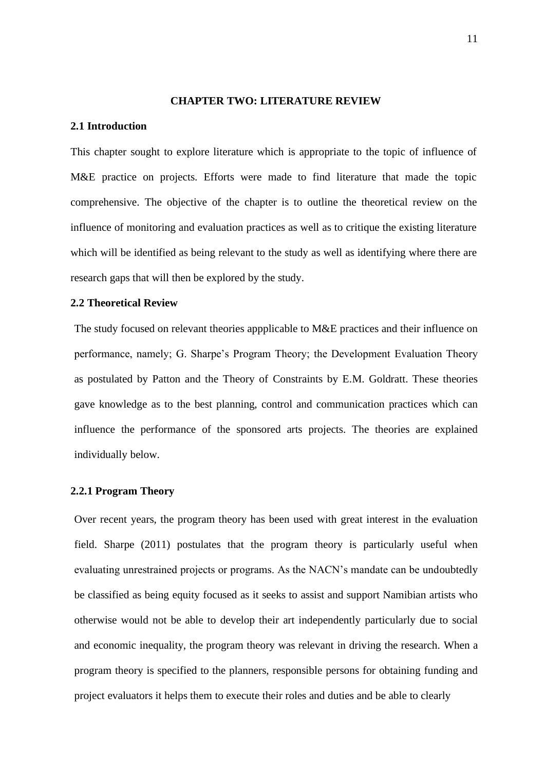#### **CHAPTER TWO: LITERATURE REVIEW**

#### <span id="page-23-0"></span>**2.1 Introduction**

This chapter sought to explore literature which is appropriate to the topic of influence of M&E practice on projects. Efforts were made to find literature that made the topic comprehensive. The objective of the chapter is to outline the theoretical review on the influence of monitoring and evaluation practices as well as to critique the existing literature which will be identified as being relevant to the study as well as identifying where there are research gaps that will then be explored by the study.

#### **2.2 Theoretical Review**

The study focused on relevant theories appplicable to M&E practices and their influence on performance, namely; G. Sharpe's Program Theory; the Development Evaluation Theory as postulated by Patton and the Theory of Constraints by E.M. Goldratt. These theories gave knowledge as to the best planning, control and communication practices which can influence the performance of the sponsored arts projects. The theories are explained individually below.

#### **2.2.1 Program Theory**

Over recent years, the program theory has been used with great interest in the evaluation field. Sharpe (2011) postulates that the program theory is particularly useful when evaluating unrestrained projects or programs. As the NACN's mandate can be undoubtedly be classified as being equity focused as it seeks to assist and support Namibian artists who otherwise would not be able to develop their art independently particularly due to social and economic inequality, the program theory was relevant in driving the research. When a program theory is specified to the planners, responsible persons for obtaining funding and project evaluators it helps them to execute their roles and duties and be able to clearly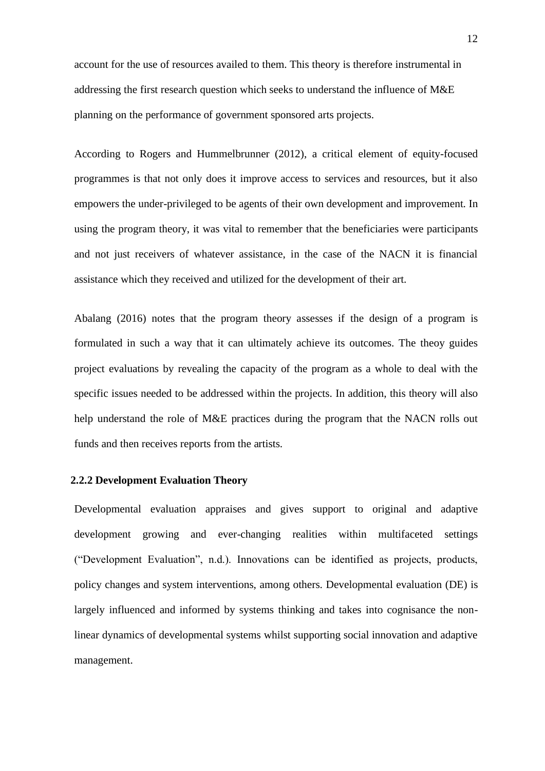<span id="page-24-0"></span>account for the use of resources availed to them. This theory is therefore instrumental in addressing the first research question which seeks to understand the influence of M&E planning on the performance of government sponsored arts projects.

According to Rogers and Hummelbrunner (2012), a critical element of equity-focused programmes is that not only does it improve access to services and resources, but it also empowers the under-privileged to be agents of their own development and improvement. In using the program theory, it was vital to remember that the beneficiaries were participants and not just receivers of whatever assistance, in the case of the NACN it is financial assistance which they received and utilized for the development of their art.

Abalang (2016) notes that the program theory assesses if the design of a program is formulated in such a way that it can ultimately achieve its outcomes. The theoy guides project evaluations by revealing the capacity of the program as a whole to deal with the specific issues needed to be addressed within the projects. In addition, this theory will also help understand the role of M&E practices during the program that the NACN rolls out funds and then receives reports from the artists.

#### **2.2.2 Development Evaluation Theory**

Developmental evaluation appraises and gives support to original and adaptive development growing and ever-changing realities within multifaceted settings ("Development Evaluation", n.d.). Innovations can be identified as projects, products, policy changes and system interventions, among others. Developmental evaluation (DE) is largely influenced and informed by systems thinking and takes into cognisance the nonlinear dynamics of developmental systems whilst supporting social innovation and adaptive management.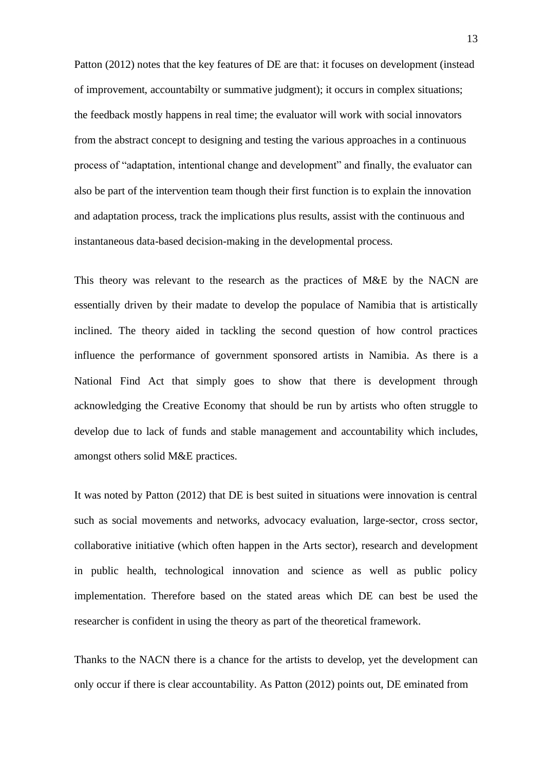Patton (2012) notes that the key features of DE are that: it focuses on development (instead of improvement, accountabilty or summative judgment); it occurs in complex situations; the feedback mostly happens in real time; the evaluator will work with social innovators from the abstract concept to designing and testing the various approaches in a continuous process of "adaptation, intentional change and development" and finally, the evaluator can also be part of the intervention team though their first function is to explain the innovation and adaptation process, track the implications plus results, assist with the continuous and instantaneous data-based decision-making in the developmental process.

This theory was relevant to the research as the practices of M&E by the NACN are essentially driven by their madate to develop the populace of Namibia that is artistically inclined. The theory aided in tackling the second question of how control practices influence the performance of government sponsored artists in Namibia. As there is a National Find Act that simply goes to show that there is development through acknowledging the Creative Economy that should be run by artists who often struggle to develop due to lack of funds and stable management and accountability which includes, amongst others solid M&E practices.

It was noted by Patton (2012) that DE is best suited in situations were innovation is central such as social movements and networks, advocacy evaluation, large-sector, cross sector, collaborative initiative (which often happen in the Arts sector), research and development in public health, technological innovation and science as well as public policy implementation. Therefore based on the stated areas which DE can best be used the researcher is confident in using the theory as part of the theoretical framework.

Thanks to the NACN there is a chance for the artists to develop, yet the development can only occur if there is clear accountability. As Patton (2012) points out, DE eminated from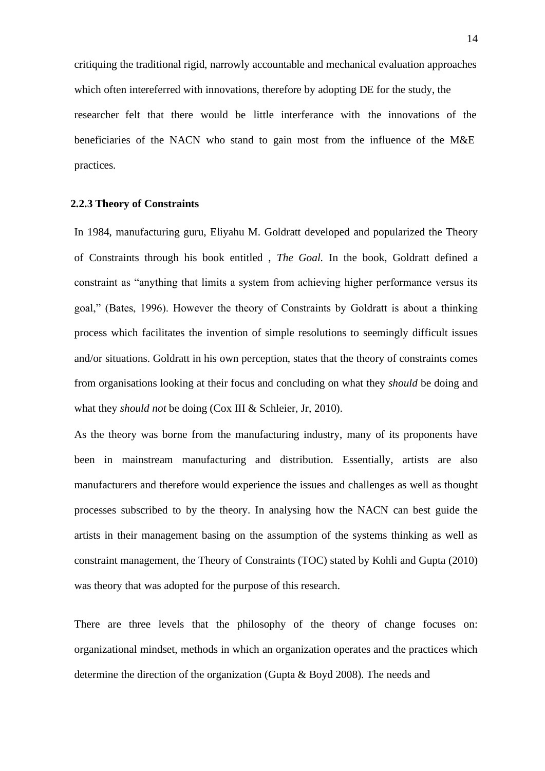<span id="page-26-0"></span>critiquing the traditional rigid, narrowly accountable and mechanical evaluation approaches which often intereferred with innovations, therefore by adopting DE for the study, the researcher felt that there would be little interferance with the innovations of the beneficiaries of the NACN who stand to gain most from the influence of the M&E practices.

#### **2.2.3 Theory of Constraints**

In 1984, manufacturing guru, Eliyahu M. Goldratt developed and popularized the Theory of Constraints through his book entitled , *The Goal.* In the book, Goldratt defined a constraint as "anything that limits a system from achieving higher performance versus its goal," (Bates, 1996). However the theory of Constraints by Goldratt is about a thinking process which facilitates the invention of simple resolutions to seemingly difficult issues and/or situations. Goldratt in his own perception, states that the theory of constraints comes from organisations looking at their focus and concluding on what they *should* be doing and what they *should not* be doing (Cox III & Schleier, Jr, 2010).

As the theory was borne from the manufacturing industry, many of its proponents have been in mainstream manufacturing and distribution. Essentially, artists are also manufacturers and therefore would experience the issues and challenges as well as thought processes subscribed to by the theory. In analysing how the NACN can best guide the artists in their management basing on the assumption of the systems thinking as well as constraint management, the Theory of Constraints (TOC) stated by Kohli and Gupta (2010) was theory that was adopted for the purpose of this research.

There are three levels that the philosophy of the theory of change focuses on: organizational mindset, methods in which an organization operates and the practices which determine the direction of the organization (Gupta & Boyd 2008). The needs and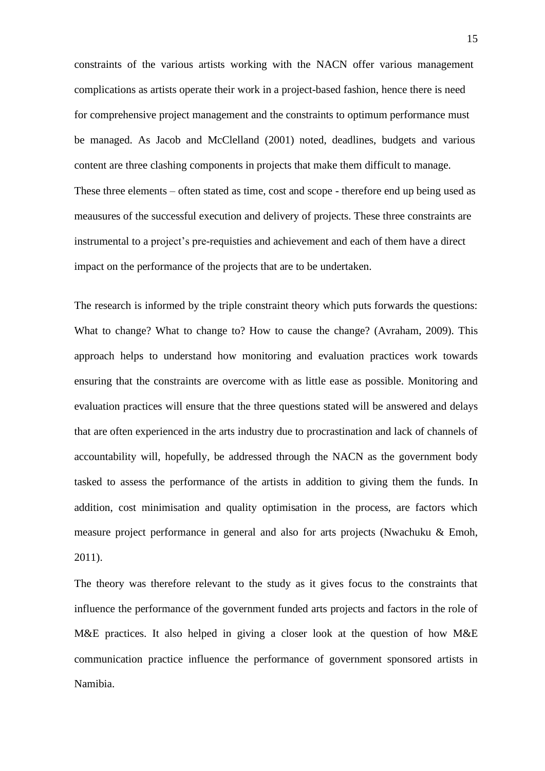constraints of the various artists working with the NACN offer various management complications as artists operate their work in a project-based fashion, hence there is need for comprehensive project management and the constraints to optimum performance must be managed. As Jacob and McClelland (2001) noted, deadlines, budgets and various content are three clashing components in projects that make them difficult to manage. These three elements – often stated as time, cost and scope - therefore end up being used as meausures of the successful execution and delivery of projects. These three constraints are instrumental to a project's pre-requisties and achievement and each of them have a direct impact on the performance of the projects that are to be undertaken.

The research is informed by the triple constraint theory which puts forwards the questions: What to change? What to change to? How to cause the change? (Avraham, 2009). This approach helps to understand how monitoring and evaluation practices work towards ensuring that the constraints are overcome with as little ease as possible. Monitoring and evaluation practices will ensure that the three questions stated will be answered and delays that are often experienced in the arts industry due to procrastination and lack of channels of accountability will, hopefully, be addressed through the NACN as the government body tasked to assess the performance of the artists in addition to giving them the funds. In addition, cost minimisation and quality optimisation in the process, are factors which measure project performance in general and also for arts projects (Nwachuku & Emoh, 2011).

The theory was therefore relevant to the study as it gives focus to the constraints that influence the performance of the government funded arts projects and factors in the role of M&E practices. It also helped in giving a closer look at the question of how M&E communication practice influence the performance of government sponsored artists in Namibia.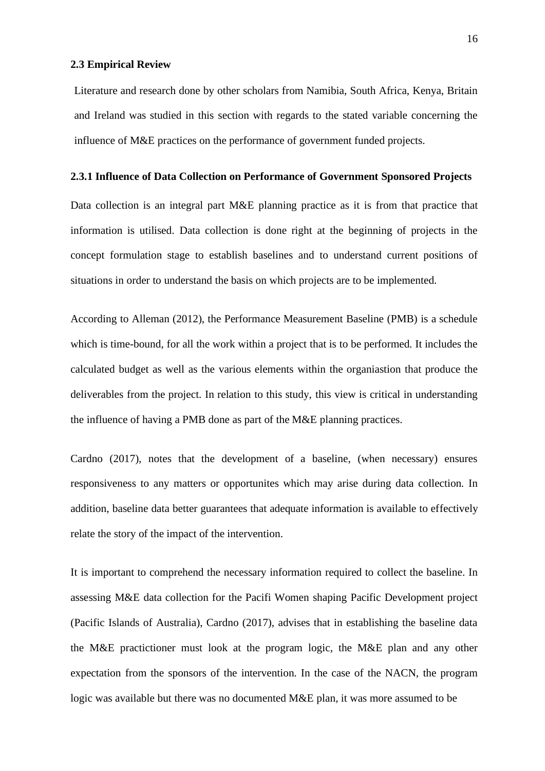#### <span id="page-28-0"></span>**2.3 Empirical Review**

Literature and research done by other scholars from Namibia, South Africa, Kenya, Britain and Ireland was studied in this section with regards to the stated variable concerning the influence of M&E practices on the performance of government funded projects.

#### **2.3.1 Influence of Data Collection on Performance of Government Sponsored Projects**

Data collection is an integral part M&E planning practice as it is from that practice that information is utilised. Data collection is done right at the beginning of projects in the concept formulation stage to establish baselines and to understand current positions of situations in order to understand the basis on which projects are to be implemented.

According to Alleman (2012), the Performance Measurement Baseline (PMB) is a schedule which is time-bound, for all the work within a project that is to be performed. It includes the calculated budget as well as the various elements within the organiastion that produce the deliverables from the project. In relation to this study, this view is critical in understanding the influence of having a PMB done as part of the M&E planning practices.

Cardno (2017), notes that the development of a baseline, (when necessary) ensures responsiveness to any matters or opportunites which may arise during data collection. In addition, baseline data better guarantees that adequate information is available to effectively relate the story of the impact of the intervention.

It is important to comprehend the necessary information required to collect the baseline. In assessing M&E data collection for the Pacifi Women shaping Pacific Development project (Pacific Islands of Australia), Cardno (2017), advises that in establishing the baseline data the M&E practictioner must look at the program logic, the M&E plan and any other expectation from the sponsors of the intervention. In the case of the NACN, the program logic was available but there was no documented M&E plan, it was more assumed to be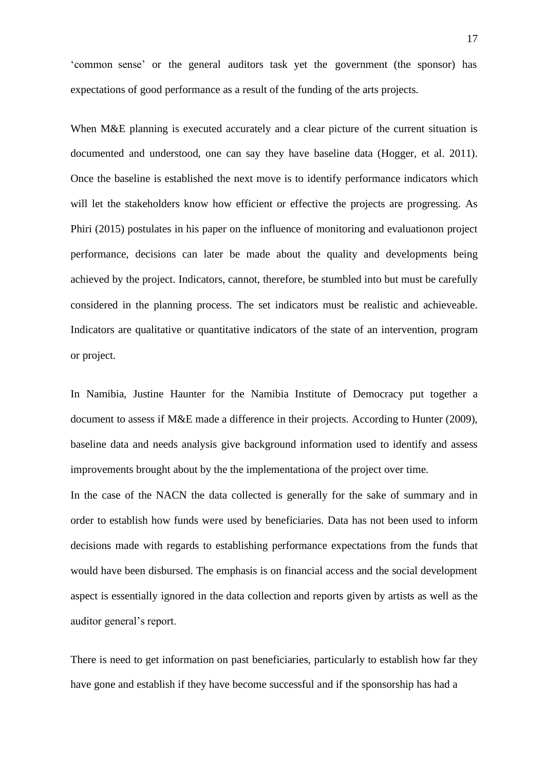'common sense' or the general auditors task yet the government (the sponsor) has expectations of good performance as a result of the funding of the arts projects.

When M&E planning is executed accurately and a clear picture of the current situation is documented and understood, one can say they have baseline data (Hogger, et al. 2011). Once the baseline is established the next move is to identify performance indicators which will let the stakeholders know how efficient or effective the projects are progressing. As Phiri (2015) postulates in his paper on the influence of monitoring and evaluationon project performance, decisions can later be made about the quality and developments being achieved by the project. Indicators, cannot, therefore, be stumbled into but must be carefully considered in the planning process. The set indicators must be realistic and achieveable. Indicators are qualitative or quantitative indicators of the state of an intervention, program or project.

In Namibia, Justine Haunter for the Namibia Institute of Democracy put together a document to assess if M&E made a difference in their projects. According to Hunter (2009), baseline data and needs analysis give background information used to identify and assess improvements brought about by the the implementationa of the project over time.

In the case of the NACN the data collected is generally for the sake of summary and in order to establish how funds were used by beneficiaries. Data has not been used to inform decisions made with regards to establishing performance expectations from the funds that would have been disbursed. The emphasis is on financial access and the social development aspect is essentially ignored in the data collection and reports given by artists as well as the auditor general's report.

There is need to get information on past beneficiaries, particularly to establish how far they have gone and establish if they have become successful and if the sponsorship has had a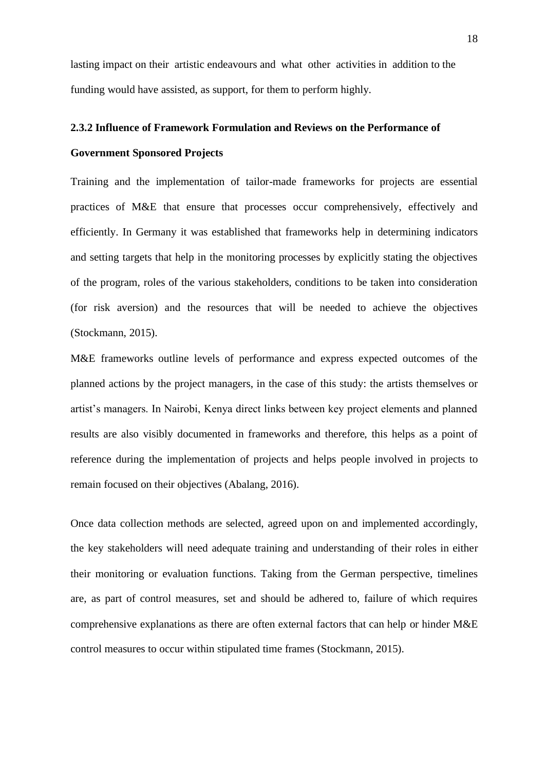<span id="page-30-0"></span>lasting impact on their artistic endeavours and what other activities in addition to the funding would have assisted, as support, for them to perform highly.

## **2.3.2 Influence of Framework Formulation and Reviews on the Performance of Government Sponsored Projects**

Training and the implementation of tailor-made frameworks for projects are essential practices of M&E that ensure that processes occur comprehensively, effectively and efficiently. In Germany it was established that frameworks help in determining indicators and setting targets that help in the monitoring processes by explicitly stating the objectives of the program, roles of the various stakeholders, conditions to be taken into consideration (for risk aversion) and the resources that will be needed to achieve the objectives (Stockmann, 2015).

M&E frameworks outline levels of performance and express expected outcomes of the planned actions by the project managers, in the case of this study: the artists themselves or artist's managers. In Nairobi, Kenya direct links between key project elements and planned results are also visibly documented in frameworks and therefore, this helps as a point of reference during the implementation of projects and helps people involved in projects to remain focused on their objectives (Abalang, 2016).

Once data collection methods are selected, agreed upon on and implemented accordingly, the key stakeholders will need adequate training and understanding of their roles in either their monitoring or evaluation functions. Taking from the German perspective, timelines are, as part of control measures, set and should be adhered to, failure of which requires comprehensive explanations as there are often external factors that can help or hinder M&E control measures to occur within stipulated time frames (Stockmann, 2015).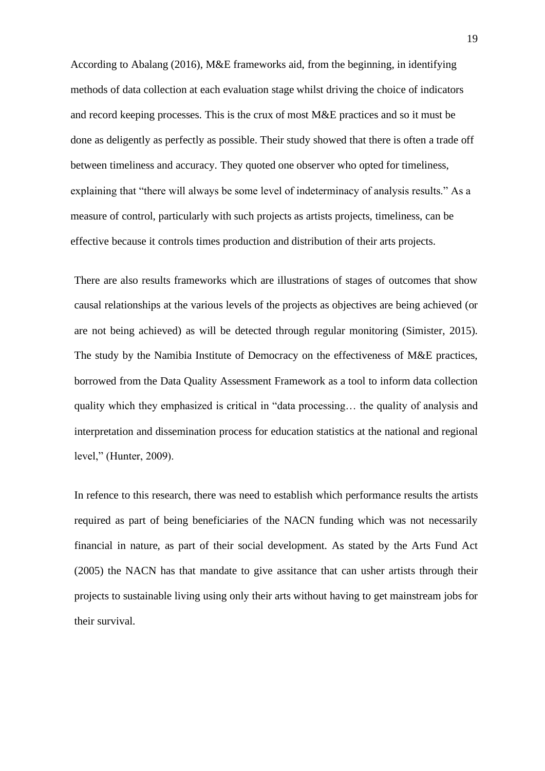According to Abalang (2016), M&E frameworks aid, from the beginning, in identifying methods of data collection at each evaluation stage whilst driving the choice of indicators and record keeping processes. This is the crux of most M&E practices and so it must be done as deligently as perfectly as possible. Their study showed that there is often a trade off between timeliness and accuracy. They quoted one observer who opted for timeliness, explaining that "there will always be some level of indeterminacy of analysis results." As a measure of control, particularly with such projects as artists projects, timeliness, can be effective because it controls times production and distribution of their arts projects.

There are also results frameworks which are illustrations of stages of outcomes that show causal relationships at the various levels of the projects as objectives are being achieved (or are not being achieved) as will be detected through regular monitoring (Simister, 2015). The study by the Namibia Institute of Democracy on the effectiveness of M&E practices, borrowed from the Data Quality Assessment Framework as a tool to inform data collection quality which they emphasized is critical in "data processing… the quality of analysis and interpretation and dissemination process for education statistics at the national and regional level," (Hunter, 2009).

In refence to this research, there was need to establish which performance results the artists required as part of being beneficiaries of the NACN funding which was not necessarily financial in nature, as part of their social development. As stated by the Arts Fund Act (2005) the NACN has that mandate to give assitance that can usher artists through their projects to sustainable living using only their arts without having to get mainstream jobs for their survival.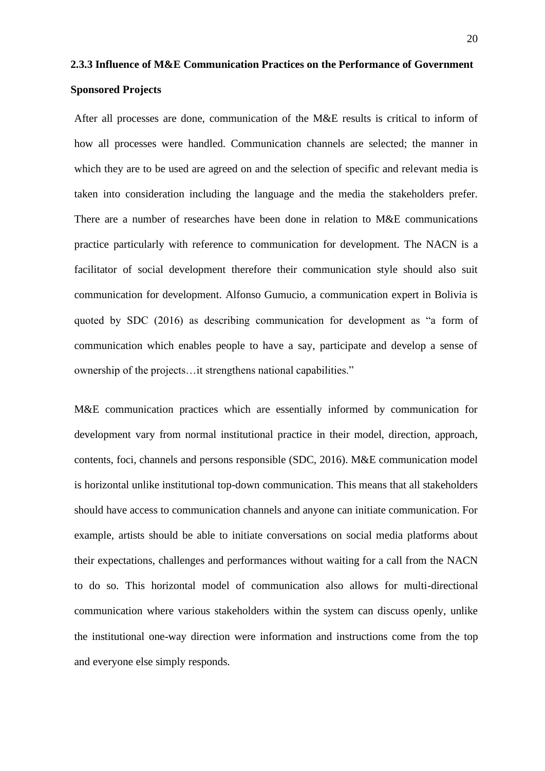## <span id="page-32-0"></span>**2.3.3 Influence of M&E Communication Practices on the Performance of Government**

#### **Sponsored Projects**

After all processes are done, communication of the M&E results is critical to inform of how all processes were handled. Communication channels are selected; the manner in which they are to be used are agreed on and the selection of specific and relevant media is taken into consideration including the language and the media the stakeholders prefer. There are a number of researches have been done in relation to M&E communications practice particularly with reference to communication for development. The NACN is a facilitator of social development therefore their communication style should also suit communication for development. Alfonso Gumucio, a communication expert in Bolivia is quoted by SDC (2016) as describing communication for development as "a form of communication which enables people to have a say, participate and develop a sense of ownership of the projects…it strengthens national capabilities."

M&E communication practices which are essentially informed by communication for development vary from normal institutional practice in their model, direction, approach, contents, foci, channels and persons responsible (SDC, 2016). M&E communication model is horizontal unlike institutional top-down communication. This means that all stakeholders should have access to communication channels and anyone can initiate communication. For example, artists should be able to initiate conversations on social media platforms about their expectations, challenges and performances without waiting for a call from the NACN to do so. This horizontal model of communication also allows for multi-directional communication where various stakeholders within the system can discuss openly, unlike the institutional one-way direction were information and instructions come from the top and everyone else simply responds.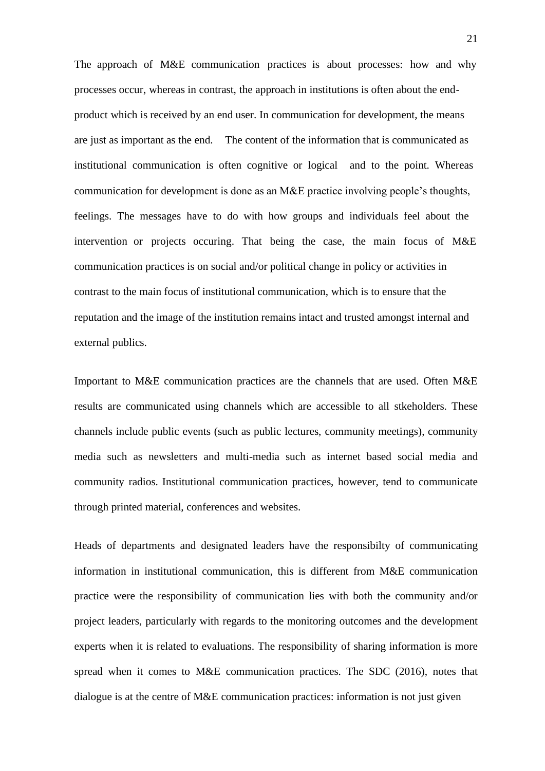The approach of M&E communication practices is about processes: how and why processes occur, whereas in contrast, the approach in institutions is often about the endproduct which is received by an end user. In communication for development, the means are just as important as the end. The content of the information that is communicated as institutional communication is often cognitive or logical and to the point. Whereas communication for development is done as an M&E practice involving people's thoughts, feelings. The messages have to do with how groups and individuals feel about the intervention or projects occuring. That being the case, the main focus of M&E communication practices is on social and/or political change in policy or activities in contrast to the main focus of institutional communication, which is to ensure that the reputation and the image of the institution remains intact and trusted amongst internal and external publics.

Important to M&E communication practices are the channels that are used. Often M&E results are communicated using channels which are accessible to all stkeholders. These channels include public events (such as public lectures, community meetings), community media such as newsletters and multi-media such as internet based social media and community radios. Institutional communication practices, however, tend to communicate through printed material, conferences and websites.

Heads of departments and designated leaders have the responsibilty of communicating information in institutional communication, this is different from M&E communication practice were the responsibility of communication lies with both the community and/or project leaders, particularly with regards to the monitoring outcomes and the development experts when it is related to evaluations. The responsibility of sharing information is more spread when it comes to M&E communication practices. The SDC (2016), notes that dialogue is at the centre of M&E communication practices: information is not just given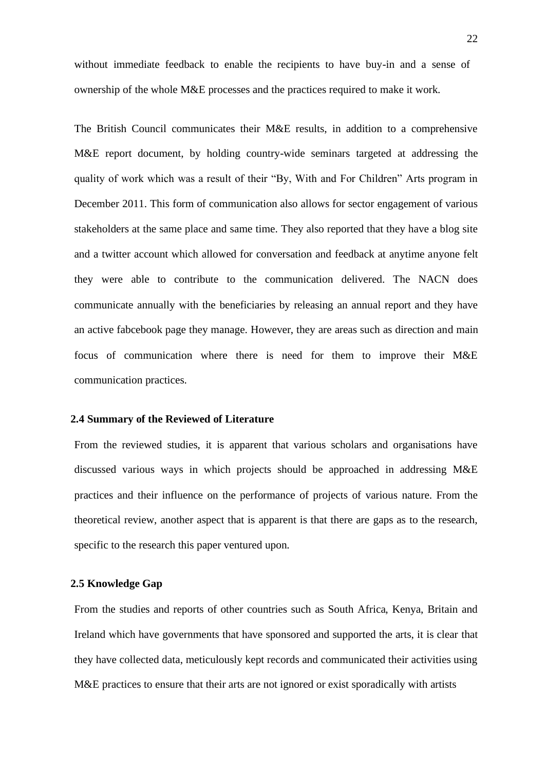<span id="page-34-0"></span>without immediate feedback to enable the recipients to have buy-in and a sense of ownership of the whole M&E processes and the practices required to make it work.

The British Council communicates their M&E results, in addition to a comprehensive M&E report document, by holding country-wide seminars targeted at addressing the quality of work which was a result of their "By, With and For Children" Arts program in December 2011. This form of communication also allows for sector engagement of various stakeholders at the same place and same time. They also reported that they have a blog site and a twitter account which allowed for conversation and feedback at anytime anyone felt they were able to contribute to the communication delivered. The NACN does communicate annually with the beneficiaries by releasing an annual report and they have an active fabcebook page they manage. However, they are areas such as direction and main focus of communication where there is need for them to improve their M&E communication practices.

#### **2.4 Summary of the Reviewed of Literature**

From the reviewed studies, it is apparent that various scholars and organisations have discussed various ways in which projects should be approached in addressing M&E practices and their influence on the performance of projects of various nature. From the theoretical review, another aspect that is apparent is that there are gaps as to the research, specific to the research this paper ventured upon.

#### **2.5 Knowledge Gap**

From the studies and reports of other countries such as South Africa, Kenya, Britain and Ireland which have governments that have sponsored and supported the arts, it is clear that they have collected data, meticulously kept records and communicated their activities using M&E practices to ensure that their arts are not ignored or exist sporadically with artists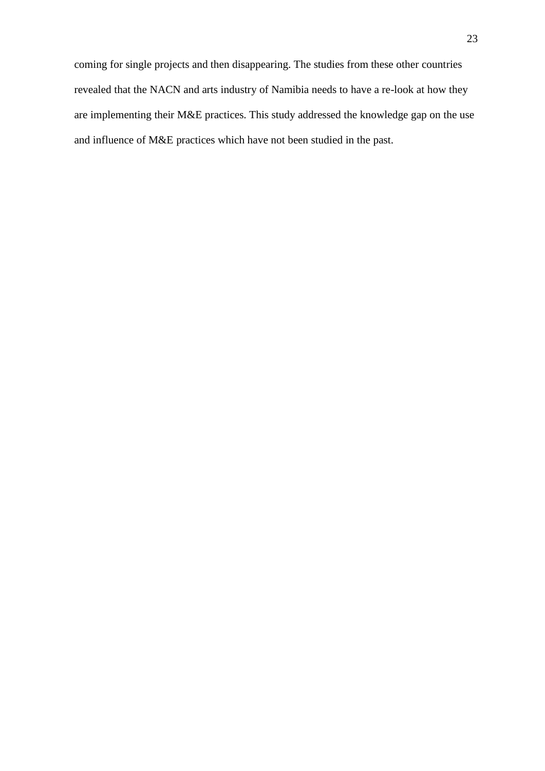coming for single projects and then disappearing. The studies from these other countries revealed that the NACN and arts industry of Namibia needs to have a re-look at how they are implementing their M&E practices. This study addressed the knowledge gap on the use and influence of M&E practices which have not been studied in the past.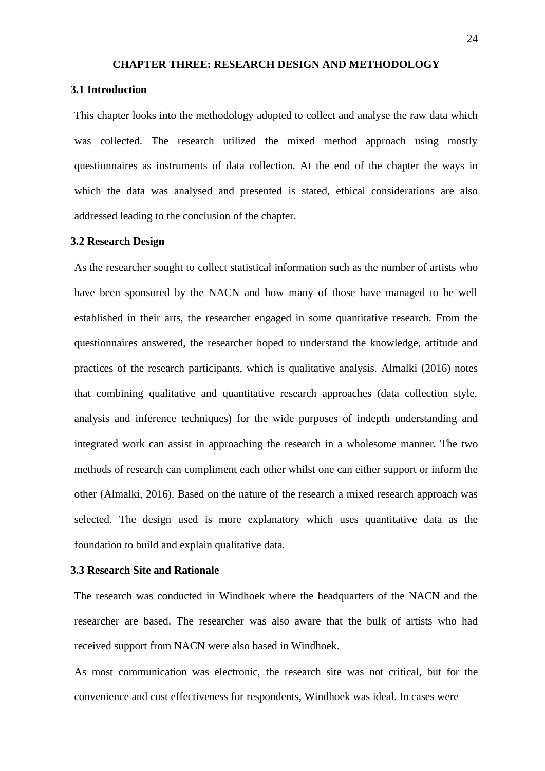#### **CHAPTER THREE: RESEARCH DESIGN AND METHODOLOGY**

#### **3.1 Introduction**

This chapter looks into the methodology adopted to collect and analyse the raw data which was collected. The research utilized the mixed method approach using mostly questionnaires as instruments of data collection. At the end of the chapter the ways in which the data was analysed and presented is stated, ethical considerations are also addressed leading to the conclusion of the chapter.

#### **3.2 Research Design**

As the researcher sought to collect statistical information such as the number of artists who have been sponsored by the NACN and how many of those have managed to be well established in their arts, the researcher engaged in some quantitative research. From the questionnaires answered, the researcher hoped to understand the knowledge, attitude and practices of the research participants, which is qualitative analysis. Almalki (2016) notes that combining qualitative and quantitative research approaches (data collection style, analysis and inference techniques) for the wide purposes of indepth understanding and integrated work can assist in approaching the research in a wholesome manner. The two methods of research can compliment each other whilst one can either support or inform the other (Almalki, 2016). Based on the nature of the research a mixed research approach was selected. The design used is more explanatory which uses quantitative data as the foundation to build and explain qualitative data.

#### **3.3 Research Site and Rationale**

The research was conducted in Windhoek where the headquarters of the NACN and the researcher are based. The researcher was also aware that the bulk of artists who had received support from NACN were also based in Windhoek.

As most communication was electronic, the research site was not critical, but for the convenience and cost effectiveness for respondents, Windhoek was ideal. In cases were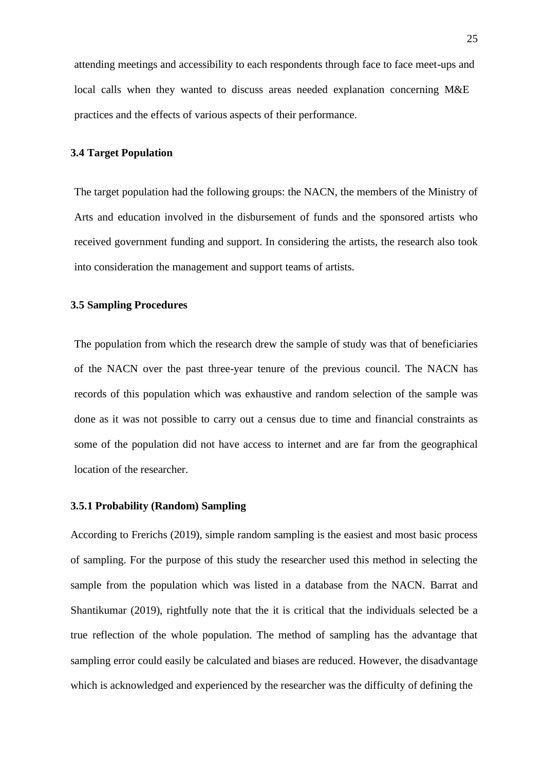attending meetings and accessibility to each respondents through face to face meet-ups and local calls when they wanted to discuss areas needed explanation concerning M&E practices and the effects of various aspects of their performance.

#### **3.4 Target Population**

The target population had the following groups: the NACN, the members of the Ministry of Arts and education involved in the disbursement of funds and the sponsored artists who received government funding and support. In considering the artists, the research also took into consideration the management and support teams of artists.

#### **3.5 Sampling Procedures**

The population from which the research drew the sample of study was that of beneficiaries of the NACN over the past three-year tenure of the previous council. The NACN has records of this population which was exhaustive and random selection of the sample was done as it was not possible to carry out a census due to time and financial constraints as some of the population did not have access to internet and are far from the geographical location of the researcher.

#### **3.5.1 Probability (Random) Sampling**

According to Frerichs (2019), simple random sampling is the easiest and most basic process of sampling. For the purpose of this study the researcher used this method in selecting the sample from the population which was listed in a database from the NACN. Barrat and Shantikumar (2019), rightfully note that the it is critical that the individuals selected be a true reflection of the whole population. The method of sampling has the advantage that sampling error could easily be calculated and biases are reduced. However, the disadvantage which is acknowledged and experienced by the researcher was the difficulty of defining the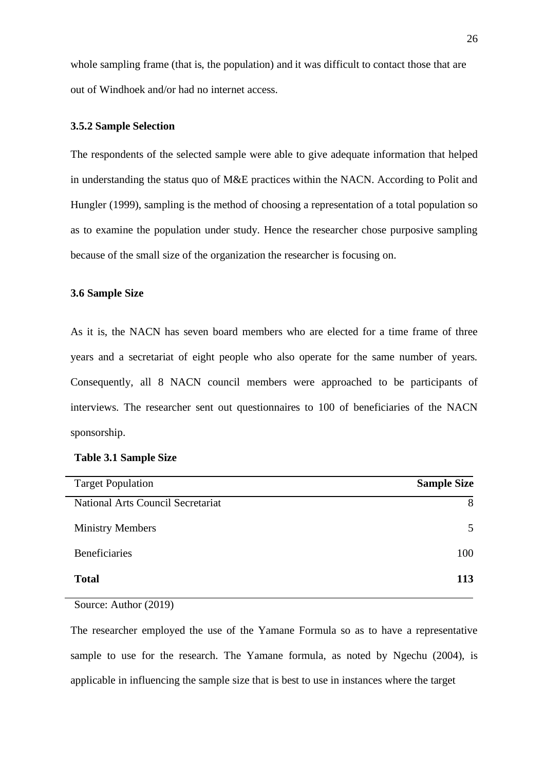whole sampling frame (that is, the population) and it was difficult to contact those that are out of Windhoek and/or had no internet access.

#### **3.5.2 Sample Selection**

The respondents of the selected sample were able to give adequate information that helped in understanding the status quo of M&E practices within the NACN. According to Polit and Hungler (1999), sampling is the method of choosing a representation of a total population so as to examine the population under study. Hence the researcher chose purposive sampling because of the small size of the organization the researcher is focusing on.

#### **3.6 Sample Size**

As it is, the NACN has seven board members who are elected for a time frame of three years and a secretariat of eight people who also operate for the same number of years. Consequently, all 8 NACN council members were approached to be participants of interviews. The researcher sent out questionnaires to 100 of beneficiaries of the NACN sponsorship.

| <b>Target Population</b>          | <b>Sample Size</b> |
|-----------------------------------|--------------------|
| National Arts Council Secretariat | 8                  |
| <b>Ministry Members</b>           | 5                  |
| <b>Beneficiaries</b>              | 100                |
| <b>Total</b>                      | 113                |

#### **Table 3.1 Sample Size**

Source: Author (2019)

The researcher employed the use of the Yamane Formula so as to have a representative sample to use for the research. The Yamane formula, as noted by Ngechu (2004), is applicable in influencing the sample size that is best to use in instances where the target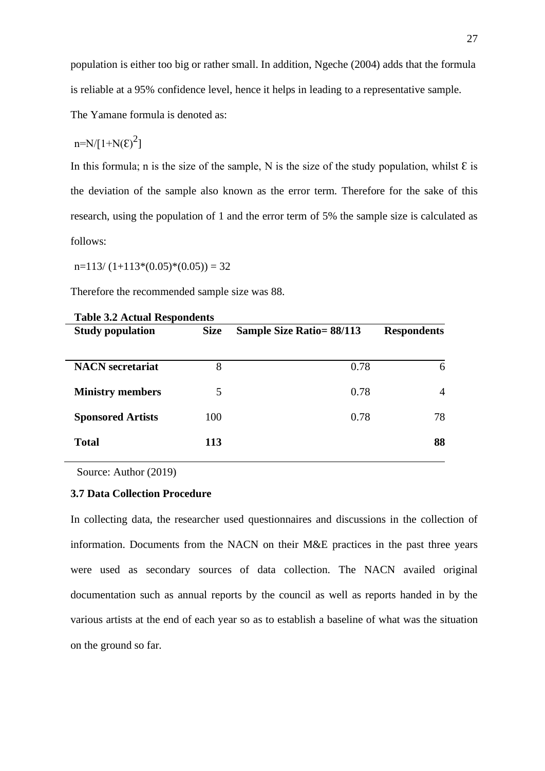population is either too big or rather small. In addition, Ngeche (2004) adds that the formula is reliable at a 95% confidence level, hence it helps in leading to a representative sample.

The Yamane formula is denoted as:

$$
n=N/[1{+}N(\epsilon)^2]
$$

In this formula; n is the size of the sample, N is the size of the study population, whilst  $\epsilon$  is the deviation of the sample also known as the error term. Therefore for the sake of this research, using the population of 1 and the error term of 5% the sample size is calculated as follows:

 $n=113/(1+113*(0.05)*(0.05)) = 32$ 

Therefore the recommended sample size was 88.

| <b>Study population</b>  | Table 3.4 Actual Respondents<br><b>Size</b><br><b>Sample Size Ratio= 88/113</b> |      | <b>Respondents</b> |  |
|--------------------------|---------------------------------------------------------------------------------|------|--------------------|--|
| <b>NACN</b> secretariat  | 8                                                                               | 0.78 | 6                  |  |
| <b>Ministry members</b>  | 5                                                                               | 0.78 | 4                  |  |
| <b>Sponsored Artists</b> | 100                                                                             | 0.78 | 78                 |  |
| <b>Total</b>             | 113                                                                             |      | 88                 |  |

|  |  |  | <b>Table 3.2 Actual Respondents</b> |
|--|--|--|-------------------------------------|
|--|--|--|-------------------------------------|

Source: Author (2019)

#### **3.7 Data Collection Procedure**

In collecting data, the researcher used questionnaires and discussions in the collection of information. Documents from the NACN on their M&E practices in the past three years were used as secondary sources of data collection. The NACN availed original documentation such as annual reports by the council as well as reports handed in by the various artists at the end of each year so as to establish a baseline of what was the situation on the ground so far.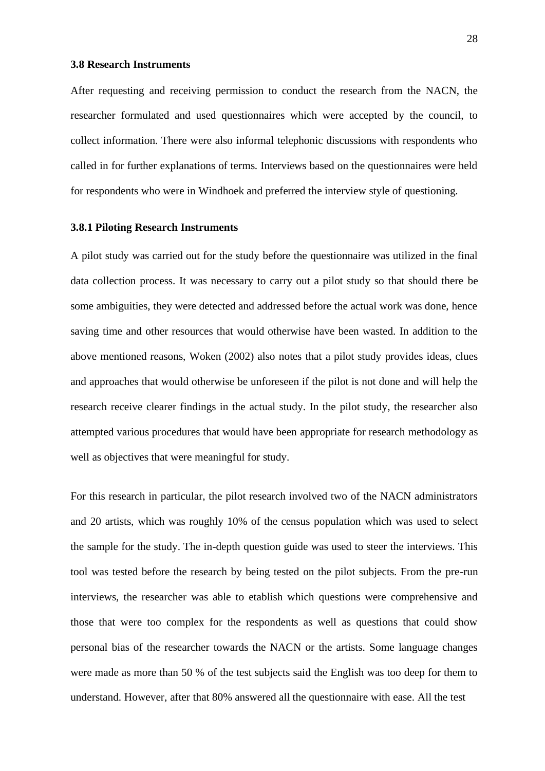#### **3.8 Research Instruments**

After requesting and receiving permission to conduct the research from the NACN, the researcher formulated and used questionnaires which were accepted by the council, to collect information. There were also informal telephonic discussions with respondents who called in for further explanations of terms. Interviews based on the questionnaires were held for respondents who were in Windhoek and preferred the interview style of questioning.

#### **3.8.1 Piloting Research Instruments**

A pilot study was carried out for the study before the questionnaire was utilized in the final data collection process. It was necessary to carry out a pilot study so that should there be some ambiguities, they were detected and addressed before the actual work was done, hence saving time and other resources that would otherwise have been wasted. In addition to the above mentioned reasons, Woken (2002) also notes that a pilot study provides ideas, clues and approaches that would otherwise be unforeseen if the pilot is not done and will help the research receive clearer findings in the actual study. In the pilot study, the researcher also attempted various procedures that would have been appropriate for research methodology as well as objectives that were meaningful for study.

For this research in particular, the pilot research involved two of the NACN administrators and 20 artists, which was roughly 10% of the census population which was used to select the sample for the study. The in-depth question guide was used to steer the interviews. This tool was tested before the research by being tested on the pilot subjects. From the pre-run interviews, the researcher was able to etablish which questions were comprehensive and those that were too complex for the respondents as well as questions that could show personal bias of the researcher towards the NACN or the artists. Some language changes were made as more than 50 % of the test subjects said the English was too deep for them to understand. However, after that 80% answered all the questionnaire with ease. All the test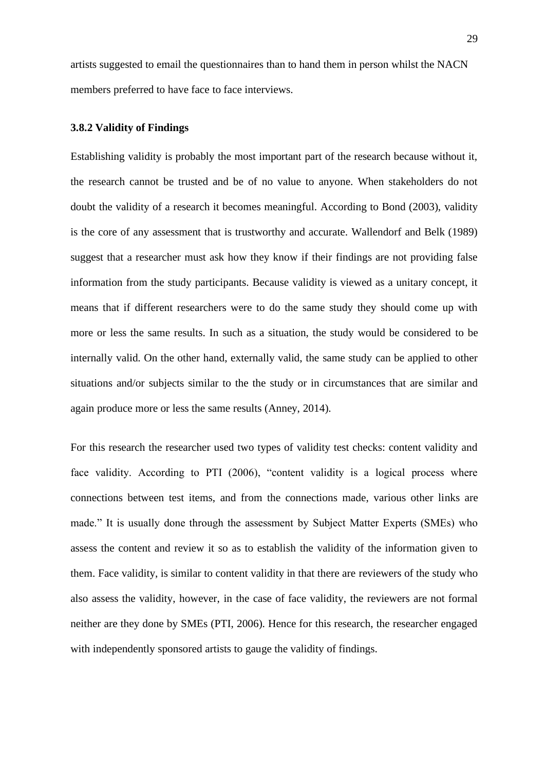artists suggested to email the questionnaires than to hand them in person whilst the NACN members preferred to have face to face interviews.

#### **3.8.2 Validity of Findings**

Establishing validity is probably the most important part of the research because without it, the research cannot be trusted and be of no value to anyone. When stakeholders do not doubt the validity of a research it becomes meaningful. According to Bond (2003), validity is the core of any assessment that is trustworthy and accurate. Wallendorf and Belk (1989) suggest that a researcher must ask how they know if their findings are not providing false information from the study participants. Because validity is viewed as a unitary concept, it means that if different researchers were to do the same study they should come up with more or less the same results. In such as a situation, the study would be considered to be internally valid. On the other hand, externally valid, the same study can be applied to other situations and/or subjects similar to the the study or in circumstances that are similar and again produce more or less the same results (Anney, 2014).

For this research the researcher used two types of validity test checks: content validity and face validity. According to PTI (2006), "content validity is a logical process where connections between test items, and from the connections made, various other links are made." It is usually done through the assessment by Subject Matter Experts (SMEs) who assess the content and review it so as to establish the validity of the information given to them. Face validity, is similar to content validity in that there are reviewers of the study who also assess the validity, however, in the case of face validity, the reviewers are not formal neither are they done by SMEs (PTI, 2006). Hence for this research, the researcher engaged with independently sponsored artists to gauge the validity of findings.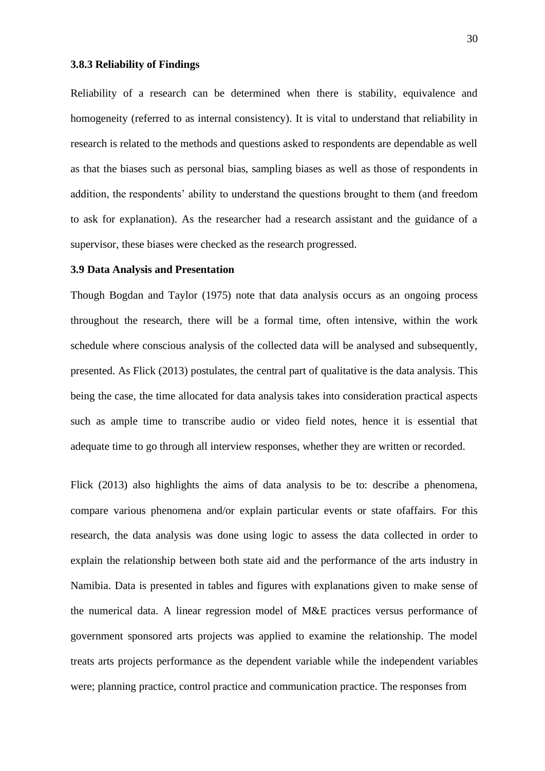#### **3.8.3 Reliability of Findings**

Reliability of a research can be determined when there is stability, equivalence and homogeneity (referred to as internal consistency). It is vital to understand that reliability in research is related to the methods and questions asked to respondents are dependable as well as that the biases such as personal bias, sampling biases as well as those of respondents in addition, the respondents' ability to understand the questions brought to them (and freedom to ask for explanation). As the researcher had a research assistant and the guidance of a supervisor, these biases were checked as the research progressed.

#### **3.9 Data Analysis and Presentation**

Though Bogdan and Taylor (1975) note that data analysis occurs as an ongoing process throughout the research, there will be a formal time, often intensive, within the work schedule where conscious analysis of the collected data will be analysed and subsequently, presented. As Flick (2013) postulates, the central part of qualitative is the data analysis. This being the case, the time allocated for data analysis takes into consideration practical aspects such as ample time to transcribe audio or video field notes, hence it is essential that adequate time to go through all interview responses, whether they are written or recorded.

Flick (2013) also highlights the aims of data analysis to be to: describe a phenomena, compare various phenomena and/or explain particular events or state ofaffairs. For this research, the data analysis was done using logic to assess the data collected in order to explain the relationship between both state aid and the performance of the arts industry in Namibia. Data is presented in tables and figures with explanations given to make sense of the numerical data. A linear regression model of M&E practices versus performance of government sponsored arts projects was applied to examine the relationship. The model treats arts projects performance as the dependent variable while the independent variables were; planning practice, control practice and communication practice. The responses from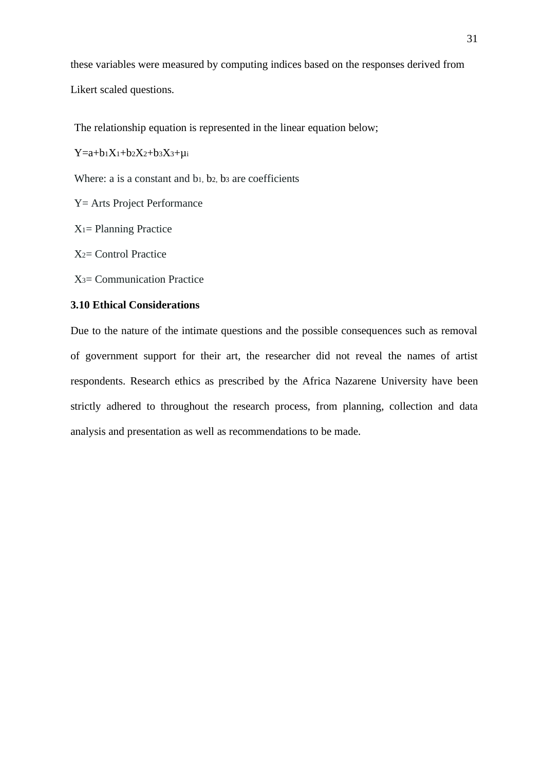these variables were measured by computing indices based on the responses derived from

Likert scaled questions.

The relationship equation is represented in the linear equation below;

 $Y=a+b_1X_1+b_2X_2+b_3X_3+\mu_1$ 

Where: a is a constant and b<sub>1</sub>, b<sub>2</sub>, b<sub>3</sub> are coefficients

Y= Arts Project Performance

X1= Planning Practice

X2= Control Practice

X3= Communication Practice

#### **3.10 Ethical Considerations**

Due to the nature of the intimate questions and the possible consequences such as removal of government support for their art, the researcher did not reveal the names of artist respondents. Research ethics as prescribed by the Africa Nazarene University have been strictly adhered to throughout the research process, from planning, collection and data analysis and presentation as well as recommendations to be made.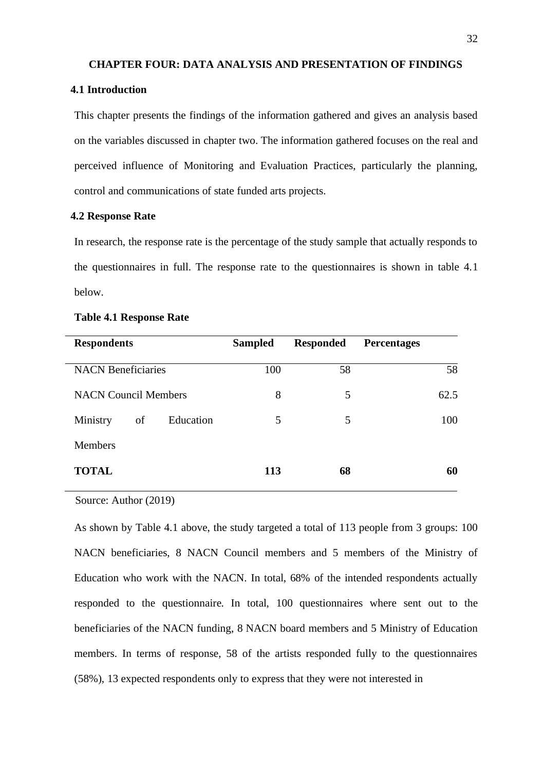#### **CHAPTER FOUR: DATA ANALYSIS AND PRESENTATION OF FINDINGS**

#### **4.1 Introduction**

This chapter presents the findings of the information gathered and gives an analysis based on the variables discussed in chapter two. The information gathered focuses on the real and perceived influence of Monitoring and Evaluation Practices, particularly the planning, control and communications of state funded arts projects.

#### **4.2 Response Rate**

In research, the response rate is the percentage of the study sample that actually responds to the questionnaires in full. The response rate to the questionnaires is shown in table 4.1 below.

| <b>Respondents</b>          | <b>Sampled</b> | <b>Responded</b> | <b>Percentages</b> |
|-----------------------------|----------------|------------------|--------------------|
| <b>NACN Beneficiaries</b>   | 100            | 58               | 58                 |
| <b>NACN Council Members</b> | 8              | 5                | 62.5               |
| Education<br>Ministry<br>of | 5              | 5                | 100                |
| <b>Members</b>              |                |                  |                    |
| <b>TOTAL</b>                | 113            | 68               | 60                 |
|                             |                |                  |                    |

#### **Table 4.1 Response Rate**

Source: Author (2019)

As shown by Table 4.1 above, the study targeted a total of 113 people from 3 groups: 100 NACN beneficiaries, 8 NACN Council members and 5 members of the Ministry of Education who work with the NACN. In total, 68% of the intended respondents actually responded to the questionnaire. In total, 100 questionnaires where sent out to the beneficiaries of the NACN funding, 8 NACN board members and 5 Ministry of Education members. In terms of response, 58 of the artists responded fully to the questionnaires (58%), 13 expected respondents only to express that they were not interested in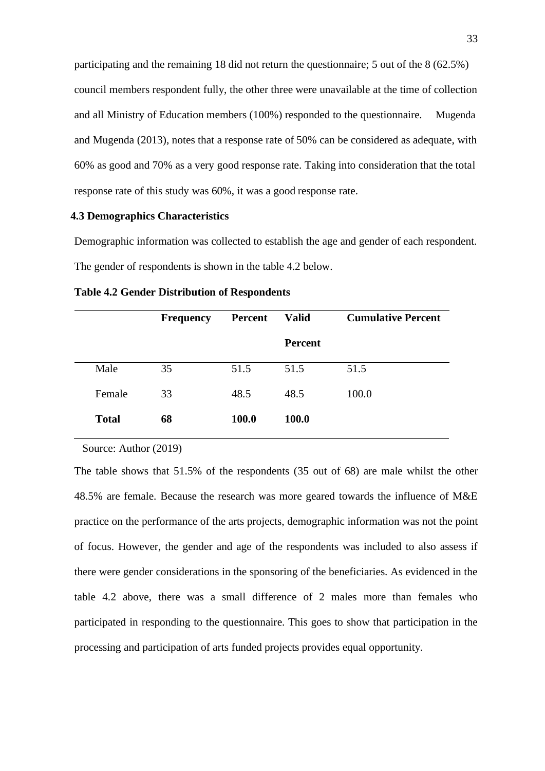participating and the remaining 18 did not return the questionnaire; 5 out of the 8 (62.5%) council members respondent fully, the other three were unavailable at the time of collection and all Ministry of Education members (100%) responded to the questionnaire. Mugenda and Mugenda (2013), notes that a response rate of 50% can be considered as adequate, with 60% as good and 70% as a very good response rate. Taking into consideration that the total response rate of this study was 60%, it was a good response rate.

#### **4.3 Demographics Characteristics**

Demographic information was collected to establish the age and gender of each respondent. The gender of respondents is shown in the table 4.2 below.

|              | <b>Frequency</b> | <b>Percent</b> | <b>Valid</b>   | <b>Cumulative Percent</b> |
|--------------|------------------|----------------|----------------|---------------------------|
|              |                  |                | <b>Percent</b> |                           |
| Male         | 35               | 51.5           | 51.5           | 51.5                      |
| Female       | 33               | 48.5           | 48.5           | 100.0                     |
| <b>Total</b> | 68               | 100.0          | 100.0          |                           |
|              |                  |                |                |                           |

**Table 4.2 Gender Distribution of Respondents**

Source: Author (2019)

The table shows that 51.5% of the respondents (35 out of 68) are male whilst the other 48.5% are female. Because the research was more geared towards the influence of M&E practice on the performance of the arts projects, demographic information was not the point of focus. However, the gender and age of the respondents was included to also assess if there were gender considerations in the sponsoring of the beneficiaries. As evidenced in the table 4.2 above, there was a small difference of 2 males more than females who participated in responding to the questionnaire. This goes to show that participation in the processing and participation of arts funded projects provides equal opportunity.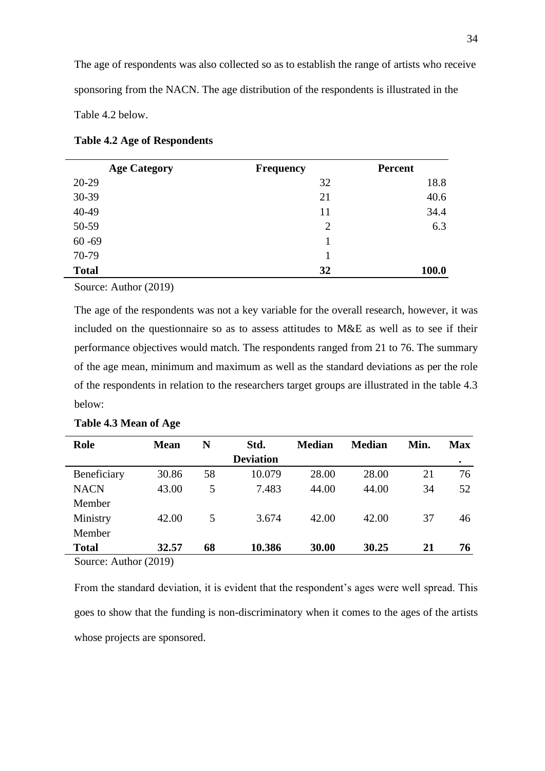The age of respondents was also collected so as to establish the range of artists who receive sponsoring from the NACN. The age distribution of the respondents is illustrated in the Table 4.2 below.

| <b>Table 4.2 Age of Respondents</b> |  |  |  |  |  |  |
|-------------------------------------|--|--|--|--|--|--|
|-------------------------------------|--|--|--|--|--|--|

| <b>Age Category</b> | <b>Frequency</b> | Percent |
|---------------------|------------------|---------|
| 20-29               | 32               | 18.8    |
| 30-39               | 21               | 40.6    |
| 40-49               | 11               | 34.4    |
| 50-59               | $\overline{2}$   | 6.3     |
| $60 - 69$           |                  |         |
| 70-79               |                  |         |
| <b>Total</b>        | 32               | 100.0   |

Source: Author (2019)

The age of the respondents was not a key variable for the overall research, however, it was included on the questionnaire so as to assess attitudes to M&E as well as to see if their performance objectives would match. The respondents ranged from 21 to 76. The summary of the age mean, minimum and maximum as well as the standard deviations as per the role of the respondents in relation to the researchers target groups are illustrated in the table 4.3 below:

| Role                           | <b>Mean</b> | N  | Std.             | <b>Median</b> | <b>Median</b> | Min. | <b>Max</b> |
|--------------------------------|-------------|----|------------------|---------------|---------------|------|------------|
|                                |             |    | <b>Deviation</b> |               |               |      |            |
| Beneficiary                    | 30.86       | 58 | 10.079           | 28.00         | 28.00         | 21   | 76         |
| <b>NACN</b>                    | 43.00       | 5  | 7.483            | 44.00         | 44.00         | 34   | 52         |
| Member                         |             |    |                  |               |               |      |            |
| Ministry                       | 42.00       | 5  | 3.674            | 42.00         | 42.00         | 37   | 46         |
| Member                         |             |    |                  |               |               |      |            |
| <b>Total</b>                   | 32.57       | 68 | 10.386           | 30.00         | 30.25         | 21   | 76         |
| $S_{\text{out}}$ Author (2010) |             |    |                  |               |               |      |            |

#### **Table 4.3 Mean of Age**

Source: Author (2019)

From the standard deviation, it is evident that the respondent's ages were well spread. This goes to show that the funding is non-discriminatory when it comes to the ages of the artists whose projects are sponsored.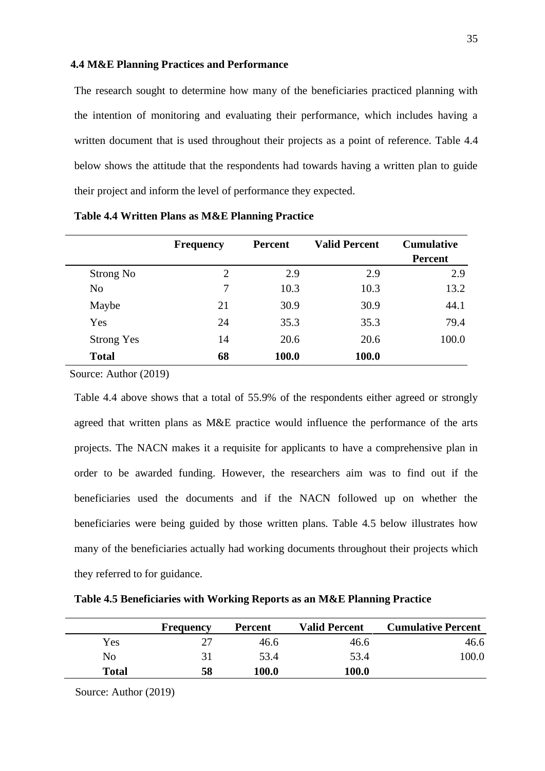#### **4.4 M&E Planning Practices and Performance**

The research sought to determine how many of the beneficiaries practiced planning with the intention of monitoring and evaluating their performance, which includes having a written document that is used throughout their projects as a point of reference. Table 4.4 below shows the attitude that the respondents had towards having a written plan to guide their project and inform the level of performance they expected.

|                   | <b>Frequency</b> | <b>Percent</b> | <b>Valid Percent</b> | <b>Cumulative</b><br><b>Percent</b> |
|-------------------|------------------|----------------|----------------------|-------------------------------------|
| Strong No         | $\overline{2}$   | 2.9            | 2.9                  | 2.9                                 |
| N <sub>o</sub>    | 7                | 10.3           | 10.3                 | 13.2                                |
| Maybe             | 21               | 30.9           | 30.9                 | 44.1                                |
| Yes               | 24               | 35.3           | 35.3                 | 79.4                                |
| <b>Strong Yes</b> | 14               | 20.6           | 20.6                 | 100.0                               |
| <b>Total</b>      | 68               | 100.0          | 100.0                |                                     |

**Table 4.4 Written Plans as M&E Planning Practice**

Source: Author (2019)

Table 4.4 above shows that a total of 55.9% of the respondents either agreed or strongly agreed that written plans as M&E practice would influence the performance of the arts projects. The NACN makes it a requisite for applicants to have a comprehensive plan in order to be awarded funding. However, the researchers aim was to find out if the beneficiaries used the documents and if the NACN followed up on whether the beneficiaries were being guided by those written plans. Table 4.5 below illustrates how many of the beneficiaries actually had working documents throughout their projects which they referred to for guidance.

**Table 4.5 Beneficiaries with Working Reports as an M&E Planning Practice**

|              | <b>Frequency</b> | <b>Percent</b> | <b>Valid Percent</b> | <b>Cumulative Percent</b> |
|--------------|------------------|----------------|----------------------|---------------------------|
| Yes          |                  | 46.6           | 46.6                 | 46.6                      |
| No           |                  | 53.4           | 53.4                 | 100.0                     |
| <b>Total</b> | 58               | <b>100.0</b>   | 100.0                |                           |

Source: Author (2019)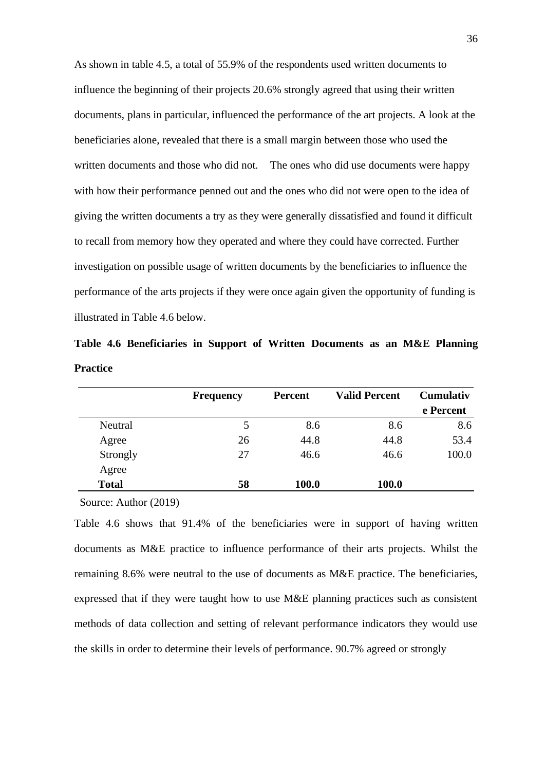As shown in table 4.5, a total of 55.9% of the respondents used written documents to influence the beginning of their projects 20.6% strongly agreed that using their written documents, plans in particular, influenced the performance of the art projects. A look at the beneficiaries alone, revealed that there is a small margin between those who used the written documents and those who did not. The ones who did use documents were happy with how their performance penned out and the ones who did not were open to the idea of giving the written documents a try as they were generally dissatisfied and found it difficult to recall from memory how they operated and where they could have corrected. Further investigation on possible usage of written documents by the beneficiaries to influence the performance of the arts projects if they were once again given the opportunity of funding is illustrated in Table 4.6 below.

**Table 4.6 Beneficiaries in Support of Written Documents as an M&E Planning Practice**

|              | <b>Frequency</b> | <b>Percent</b> | <b>Valid Percent</b> | <b>Cumulativ</b><br>e Percent |
|--------------|------------------|----------------|----------------------|-------------------------------|
|              |                  |                |                      |                               |
| Neutral      | 5                | 8.6            | 8.6                  | 8.6                           |
| Agree        | 26               | 44.8           | 44.8                 | 53.4                          |
| Strongly     | 27               | 46.6           | 46.6                 | 100.0                         |
| Agree        |                  |                |                      |                               |
| <b>Total</b> | 58               | 100.0          | 100.0                |                               |

Source: Author (2019)

Table 4.6 shows that 91.4% of the beneficiaries were in support of having written documents as M&E practice to influence performance of their arts projects. Whilst the remaining 8.6% were neutral to the use of documents as M&E practice. The beneficiaries, expressed that if they were taught how to use M&E planning practices such as consistent methods of data collection and setting of relevant performance indicators they would use the skills in order to determine their levels of performance. 90.7% agreed or strongly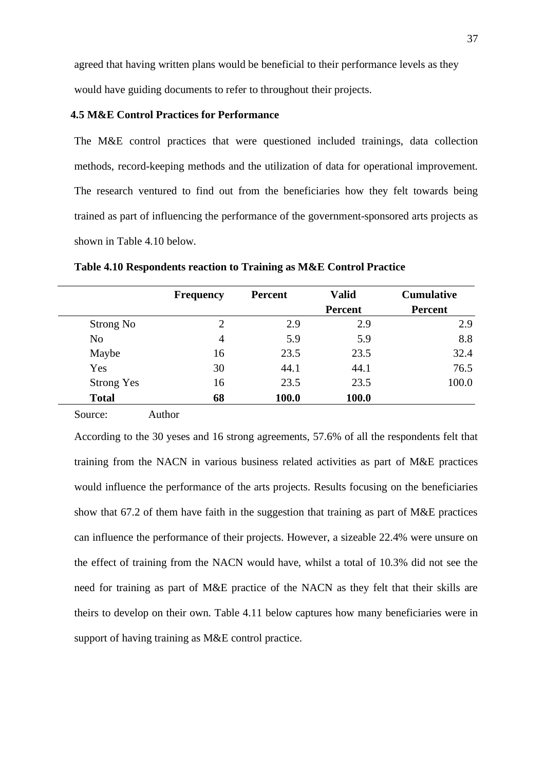agreed that having written plans would be beneficial to their performance levels as they would have guiding documents to refer to throughout their projects.

#### **4.5 M&E Control Practices for Performance**

The M&E control practices that were questioned included trainings, data collection methods, record-keeping methods and the utilization of data for operational improvement. The research ventured to find out from the beneficiaries how they felt towards being trained as part of influencing the performance of the government-sponsored arts projects as shown in Table 4.10 below.

|                   | <b>Frequency</b> | Percent | <b>Valid</b>   | <b>Cumulative</b> |
|-------------------|------------------|---------|----------------|-------------------|
|                   |                  |         | <b>Percent</b> | <b>Percent</b>    |
| Strong No         | 2                | 2.9     | 2.9            | 2.9               |
| N <sub>o</sub>    | 4                | 5.9     | 5.9            | 8.8               |
| Maybe             | 16               | 23.5    | 23.5           | 32.4              |
| Yes               | 30               | 44.1    | 44.1           | 76.5              |
| <b>Strong Yes</b> | 16               | 23.5    | 23.5           | 100.0             |
| <b>Total</b>      | 68               | 100.0   | 100.0          |                   |

**Table 4.10 Respondents reaction to Training as M&E Control Practice**

Source: Author

According to the 30 yeses and 16 strong agreements, 57.6% of all the respondents felt that training from the NACN in various business related activities as part of M&E practices would influence the performance of the arts projects. Results focusing on the beneficiaries show that 67.2 of them have faith in the suggestion that training as part of M&E practices can influence the performance of their projects. However, a sizeable 22.4% were unsure on the effect of training from the NACN would have, whilst a total of 10.3% did not see the need for training as part of M&E practice of the NACN as they felt that their skills are theirs to develop on their own. Table 4.11 below captures how many beneficiaries were in support of having training as M&E control practice.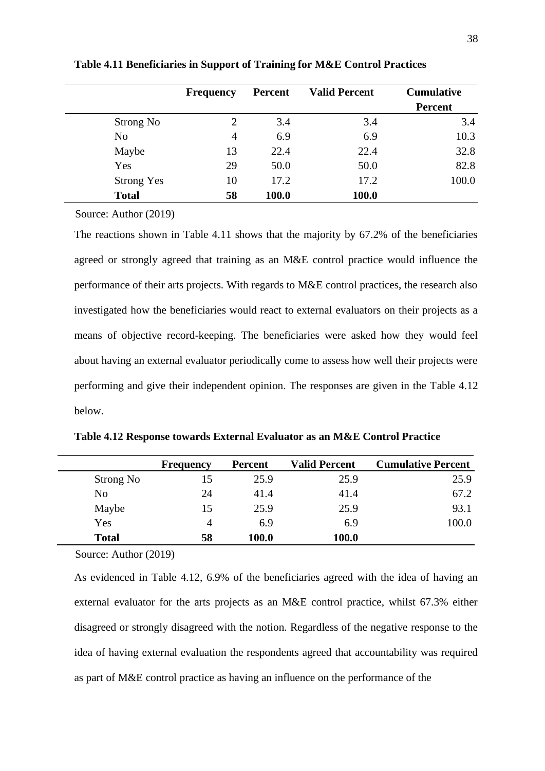|                   | <b>Frequency</b> | Percent | <b>Valid Percent</b> | <b>Cumulative</b><br><b>Percent</b> |
|-------------------|------------------|---------|----------------------|-------------------------------------|
| Strong No         | $\overline{c}$   | 3.4     | 3.4                  | 3.4                                 |
| No                | 4                | 6.9     | 6.9                  | 10.3                                |
| Maybe             | 13               | 22.4    | 22.4                 | 32.8                                |
| Yes               | 29               | 50.0    | 50.0                 | 82.8                                |
| <b>Strong Yes</b> | 10               | 17.2    | 17.2                 | 100.0                               |
| <b>Total</b>      | 58               | 100.0   | 100.0                |                                     |

**Table 4.11 Beneficiaries in Support of Training for M&E Control Practices**

Source: Author (2019)

The reactions shown in Table 4.11 shows that the majority by 67.2% of the beneficiaries agreed or strongly agreed that training as an M&E control practice would influence the performance of their arts projects. With regards to M&E control practices, the research also investigated how the beneficiaries would react to external evaluators on their projects as a means of objective record-keeping. The beneficiaries were asked how they would feel about having an external evaluator periodically come to assess how well their projects were performing and give their independent opinion. The responses are given in the Table 4.12 below.

| Table 4.12 Response towards External Evaluator as an M&E Control Practice |  |
|---------------------------------------------------------------------------|--|
|---------------------------------------------------------------------------|--|

|                | <b>Frequency</b> | <b>Percent</b> | <b>Valid Percent</b> | <b>Cumulative Percent</b> |
|----------------|------------------|----------------|----------------------|---------------------------|
| Strong No      | 15               | 25.9           | 25.9                 | 25.9                      |
| N <sub>o</sub> | 24               | 41.4           | 41.4                 | 67.2                      |
| Maybe          | 15               | 25.9           | 25.9                 | 93.1                      |
| Yes            | 4                | 6.9            | 6.9                  | 100.0                     |
| <b>Total</b>   | 58               | 100.0          | 100.0                |                           |

Source: Author (2019)

As evidenced in Table 4.12, 6.9% of the beneficiaries agreed with the idea of having an external evaluator for the arts projects as an M&E control practice, whilst 67.3% either disagreed or strongly disagreed with the notion. Regardless of the negative response to the idea of having external evaluation the respondents agreed that accountability was required as part of M&E control practice as having an influence on the performance of the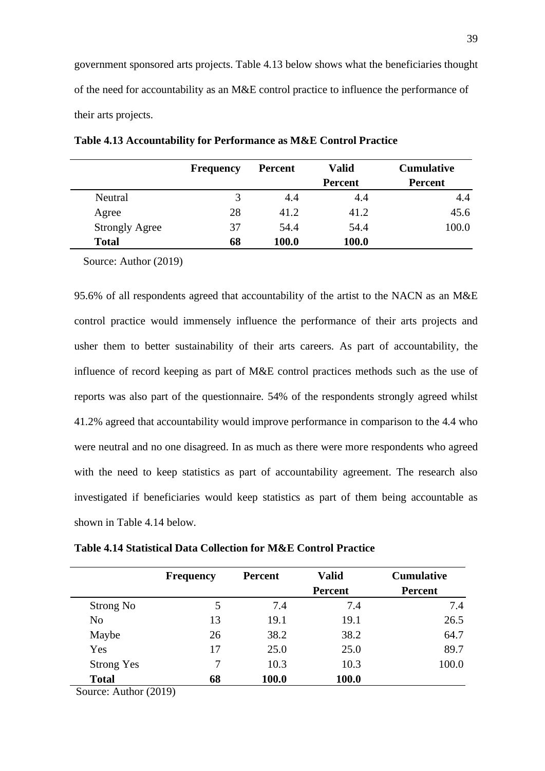government sponsored arts projects. Table 4.13 below shows what the beneficiaries thought of the need for accountability as an M&E control practice to influence the performance of their arts projects.

|                       | <b>Frequency</b> | <b>Percent</b> | <b>Valid</b>   | <b>Cumulative</b> |
|-----------------------|------------------|----------------|----------------|-------------------|
|                       |                  |                | <b>Percent</b> | <b>Percent</b>    |
| Neutral               | 3                | 4.4            | 4.4            | 4.4               |
| Agree                 | 28               | 41.2           | 41.2           | 45.6              |
| <b>Strongly Agree</b> | 37               | 54.4           | 54.4           | 100.0             |
| <b>Total</b>          | 68               | 100.0          | 100.0          |                   |

**Table 4.13 Accountability for Performance as M&E Control Practice**

Source: Author (2019)

95.6% of all respondents agreed that accountability of the artist to the NACN as an M&E control practice would immensely influence the performance of their arts projects and usher them to better sustainability of their arts careers. As part of accountability, the influence of record keeping as part of M&E control practices methods such as the use of reports was also part of the questionnaire. 54% of the respondents strongly agreed whilst 41.2% agreed that accountability would improve performance in comparison to the 4.4 who were neutral and no one disagreed. In as much as there were more respondents who agreed with the need to keep statistics as part of accountability agreement. The research also investigated if beneficiaries would keep statistics as part of them being accountable as shown in Table 4.14 below.

|                   | <b>Frequency</b> | <b>Percent</b> | <b>Valid</b> | <b>Cumulative</b> |
|-------------------|------------------|----------------|--------------|-------------------|
|                   |                  |                | Percent      | Percent           |
| Strong No         | 5                | 7.4            | 7.4          | 7.4               |
| N <sub>o</sub>    | 13               | 19.1           | 19.1         | 26.5              |
| Maybe             | 26               | 38.2           | 38.2         | 64.7              |
| Yes               | 17               | 25.0           | 25.0         | 89.7              |
| <b>Strong Yes</b> | 7                | 10.3           | 10.3         | 100.0             |
| <b>Total</b>      | 68               | 100.0          | 100.0        |                   |

**Table 4.14 Statistical Data Collection for M&E Control Practice**

Source: Author (2019)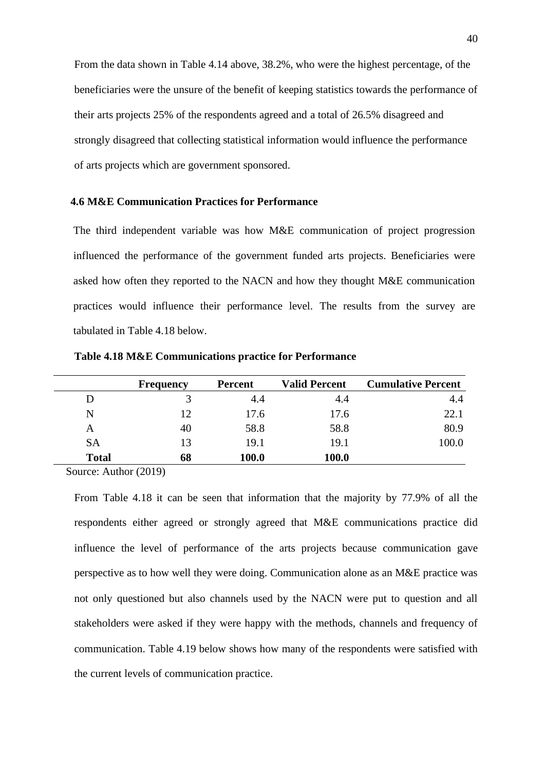From the data shown in Table 4.14 above, 38.2%, who were the highest percentage, of the beneficiaries were the unsure of the benefit of keeping statistics towards the performance of their arts projects 25% of the respondents agreed and a total of 26.5% disagreed and strongly disagreed that collecting statistical information would influence the performance of arts projects which are government sponsored.

#### **4.6 M&E Communication Practices for Performance**

The third independent variable was how M&E communication of project progression influenced the performance of the government funded arts projects. Beneficiaries were asked how often they reported to the NACN and how they thought M&E communication practices would influence their performance level. The results from the survey are tabulated in Table 4.18 below.

|              | <b>Frequency</b> | Percent | <b>Valid Percent</b> | <b>Cumulative Percent</b> |
|--------------|------------------|---------|----------------------|---------------------------|
| D            |                  | 4.4     | 4.4                  | 4.4                       |
| N            | 12               | 17.6    | 17.6                 | 22.1                      |
| А            | 40               | 58.8    | 58.8                 | 80.9                      |
| <b>SA</b>    | 13               | 19.1    | 19.1                 | 100.0                     |
| <b>Total</b> | 68               | 100.0   | 100.0                |                           |

**Table 4.18 M&E Communications practice for Performance**

Source: Author (2019)

From Table 4.18 it can be seen that information that the majority by 77.9% of all the respondents either agreed or strongly agreed that M&E communications practice did influence the level of performance of the arts projects because communication gave perspective as to how well they were doing. Communication alone as an M&E practice was not only questioned but also channels used by the NACN were put to question and all stakeholders were asked if they were happy with the methods, channels and frequency of communication. Table 4.19 below shows how many of the respondents were satisfied with the current levels of communication practice.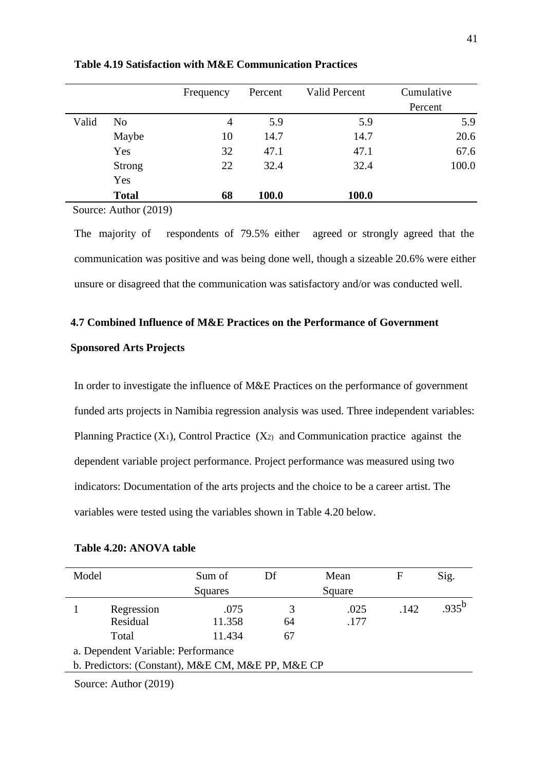|               | Frequency      | Percent | Valid Percent | Cumulative |
|---------------|----------------|---------|---------------|------------|
|               |                |         |               | Percent    |
| No            | $\overline{4}$ | 5.9     | 5.9           | 5.9        |
| Maybe         | 10             | 14.7    | 14.7          | 20.6       |
| Yes           | 32             | 47.1    | 47.1          | 67.6       |
| <b>Strong</b> | 22             | 32.4    | 32.4          | 100.0      |
| Yes           |                |         |               |            |
| <b>Total</b>  | 68             | 100.0   | 100.0         |            |
|               |                |         |               |            |

**Table 4.19 Satisfaction with M&E Communication Practices**

Source: Author (2019)

The majority of respondents of 79.5% either agreed or strongly agreed that the communication was positive and was being done well, though a sizeable 20.6% were either unsure or disagreed that the communication was satisfactory and/or was conducted well.

#### **4.7 Combined Influence of M&E Practices on the Performance of Government**

#### **Sponsored Arts Projects**

In order to investigate the influence of M&E Practices on the performance of government funded arts projects in Namibia regression analysis was used. Three independent variables: Planning Practice  $(X_1)$ , Control Practice  $(X_2)$  and Communication practice against the dependent variable project performance. Project performance was measured using two indicators: Documentation of the arts projects and the choice to be a career artist. The variables were tested using the variables shown in Table 4.20 below.

| Table 4.20: ANOVA table |  |  |
|-------------------------|--|--|
|-------------------------|--|--|

| Model |                                                   | Sum of         | Df      | Mean         | F    | Sig.       |
|-------|---------------------------------------------------|----------------|---------|--------------|------|------------|
|       |                                                   | Squares        |         | Square       |      |            |
|       | Regression<br>Residual                            | .075<br>11.358 | 3<br>64 | .025<br>.177 | .142 | $.935^{b}$ |
|       | Total                                             | 11.434         | 67      |              |      |            |
|       | a. Dependent Variable: Performance                |                |         |              |      |            |
|       | b. Predictors: (Constant), M&E CM, M&E PP, M&E CP |                |         |              |      |            |
|       |                                                   |                |         |              |      |            |

Source: Author (2019)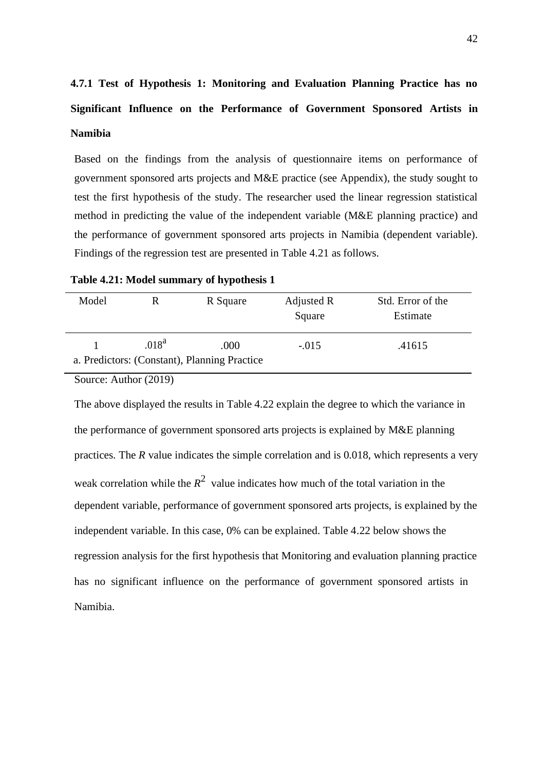# **4.7.1 Test of Hypothesis 1: Monitoring and Evaluation Planning Practice has no Significant Influence on the Performance of Government Sponsored Artists in Namibia**

Based on the findings from the analysis of questionnaire items on performance of government sponsored arts projects and M&E practice (see Appendix), the study sought to test the first hypothesis of the study. The researcher used the linear regression statistical method in predicting the value of the independent variable (M&E planning practice) and the performance of government sponsored arts projects in Namibia (dependent variable). Findings of the regression test are presented in Table 4.21 as follows.

| Table 4.21: Model summary of hypothesis 1 |  |
|-------------------------------------------|--|
|-------------------------------------------|--|

| Model |            | R Square                                             | Adjusted R<br>Square | Std. Error of the<br>Estimate |
|-------|------------|------------------------------------------------------|----------------------|-------------------------------|
|       | $.018^{a}$ | .000<br>a. Predictors: (Constant), Planning Practice | $-.015$              | .41615                        |

Source: Author (2019)

The above displayed the results in Table 4.22 explain the degree to which the variance in the performance of government sponsored arts projects is explained by M&E planning practices. The *R* value indicates the simple correlation and is 0.018, which represents a very weak correlation while the  $R^2$  value indicates how much of the total variation in the dependent variable, performance of government sponsored arts projects, is explained by the independent variable. In this case, 0% can be explained. Table 4.22 below shows the regression analysis for the first hypothesis that Monitoring and evaluation planning practice has no significant influence on the performance of government sponsored artists in Namibia.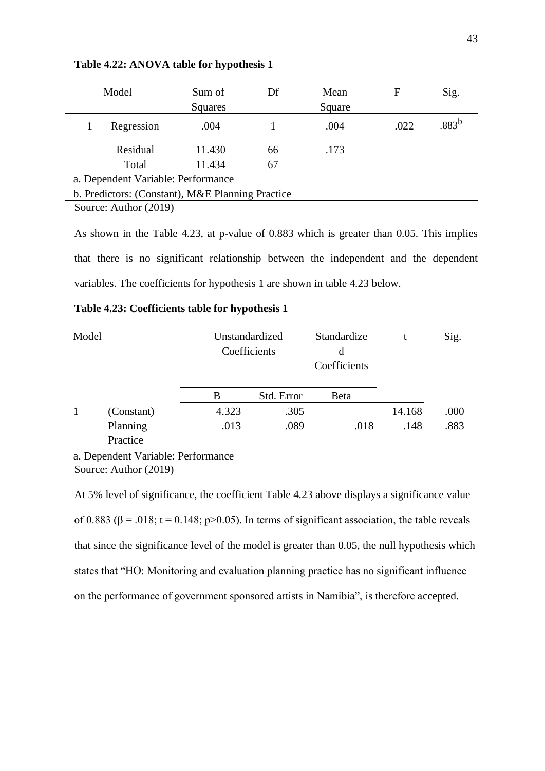|                                                  | Model                 | Sum of  | Df | Mean   | F    | Sig.        |
|--------------------------------------------------|-----------------------|---------|----|--------|------|-------------|
|                                                  |                       | Squares |    | Square |      |             |
|                                                  | Regression            | .004    |    | .004   | .022 | $0.883^{b}$ |
|                                                  | Residual              | 11.430  | 66 | .173   |      |             |
|                                                  | Total                 | 11.434  | 67 |        |      |             |
| a. Dependent Variable: Performance               |                       |         |    |        |      |             |
| b. Predictors: (Constant), M&E Planning Practice |                       |         |    |        |      |             |
|                                                  | Source: Author (2019) |         |    |        |      |             |

**Table 4.22: ANOVA table for hypothesis 1**

As shown in the Table 4.23, at p-value of 0.883 which is greater than 0.05. This implies that there is no significant relationship between the independent and the dependent variables. The coefficients for hypothesis 1 are shown in table 4.23 below.

| Model                              |            |       | Unstandardized<br>Coefficients | Standardize<br>d<br>Coefficients |        | Sig. |
|------------------------------------|------------|-------|--------------------------------|----------------------------------|--------|------|
|                                    |            | B     | Std. Error                     | <b>Beta</b>                      |        |      |
|                                    | (Constant) | 4.323 | .305                           |                                  | 14.168 | .000 |
|                                    | Planning   | .013  | .089                           | .018                             | .148   | .883 |
|                                    | Practice   |       |                                |                                  |        |      |
| a. Dependent Variable: Performance |            |       |                                |                                  |        |      |
| Source: Author (2019)              |            |       |                                |                                  |        |      |

**Table 4.23: Coefficients table for hypothesis 1**

At 5% level of significance, the coefficient Table 4.23 above displays a significance value of 0.883 ( $\beta$  = .018; t = 0.148; p>0.05). In terms of significant association, the table reveals that since the significance level of the model is greater than 0.05, the null hypothesis which states that "HO: Monitoring and evaluation planning practice has no significant influence on the performance of government sponsored artists in Namibia", is therefore accepted.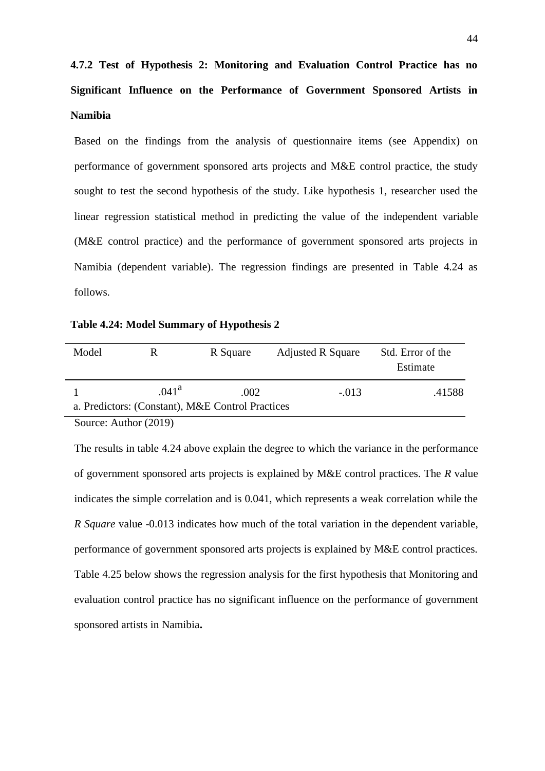**4.7.2 Test of Hypothesis 2: Monitoring and Evaluation Control Practice has no Significant Influence on the Performance of Government Sponsored Artists in Namibia**

Based on the findings from the analysis of questionnaire items (see Appendix) on performance of government sponsored arts projects and M&E control practice, the study sought to test the second hypothesis of the study. Like hypothesis 1, researcher used the linear regression statistical method in predicting the value of the independent variable (M&E control practice) and the performance of government sponsored arts projects in Namibia (dependent variable). The regression findings are presented in Table 4.24 as follows.

**Table 4.24: Model Summary of Hypothesis 2**

| Model |                   | R Square                                                 | <b>Adjusted R Square</b> | Std. Error of the<br>Estimate |
|-------|-------------------|----------------------------------------------------------|--------------------------|-------------------------------|
|       | .041 <sup>a</sup> | .002<br>a. Predictors: (Constant), M&E Control Practices | $-.013$                  | .41588                        |

Source: Author (2019)

The results in table 4.24 above explain the degree to which the variance in the performance of government sponsored arts projects is explained by M&E control practices. The *R* value indicates the simple correlation and is 0.041, which represents a weak correlation while the *R Square* value -0.013 indicates how much of the total variation in the dependent variable, performance of government sponsored arts projects is explained by M&E control practices. Table 4.25 below shows the regression analysis for the first hypothesis that Monitoring and evaluation control practice has no significant influence on the performance of government sponsored artists in Namibia**.**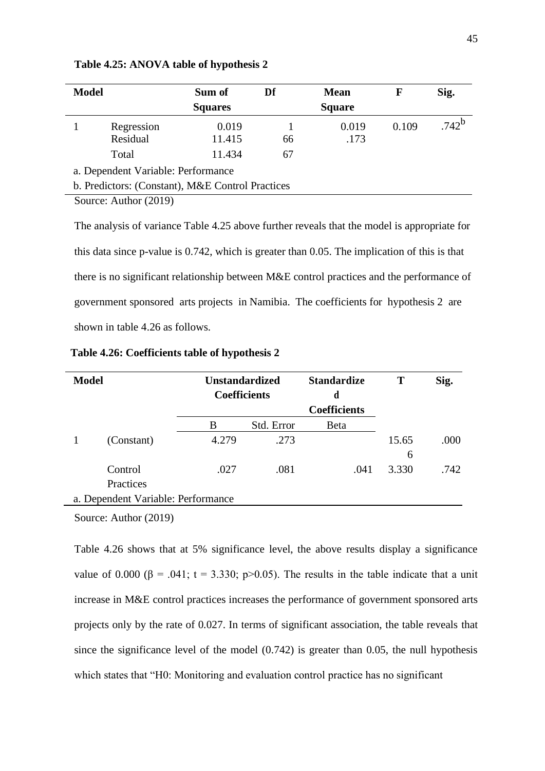| <b>Model</b> |                                                  | Sum of          | Df | <b>Mean</b>   | F     | Sig.     |
|--------------|--------------------------------------------------|-----------------|----|---------------|-------|----------|
|              |                                                  | <b>Squares</b>  |    | <b>Square</b> |       |          |
|              | Regression<br>Residual                           | 0.019<br>11.415 | 66 | 0.019<br>.173 | 0.109 | $.742^b$ |
|              | Total                                            | 11.434          | 67 |               |       |          |
|              | a. Dependent Variable: Performance               |                 |    |               |       |          |
|              | b. Predictors: (Constant), M&E Control Practices |                 |    |               |       |          |
|              | $\alpha$ $\lambda$ $\mu$ $\beta$ $\alpha$        |                 |    |               |       |          |

**Table 4.25: ANOVA table of hypothesis 2**

Source: Author (2019)

The analysis of variance Table 4.25 above further reveals that the model is appropriate for this data since p-value is 0.742, which is greater than 0.05. The implication of this is that there is no significant relationship between M&E control practices and the performance of government sponsored arts projects in Namibia. The coefficients for hypothesis 2 are shown in table 4.26 as follows.

| <b>Model</b>                       | <b>Unstandardized</b> |            | <b>Standardize</b>  | Т     | Sig. |
|------------------------------------|-----------------------|------------|---------------------|-------|------|
|                                    | <b>Coefficients</b>   |            | d                   |       |      |
|                                    |                       |            | <b>Coefficients</b> |       |      |
|                                    | B                     | Std. Error | Beta                |       |      |
| (Constant)                         | 4.279                 | .273       |                     | 15.65 | .000 |
|                                    |                       |            |                     | 6     |      |
| Control                            | .027                  | .081       | .041                | 3.330 | .742 |
| Practices                          |                       |            |                     |       |      |
| a. Dependent Variable: Performance |                       |            |                     |       |      |

**Table 4.26: Coefficients table of hypothesis 2**

Source: Author (2019)

Table 4.26 shows that at 5% significance level, the above results display a significance value of 0.000 ( $\beta$  = .041; t = 3.330; p>0.05). The results in the table indicate that a unit increase in M&E control practices increases the performance of government sponsored arts projects only by the rate of 0.027. In terms of significant association, the table reveals that since the significance level of the model (0.742) is greater than 0.05, the null hypothesis which states that "H0: Monitoring and evaluation control practice has no significant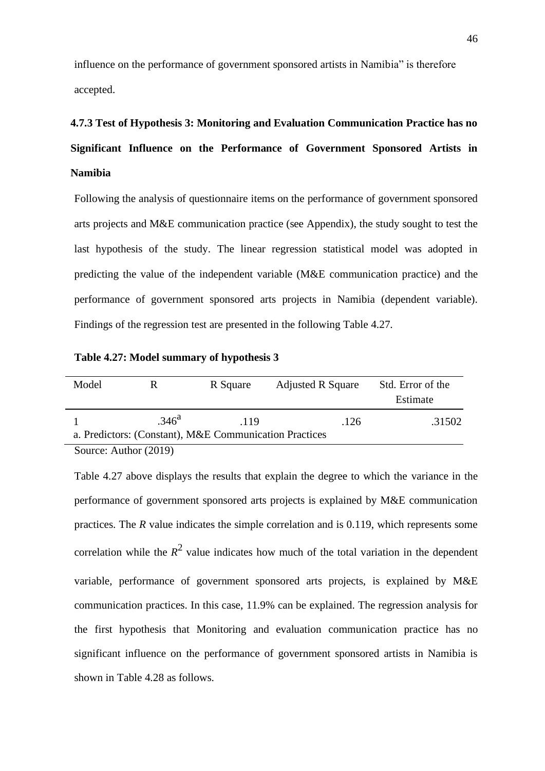influence on the performance of government sponsored artists in Namibia" is therefore accepted.

# **4.7.3 Test of Hypothesis 3: Monitoring and Evaluation Communication Practice has no Significant Influence on the Performance of Government Sponsored Artists in Namibia**

Following the analysis of questionnaire items on the performance of government sponsored arts projects and M&E communication practice (see Appendix), the study sought to test the last hypothesis of the study. The linear regression statistical model was adopted in predicting the value of the independent variable (M&E communication practice) and the performance of government sponsored arts projects in Namibia (dependent variable). Findings of the regression test are presented in the following Table 4.27.

**Table 4.27: Model summary of hypothesis 3**

| Model | к                 | R Square                                                       | <b>Adjusted R Square</b> | Std. Error of the<br>Estimate |
|-------|-------------------|----------------------------------------------------------------|--------------------------|-------------------------------|
|       |                   |                                                                |                          |                               |
|       | .346 <sup>a</sup> | .119<br>a. Predictors: (Constant), M&E Communication Practices | .126                     | .31502                        |
|       |                   |                                                                |                          |                               |

Source: Author (2019)

Table 4.27 above displays the results that explain the degree to which the variance in the performance of government sponsored arts projects is explained by M&E communication practices. The *R* value indicates the simple correlation and is 0.119, which represents some correlation while the  $R^2$  value indicates how much of the total variation in the dependent variable, performance of government sponsored arts projects, is explained by M&E communication practices. In this case, 11.9% can be explained. The regression analysis for the first hypothesis that Monitoring and evaluation communication practice has no significant influence on the performance of government sponsored artists in Namibia is shown in Table 4.28 as follows.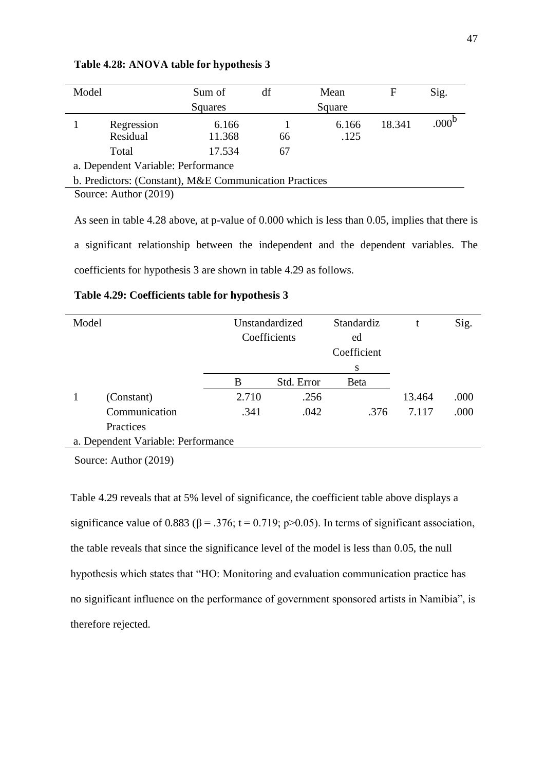| Model |                                                        | Sum of  | df | Mean   | F      | Sig.              |
|-------|--------------------------------------------------------|---------|----|--------|--------|-------------------|
|       |                                                        | Squares |    | Square |        |                   |
|       | Regression                                             | 6.166   |    | 6.166  | 18.341 | .000 <sup>r</sup> |
|       | Residual                                               | 11.368  | 66 | .125   |        |                   |
|       | Total                                                  | 17.534  | 67 |        |        |                   |
|       | a. Dependent Variable: Performance                     |         |    |        |        |                   |
|       | b. Predictors: (Constant), M&E Communication Practices |         |    |        |        |                   |
|       | Source: Author (2019)                                  |         |    |        |        |                   |

#### **Table 4.28: ANOVA table for hypothesis 3**

As seen in table 4.28 above, at p-value of 0.000 which is less than 0.05, implies that there is a significant relationship between the independent and the dependent variables. The coefficients for hypothesis 3 are shown in table 4.29 as follows.

|  | Table 4.29: Coefficients table for hypothesis 3 |  |  |  |
|--|-------------------------------------------------|--|--|--|
|--|-------------------------------------------------|--|--|--|

| Model                              |               | Unstandardized |              | Standardiz   |        | Sig. |
|------------------------------------|---------------|----------------|--------------|--------------|--------|------|
|                                    |               |                | Coefficients | ed           |        |      |
|                                    |               |                |              | Coefficient  |        |      |
|                                    |               |                |              | S            |        |      |
|                                    |               | В              | Std. Error   | <b>B</b> eta |        |      |
|                                    | (Constant)    | 2.710          | .256         |              | 13.464 | .000 |
|                                    | Communication | .341           | .042         | .376         | 7.117  | .000 |
|                                    | Practices     |                |              |              |        |      |
| a. Dependent Variable: Performance |               |                |              |              |        |      |

Source: Author (2019)

Table 4.29 reveals that at 5% level of significance, the coefficient table above displays a significance value of 0.883 ( $\beta$  = .376; t = 0.719; p>0.05). In terms of significant association, the table reveals that since the significance level of the model is less than 0.05, the null hypothesis which states that "HO: Monitoring and evaluation communication practice has no significant influence on the performance of government sponsored artists in Namibia", is therefore rejected.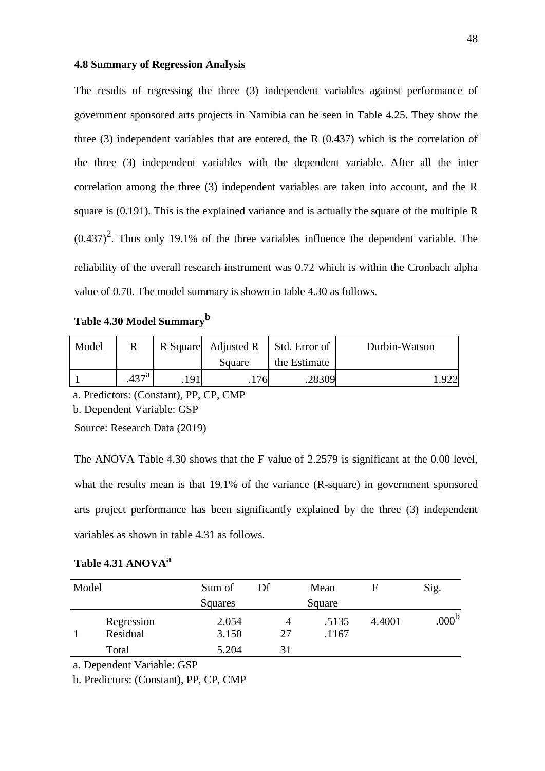#### **4.8 Summary of Regression Analysis**

The results of regressing the three (3) independent variables against performance of government sponsored arts projects in Namibia can be seen in Table 4.25. They show the three (3) independent variables that are entered, the R (0.437) which is the correlation of the three (3) independent variables with the dependent variable. After all the inter correlation among the three (3) independent variables are taken into account, and the R square is (0.191). This is the explained variance and is actually the square of the multiple R  $(0.437)^2$ . Thus only 19.1% of the three variables influence the dependent variable. The reliability of the overall research instrument was 0.72 which is within the Cronbach alpha value of 0.70. The model summary is shown in table 4.30 as follows.

**Table 4.30 Model Summary<sup>b</sup>**

| Model |            | R Square Adjusted R | Std. Error of | Durbin-Watson |
|-------|------------|---------------------|---------------|---------------|
|       |            | Square              | the Estimate  |               |
|       | $.437^{a}$ | '76                 | 28309         |               |

a. Predictors: (Constant), PP, CP, CMP

b. Dependent Variable: GSP

Source: Research Data (2019)

The ANOVA Table 4.30 shows that the F value of 2.2579 is significant at the 0.00 level, what the results mean is that 19.1% of the variance (R-square) in government sponsored arts project performance has been significantly explained by the three (3) independent variables as shown in table 4.31 as follows.

# **Table 4.31 ANOVA<sup>a</sup>**

| Squares<br>Square<br>2.054<br>4.4001<br>.5135<br>Regression<br>4<br>Residual<br>3.150<br>.1167<br>27<br>Total<br>5.204 | Model | Sum of | Df | Mean | н | Sig.              |
|------------------------------------------------------------------------------------------------------------------------|-------|--------|----|------|---|-------------------|
|                                                                                                                        |       |        |    |      |   |                   |
|                                                                                                                        |       |        |    |      |   | .000 <sup>b</sup> |
|                                                                                                                        |       |        |    |      |   |                   |

a. Dependent Variable: GSP

b. Predictors: (Constant), PP, CP, CMP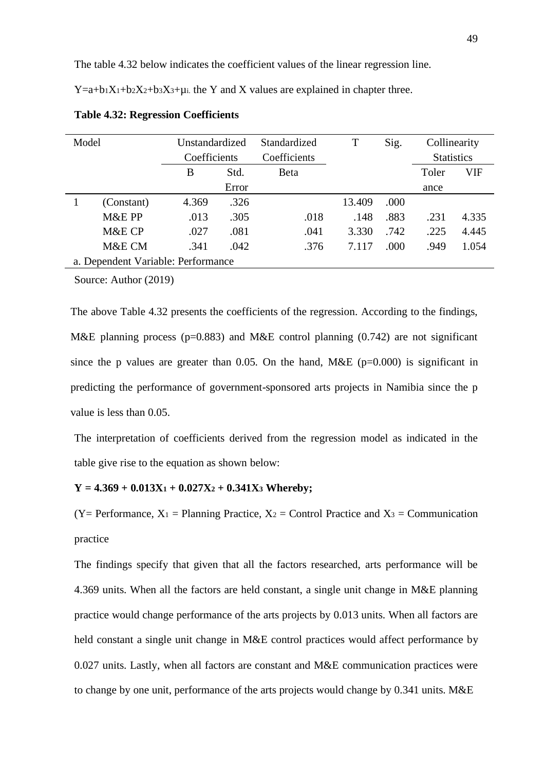The table 4.32 below indicates the coefficient values of the linear regression line.

 $Y=a+b_1X_1+b_2X_2+b_3X_3+\mu$  i. the Y and X values are explained in chapter three.

| Model                              |            | Unstandardized |       | Standardized | T      | Sig. | Collinearity      |            |
|------------------------------------|------------|----------------|-------|--------------|--------|------|-------------------|------------|
|                                    |            | Coefficients   |       | Coefficients |        |      | <b>Statistics</b> |            |
|                                    |            | B              | Std.  | <b>B</b> eta |        |      | Toler             | <b>VIF</b> |
|                                    |            |                | Error |              |        |      | ance              |            |
|                                    | (Constant) | 4.369          | .326  |              | 13.409 | .000 |                   |            |
|                                    | M&E PP     | .013           | .305  | .018         | .148   | .883 | .231              | 4.335      |
|                                    | M&E CP     | .027           | .081  | .041         | 3.330  | .742 | .225              | 4.445      |
|                                    | M&E CM     | .341           | .042  | .376         | 7.117  | .000 | .949              | 1.054      |
| a. Dependent Variable: Performance |            |                |       |              |        |      |                   |            |

|  | <b>Table 4.32: Regression Coefficients</b> |  |
|--|--------------------------------------------|--|
|--|--------------------------------------------|--|

Source: Author (2019)

The above Table 4.32 presents the coefficients of the regression. According to the findings, M&E planning process ( $p=0.883$ ) and M&E control planning (0.742) are not significant since the p values are greater than 0.05. On the hand, M&E ( $p=0.000$ ) is significant in predicting the performance of government-sponsored arts projects in Namibia since the p value is less than 0.05.

The interpretation of coefficients derived from the regression model as indicated in the table give rise to the equation as shown below:

#### **Y = 4.369 + 0.013X<sup>1</sup> + 0.027X<sup>2</sup> + 0.341X<sup>3</sup> Whereby;**

 $(Y = Performance, X_1 = Planning Practice, X_2 = Control Practice and X_3 = Communication$ practice

The findings specify that given that all the factors researched, arts performance will be 4.369 units. When all the factors are held constant, a single unit change in M&E planning practice would change performance of the arts projects by 0.013 units. When all factors are held constant a single unit change in M&E control practices would affect performance by 0.027 units. Lastly, when all factors are constant and M&E communication practices were to change by one unit, performance of the arts projects would change by 0.341 units. M&E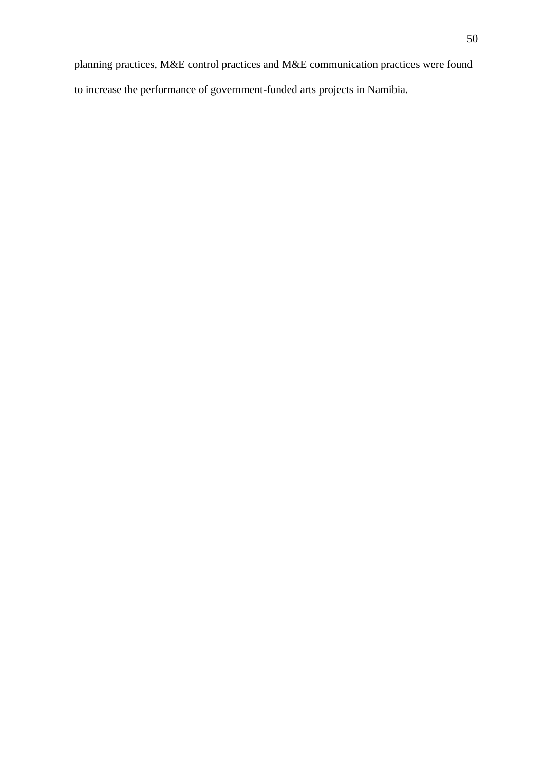planning practices, M&E control practices and M&E communication practices were found to increase the performance of government-funded arts projects in Namibia.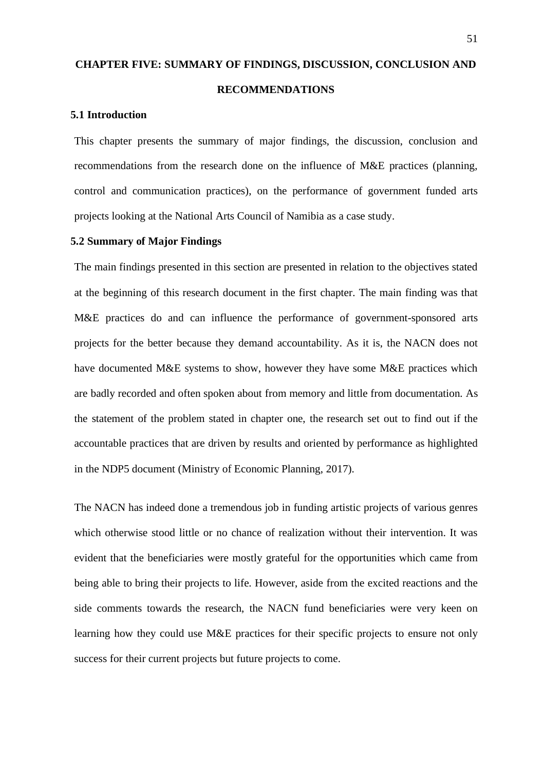# **CHAPTER FIVE: SUMMARY OF FINDINGS, DISCUSSION, CONCLUSION AND RECOMMENDATIONS**

### **5.1 Introduction**

This chapter presents the summary of major findings, the discussion, conclusion and recommendations from the research done on the influence of M&E practices (planning, control and communication practices), on the performance of government funded arts projects looking at the National Arts Council of Namibia as a case study.

#### **5.2 Summary of Major Findings**

The main findings presented in this section are presented in relation to the objectives stated at the beginning of this research document in the first chapter. The main finding was that M&E practices do and can influence the performance of government-sponsored arts projects for the better because they demand accountability. As it is, the NACN does not have documented M&E systems to show, however they have some M&E practices which are badly recorded and often spoken about from memory and little from documentation. As the statement of the problem stated in chapter one, the research set out to find out if the accountable practices that are driven by results and oriented by performance as highlighted in the NDP5 document (Ministry of Economic Planning, 2017).

The NACN has indeed done a tremendous job in funding artistic projects of various genres which otherwise stood little or no chance of realization without their intervention. It was evident that the beneficiaries were mostly grateful for the opportunities which came from being able to bring their projects to life. However, aside from the excited reactions and the side comments towards the research, the NACN fund beneficiaries were very keen on learning how they could use M&E practices for their specific projects to ensure not only success for their current projects but future projects to come.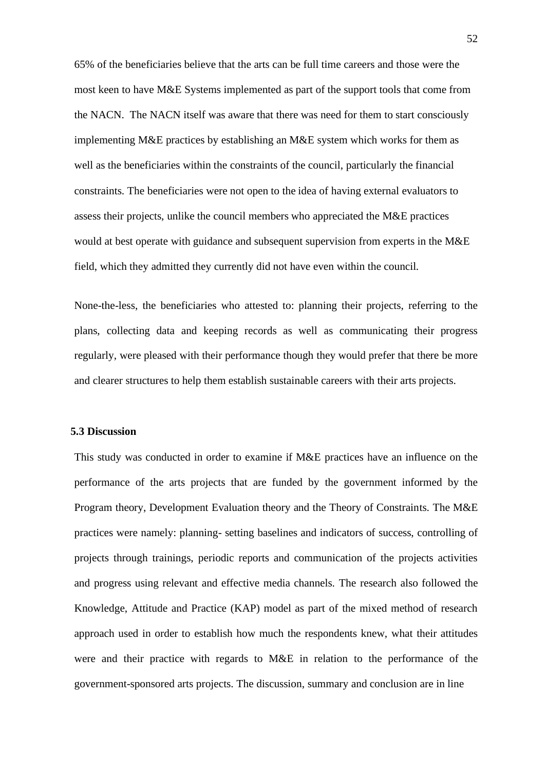65% of the beneficiaries believe that the arts can be full time careers and those were the most keen to have M&E Systems implemented as part of the support tools that come from the NACN. The NACN itself was aware that there was need for them to start consciously implementing M&E practices by establishing an M&E system which works for them as well as the beneficiaries within the constraints of the council, particularly the financial constraints. The beneficiaries were not open to the idea of having external evaluators to assess their projects, unlike the council members who appreciated the M&E practices would at best operate with guidance and subsequent supervision from experts in the M&E field, which they admitted they currently did not have even within the council.

None-the-less, the beneficiaries who attested to: planning their projects, referring to the plans, collecting data and keeping records as well as communicating their progress regularly, were pleased with their performance though they would prefer that there be more and clearer structures to help them establish sustainable careers with their arts projects.

#### **5.3 Discussion**

This study was conducted in order to examine if M&E practices have an influence on the performance of the arts projects that are funded by the government informed by the Program theory, Development Evaluation theory and the Theory of Constraints. The M&E practices were namely: planning- setting baselines and indicators of success, controlling of projects through trainings, periodic reports and communication of the projects activities and progress using relevant and effective media channels. The research also followed the Knowledge, Attitude and Practice (KAP) model as part of the mixed method of research approach used in order to establish how much the respondents knew, what their attitudes were and their practice with regards to M&E in relation to the performance of the government-sponsored arts projects. The discussion, summary and conclusion are in line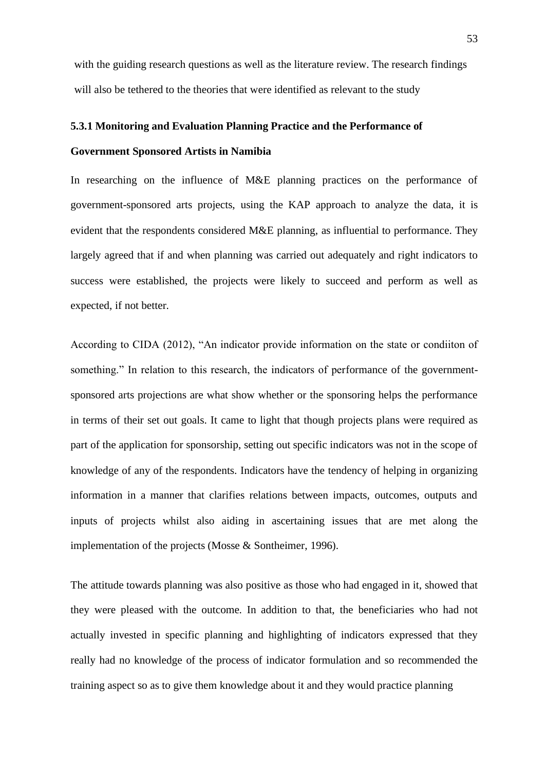with the guiding research questions as well as the literature review. The research findings will also be tethered to the theories that were identified as relevant to the study

## **5.3.1 Monitoring and Evaluation Planning Practice and the Performance of**

#### **Government Sponsored Artists in Namibia**

In researching on the influence of M&E planning practices on the performance of government-sponsored arts projects, using the KAP approach to analyze the data, it is evident that the respondents considered M&E planning, as influential to performance. They largely agreed that if and when planning was carried out adequately and right indicators to success were established, the projects were likely to succeed and perform as well as expected, if not better.

According to CIDA (2012), "An indicator provide information on the state or condiiton of something." In relation to this research, the indicators of performance of the governmentsponsored arts projections are what show whether or the sponsoring helps the performance in terms of their set out goals. It came to light that though projects plans were required as part of the application for sponsorship, setting out specific indicators was not in the scope of knowledge of any of the respondents. Indicators have the tendency of helping in organizing information in a manner that clarifies relations between impacts, outcomes, outputs and inputs of projects whilst also aiding in ascertaining issues that are met along the implementation of the projects (Mosse & Sontheimer, 1996).

The attitude towards planning was also positive as those who had engaged in it, showed that they were pleased with the outcome. In addition to that, the beneficiaries who had not actually invested in specific planning and highlighting of indicators expressed that they really had no knowledge of the process of indicator formulation and so recommended the training aspect so as to give them knowledge about it and they would practice planning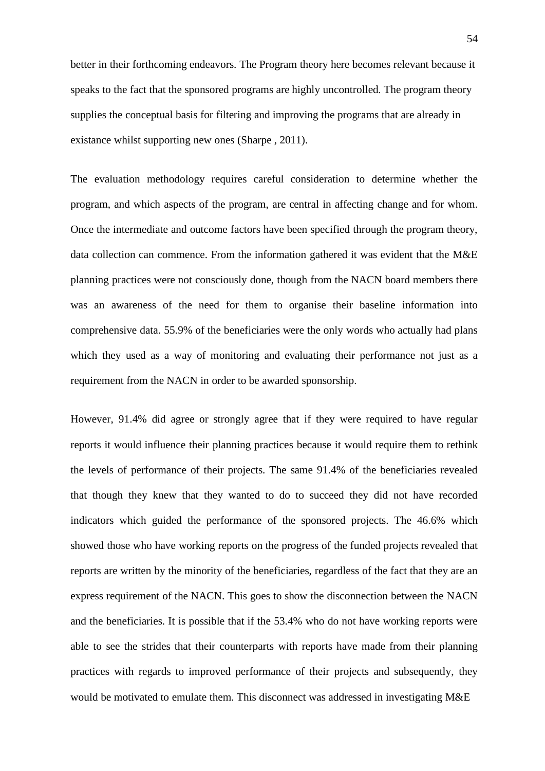better in their forthcoming endeavors. The Program theory here becomes relevant because it speaks to the fact that the sponsored programs are highly uncontrolled. The program theory supplies the conceptual basis for filtering and improving the programs that are already in existance whilst supporting new ones (Sharpe , 2011).

The evaluation methodology requires careful consideration to determine whether the program, and which aspects of the program, are central in affecting change and for whom. Once the intermediate and outcome factors have been specified through the program theory, data collection can commence. From the information gathered it was evident that the M&E planning practices were not consciously done, though from the NACN board members there was an awareness of the need for them to organise their baseline information into comprehensive data. 55.9% of the beneficiaries were the only words who actually had plans which they used as a way of monitoring and evaluating their performance not just as a requirement from the NACN in order to be awarded sponsorship.

However, 91.4% did agree or strongly agree that if they were required to have regular reports it would influence their planning practices because it would require them to rethink the levels of performance of their projects. The same 91.4% of the beneficiaries revealed that though they knew that they wanted to do to succeed they did not have recorded indicators which guided the performance of the sponsored projects. The 46.6% which showed those who have working reports on the progress of the funded projects revealed that reports are written by the minority of the beneficiaries, regardless of the fact that they are an express requirement of the NACN. This goes to show the disconnection between the NACN and the beneficiaries. It is possible that if the 53.4% who do not have working reports were able to see the strides that their counterparts with reports have made from their planning practices with regards to improved performance of their projects and subsequently, they would be motivated to emulate them. This disconnect was addressed in investigating M&E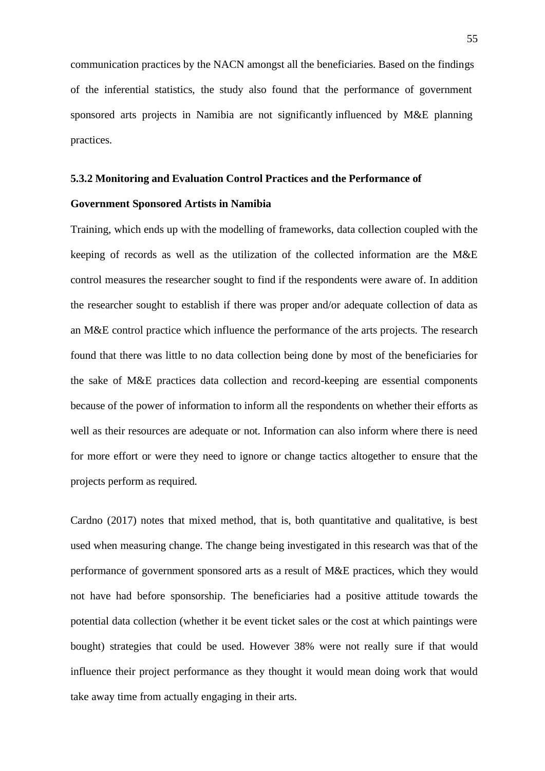communication practices by the NACN amongst all the beneficiaries. Based on the findings of the inferential statistics, the study also found that the performance of government sponsored arts projects in Namibia are not significantly influenced by M&E planning practices.

#### **5.3.2 Monitoring and Evaluation Control Practices and the Performance of**

#### **Government Sponsored Artists in Namibia**

Training, which ends up with the modelling of frameworks, data collection coupled with the keeping of records as well as the utilization of the collected information are the M&E control measures the researcher sought to find if the respondents were aware of. In addition the researcher sought to establish if there was proper and/or adequate collection of data as an M&E control practice which influence the performance of the arts projects. The research found that there was little to no data collection being done by most of the beneficiaries for the sake of M&E practices data collection and record-keeping are essential components because of the power of information to inform all the respondents on whether their efforts as well as their resources are adequate or not. Information can also inform where there is need for more effort or were they need to ignore or change tactics altogether to ensure that the projects perform as required.

Cardno (2017) notes that mixed method, that is, both quantitative and qualitative, is best used when measuring change. The change being investigated in this research was that of the performance of government sponsored arts as a result of M&E practices, which they would not have had before sponsorship. The beneficiaries had a positive attitude towards the potential data collection (whether it be event ticket sales or the cost at which paintings were bought) strategies that could be used. However 38% were not really sure if that would influence their project performance as they thought it would mean doing work that would take away time from actually engaging in their arts.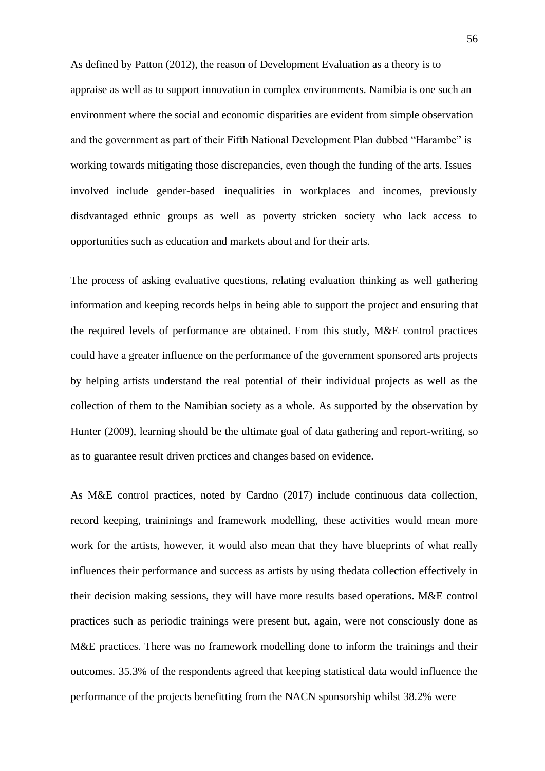As defined by Patton (2012), the reason of Development Evaluation as a theory is to appraise as well as to support innovation in complex environments. Namibia is one such an environment where the social and economic disparities are evident from simple observation and the government as part of their Fifth National Development Plan dubbed "Harambe" is working towards mitigating those discrepancies, even though the funding of the arts. Issues involved include gender-based inequalities in workplaces and incomes, previously disdvantaged ethnic groups as well as poverty stricken society who lack access to opportunities such as education and markets about and for their arts.

The process of asking evaluative questions, relating evaluation thinking as well gathering information and keeping records helps in being able to support the project and ensuring that the required levels of performance are obtained. From this study, M&E control practices could have a greater influence on the performance of the government sponsored arts projects by helping artists understand the real potential of their individual projects as well as the collection of them to the Namibian society as a whole. As supported by the observation by Hunter (2009), learning should be the ultimate goal of data gathering and report-writing, so as to guarantee result driven prctices and changes based on evidence.

As M&E control practices, noted by Cardno (2017) include continuous data collection, record keeping, traininings and framework modelling, these activities would mean more work for the artists, however, it would also mean that they have blueprints of what really influences their performance and success as artists by using thedata collection effectively in their decision making sessions, they will have more results based operations. M&E control practices such as periodic trainings were present but, again, were not consciously done as M&E practices. There was no framework modelling done to inform the trainings and their outcomes. 35.3% of the respondents agreed that keeping statistical data would influence the performance of the projects benefitting from the NACN sponsorship whilst 38.2% were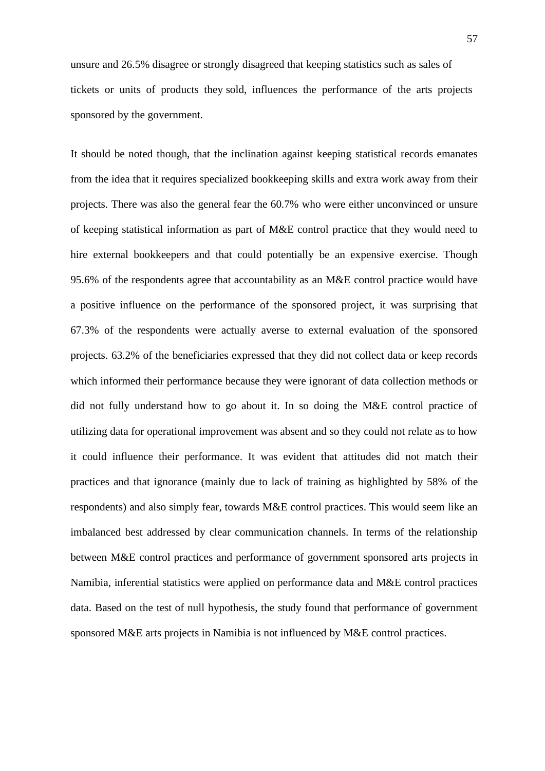unsure and 26.5% disagree or strongly disagreed that keeping statistics such as sales of tickets or units of products they sold, influences the performance of the arts projects sponsored by the government.

It should be noted though, that the inclination against keeping statistical records emanates from the idea that it requires specialized bookkeeping skills and extra work away from their projects. There was also the general fear the 60.7% who were either unconvinced or unsure of keeping statistical information as part of M&E control practice that they would need to hire external bookkeepers and that could potentially be an expensive exercise. Though 95.6% of the respondents agree that accountability as an M&E control practice would have a positive influence on the performance of the sponsored project, it was surprising that 67.3% of the respondents were actually averse to external evaluation of the sponsored projects. 63.2% of the beneficiaries expressed that they did not collect data or keep records which informed their performance because they were ignorant of data collection methods or did not fully understand how to go about it. In so doing the M&E control practice of utilizing data for operational improvement was absent and so they could not relate as to how it could influence their performance. It was evident that attitudes did not match their practices and that ignorance (mainly due to lack of training as highlighted by 58% of the respondents) and also simply fear, towards M&E control practices. This would seem like an imbalanced best addressed by clear communication channels. In terms of the relationship between M&E control practices and performance of government sponsored arts projects in Namibia, inferential statistics were applied on performance data and M&E control practices data. Based on the test of null hypothesis, the study found that performance of government sponsored M&E arts projects in Namibia is not influenced by M&E control practices.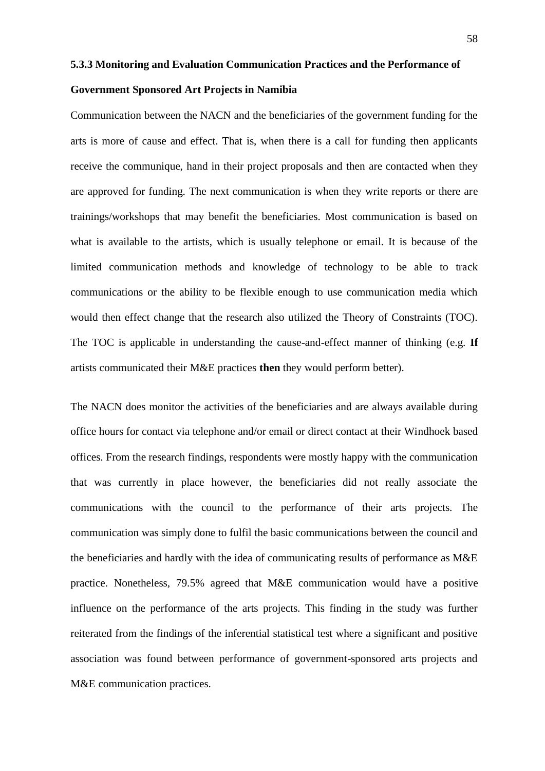## **5.3.3 Monitoring and Evaluation Communication Practices and the Performance of**

#### **Government Sponsored Art Projects in Namibia**

Communication between the NACN and the beneficiaries of the government funding for the arts is more of cause and effect. That is, when there is a call for funding then applicants receive the communique, hand in their project proposals and then are contacted when they are approved for funding. The next communication is when they write reports or there are trainings/workshops that may benefit the beneficiaries. Most communication is based on what is available to the artists, which is usually telephone or email. It is because of the limited communication methods and knowledge of technology to be able to track communications or the ability to be flexible enough to use communication media which would then effect change that the research also utilized the Theory of Constraints (TOC). The TOC is applicable in understanding the cause-and-effect manner of thinking (e.g. **If** artists communicated their M&E practices **then** they would perform better).

The NACN does monitor the activities of the beneficiaries and are always available during office hours for contact via telephone and/or email or direct contact at their Windhoek based offices. From the research findings, respondents were mostly happy with the communication that was currently in place however, the beneficiaries did not really associate the communications with the council to the performance of their arts projects. The communication was simply done to fulfil the basic communications between the council and the beneficiaries and hardly with the idea of communicating results of performance as M&E practice. Nonetheless, 79.5% agreed that M&E communication would have a positive influence on the performance of the arts projects. This finding in the study was further reiterated from the findings of the inferential statistical test where a significant and positive association was found between performance of government-sponsored arts projects and M&E communication practices.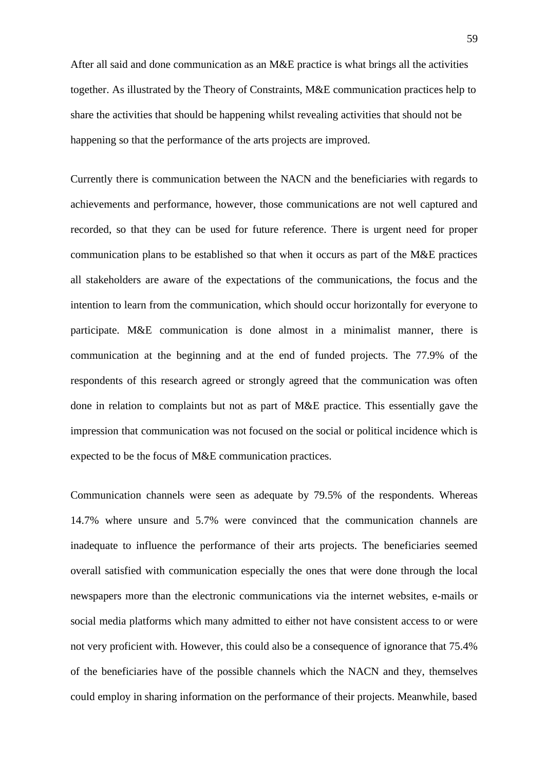After all said and done communication as an M&E practice is what brings all the activities together. As illustrated by the Theory of Constraints, M&E communication practices help to share the activities that should be happening whilst revealing activities that should not be happening so that the performance of the arts projects are improved.

Currently there is communication between the NACN and the beneficiaries with regards to achievements and performance, however, those communications are not well captured and recorded, so that they can be used for future reference. There is urgent need for proper communication plans to be established so that when it occurs as part of the M&E practices all stakeholders are aware of the expectations of the communications, the focus and the intention to learn from the communication, which should occur horizontally for everyone to participate. M&E communication is done almost in a minimalist manner, there is communication at the beginning and at the end of funded projects. The 77.9% of the respondents of this research agreed or strongly agreed that the communication was often done in relation to complaints but not as part of M&E practice. This essentially gave the impression that communication was not focused on the social or political incidence which is expected to be the focus of M&E communication practices.

Communication channels were seen as adequate by 79.5% of the respondents. Whereas 14.7% where unsure and 5.7% were convinced that the communication channels are inadequate to influence the performance of their arts projects. The beneficiaries seemed overall satisfied with communication especially the ones that were done through the local newspapers more than the electronic communications via the internet websites, e-mails or social media platforms which many admitted to either not have consistent access to or were not very proficient with. However, this could also be a consequence of ignorance that 75.4% of the beneficiaries have of the possible channels which the NACN and they, themselves could employ in sharing information on the performance of their projects. Meanwhile, based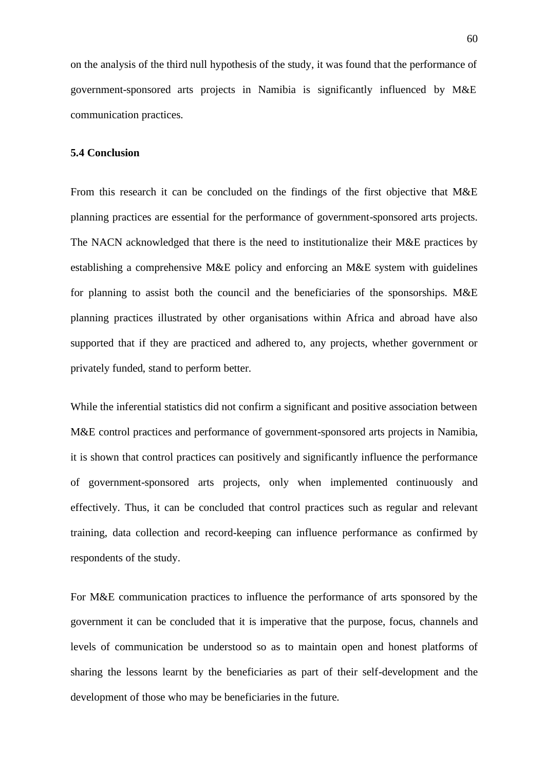on the analysis of the third null hypothesis of the study, it was found that the performance of government-sponsored arts projects in Namibia is significantly influenced by M&E communication practices.

### **5.4 Conclusion**

From this research it can be concluded on the findings of the first objective that M&E planning practices are essential for the performance of government-sponsored arts projects. The NACN acknowledged that there is the need to institutionalize their M&E practices by establishing a comprehensive M&E policy and enforcing an M&E system with guidelines for planning to assist both the council and the beneficiaries of the sponsorships. M&E planning practices illustrated by other organisations within Africa and abroad have also supported that if they are practiced and adhered to, any projects, whether government or privately funded, stand to perform better.

While the inferential statistics did not confirm a significant and positive association between M&E control practices and performance of government-sponsored arts projects in Namibia, it is shown that control practices can positively and significantly influence the performance of government-sponsored arts projects, only when implemented continuously and effectively. Thus, it can be concluded that control practices such as regular and relevant training, data collection and record-keeping can influence performance as confirmed by respondents of the study.

For M&E communication practices to influence the performance of arts sponsored by the government it can be concluded that it is imperative that the purpose, focus, channels and levels of communication be understood so as to maintain open and honest platforms of sharing the lessons learnt by the beneficiaries as part of their self-development and the development of those who may be beneficiaries in the future.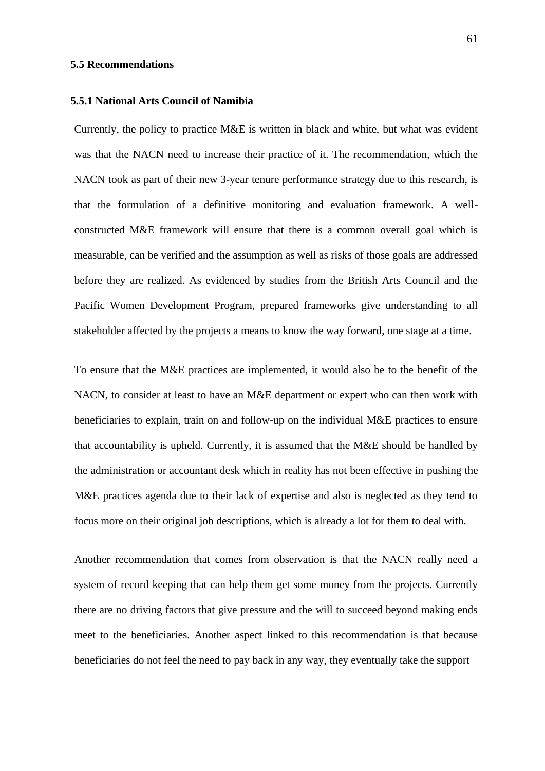## **5.5 Recommendations**

#### **5.5.1 National Arts Council of Namibia**

Currently, the policy to practice M&E is written in black and white, but what was evident was that the NACN need to increase their practice of it. The recommendation, which the NACN took as part of their new 3-year tenure performance strategy due to this research, is that the formulation of a definitive monitoring and evaluation framework. A wellconstructed M&E framework will ensure that there is a common overall goal which is measurable, can be verified and the assumption as well as risks of those goals are addressed before they are realized. As evidenced by studies from the British Arts Council and the Pacific Women Development Program, prepared frameworks give understanding to all stakeholder affected by the projects a means to know the way forward, one stage at a time.

To ensure that the M&E practices are implemented, it would also be to the benefit of the NACN, to consider at least to have an M&E department or expert who can then work with beneficiaries to explain, train on and follow-up on the individual M&E practices to ensure that accountability is upheld. Currently, it is assumed that the M&E should be handled by the administration or accountant desk which in reality has not been effective in pushing the M&E practices agenda due to their lack of expertise and also is neglected as they tend to focus more on their original job descriptions, which is already a lot for them to deal with.

Another recommendation that comes from observation is that the NACN really need a system of record keeping that can help them get some money from the projects. Currently there are no driving factors that give pressure and the will to succeed beyond making ends meet to the beneficiaries. Another aspect linked to this recommendation is that because beneficiaries do not feel the need to pay back in any way, they eventually take the support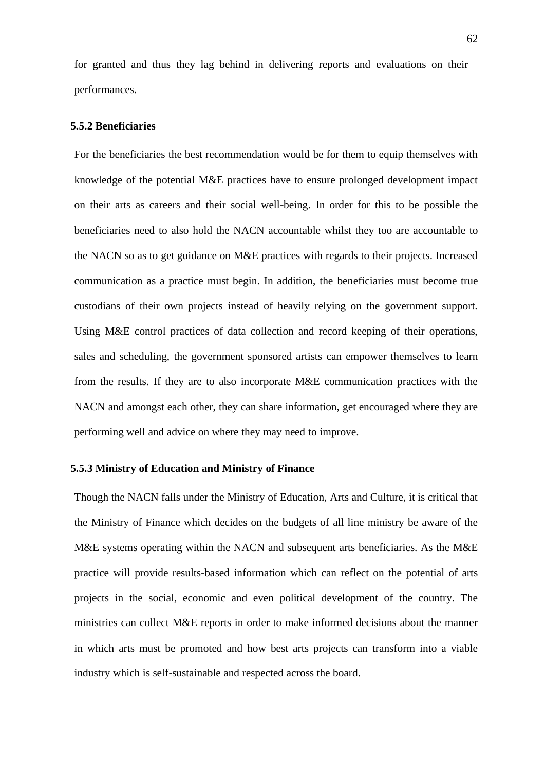for granted and thus they lag behind in delivering reports and evaluations on their performances.

## **5.5.2 Beneficiaries**

For the beneficiaries the best recommendation would be for them to equip themselves with knowledge of the potential M&E practices have to ensure prolonged development impact on their arts as careers and their social well-being. In order for this to be possible the beneficiaries need to also hold the NACN accountable whilst they too are accountable to the NACN so as to get guidance on M&E practices with regards to their projects. Increased communication as a practice must begin. In addition, the beneficiaries must become true custodians of their own projects instead of heavily relying on the government support. Using M&E control practices of data collection and record keeping of their operations, sales and scheduling, the government sponsored artists can empower themselves to learn from the results. If they are to also incorporate M&E communication practices with the NACN and amongst each other, they can share information, get encouraged where they are performing well and advice on where they may need to improve.

## **5.5.3 Ministry of Education and Ministry of Finance**

Though the NACN falls under the Ministry of Education, Arts and Culture, it is critical that the Ministry of Finance which decides on the budgets of all line ministry be aware of the M&E systems operating within the NACN and subsequent arts beneficiaries. As the M&E practice will provide results-based information which can reflect on the potential of arts projects in the social, economic and even political development of the country. The ministries can collect M&E reports in order to make informed decisions about the manner in which arts must be promoted and how best arts projects can transform into a viable industry which is self-sustainable and respected across the board.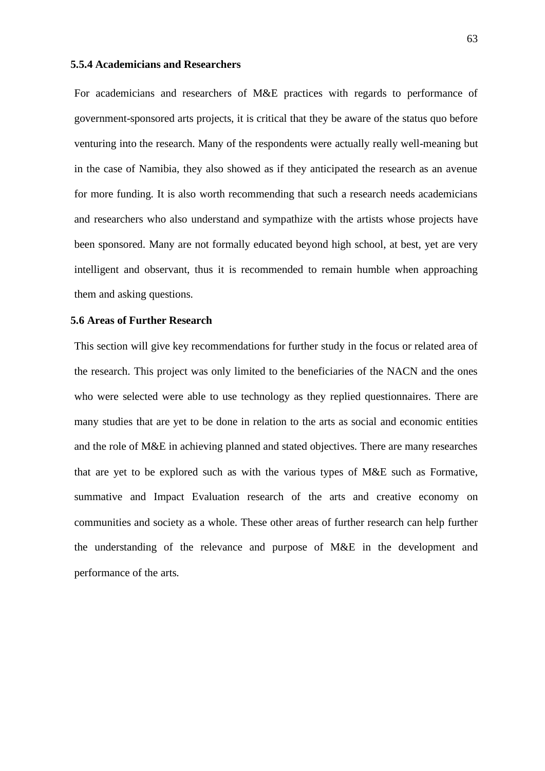#### **5.5.4 Academicians and Researchers**

For academicians and researchers of M&E practices with regards to performance of government-sponsored arts projects, it is critical that they be aware of the status quo before venturing into the research. Many of the respondents were actually really well-meaning but in the case of Namibia, they also showed as if they anticipated the research as an avenue for more funding. It is also worth recommending that such a research needs academicians and researchers who also understand and sympathize with the artists whose projects have been sponsored. Many are not formally educated beyond high school, at best, yet are very intelligent and observant, thus it is recommended to remain humble when approaching them and asking questions.

### **5.6 Areas of Further Research**

This section will give key recommendations for further study in the focus or related area of the research. This project was only limited to the beneficiaries of the NACN and the ones who were selected were able to use technology as they replied questionnaires. There are many studies that are yet to be done in relation to the arts as social and economic entities and the role of M&E in achieving planned and stated objectives. There are many researches that are yet to be explored such as with the various types of M&E such as Formative, summative and Impact Evaluation research of the arts and creative economy on communities and society as a whole. These other areas of further research can help further the understanding of the relevance and purpose of M&E in the development and performance of the arts.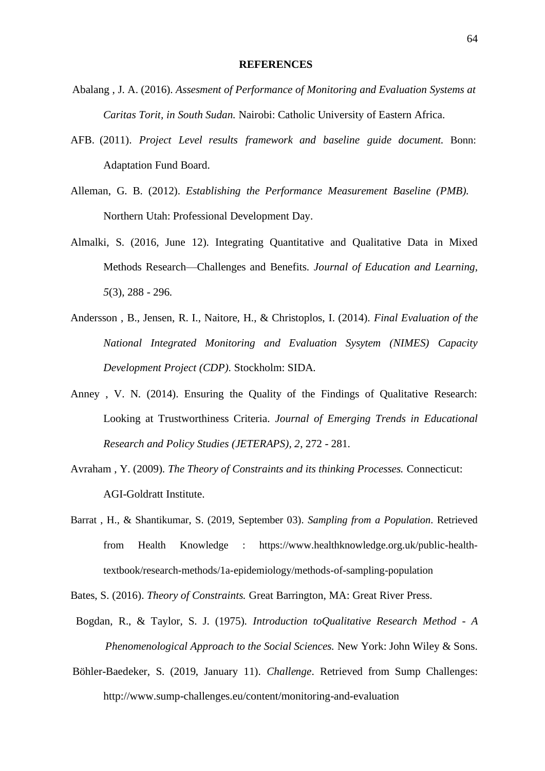- Abalang , J. A. (2016). *Assesment of Performance of Monitoring and Evaluation Systems at Caritas Torit, in South Sudan.* Nairobi: Catholic University of Eastern Africa.
- AFB. (2011). *Project Level results framework and baseline guide document.* Bonn: Adaptation Fund Board.
- Alleman, G. B. (2012). *Establishing the Performance Measurement Baseline (PMB).* Northern Utah: Professional Development Day.
- Almalki, S. (2016, June 12). Integrating Quantitative and Qualitative Data in Mixed Methods Research—Challenges and Benefits. *Journal of Education and Learning, 5*(3), 288 - 296.
- Andersson , B., Jensen, R. I., Naitore, H., & Christoplos, I. (2014). *Final Evaluation of the National Integrated Monitoring and Evaluation Sysytem (NIMES) Capacity Development Project (CDP).* Stockholm: SIDA.
- Anney , V. N. (2014). Ensuring the Quality of the Findings of Qualitative Research: Looking at Trustworthiness Criteria. *Journal of Emerging Trends in Educational Research and Policy Studies (JETERAPS), 2*, 272 - 281.
- Avraham , Y. (2009). *The Theory of Constraints and its thinking Processes.* Connecticut: AGI-Goldratt Institute.
- Barrat , H., & Shantikumar, S. (2019, September 03). *Sampling from a Population*. Retrieved from Health Knowledge : https://www.healthknowledge.org.uk/public-healthtextbook/research-methods/1a-epidemiology/methods-of-sampling-population

Bates, S. (2016). *Theory of Constraints.* Great Barrington, MA: Great River Press.

- Bogdan, R., & Taylor, S. J. (1975). *Introduction toQualitative Research Method A Phenomenological Approach to the Social Sciences.* New York: John Wiley & Sons.
- Böhler-Baedeker, S. (2019, January 11). *Challenge*. Retrieved from Sump Challenges: http://www.sump-challenges.eu/content/monitoring-and-evaluation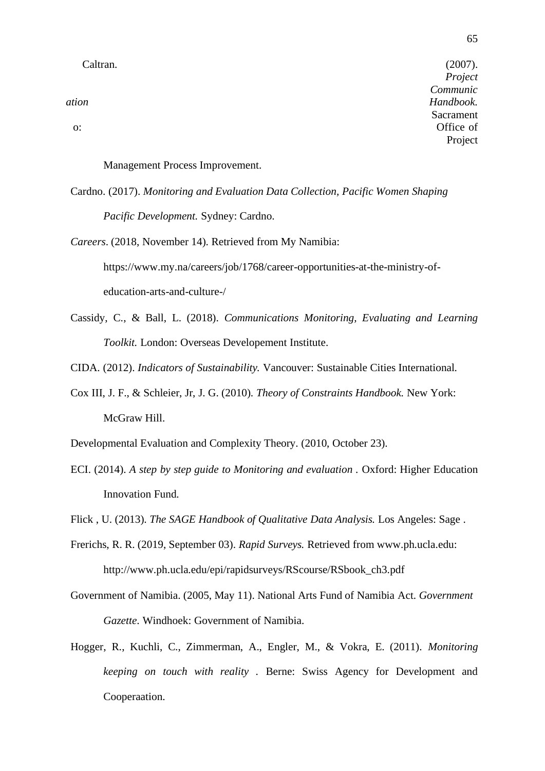*Project Communic ation Handbook.* Sacrament o: Office of Project

Management Process Improvement.

Cardno. (2017). *Monitoring and Evaluation Data Collection, Pacific Women Shaping Pacific Development.* Sydney: Cardno.

*Careers*. (2018, November 14). Retrieved from My Namibia: https://www.my.na/careers/job/1768/career-opportunities-at-the-ministry-ofeducation-arts-and-culture-/

Cassidy, C., & Ball, L. (2018). *Communications Monitoring, Evaluating and Learning Toolkit.* London: Overseas Developement Institute.

CIDA. (2012). *Indicators of Sustainability.* Vancouver: Sustainable Cities International.

Cox III, J. F., & Schleier, Jr, J. G. (2010). *Theory of Constraints Handbook.* New York: McGraw Hill.

Developmental Evaluation and Complexity Theory. (2010, October 23).

ECI. (2014). *A step by step guide to Monitoring and evaluation .* Oxford: Higher Education Innovation Fund.

Flick , U. (2013). *The SAGE Handbook of Qualitative Data Analysis.* Los Angeles: Sage .

- Frerichs, R. R. (2019, September 03). *Rapid Surveys.* Retrieved from www.ph.ucla.edu: http://www.ph.ucla.edu/epi/rapidsurveys/RScourse/RSbook\_ch3.pdf
- Government of Namibia. (2005, May 11). National Arts Fund of Namibia Act. *Government Gazette*. Windhoek: Government of Namibia.
- Hogger, R., Kuchli, C., Zimmerman, A., Engler, M., & Vokra, E. (2011). *Monitoring keeping on touch with reality .* Berne: Swiss Agency for Development and Cooperaation.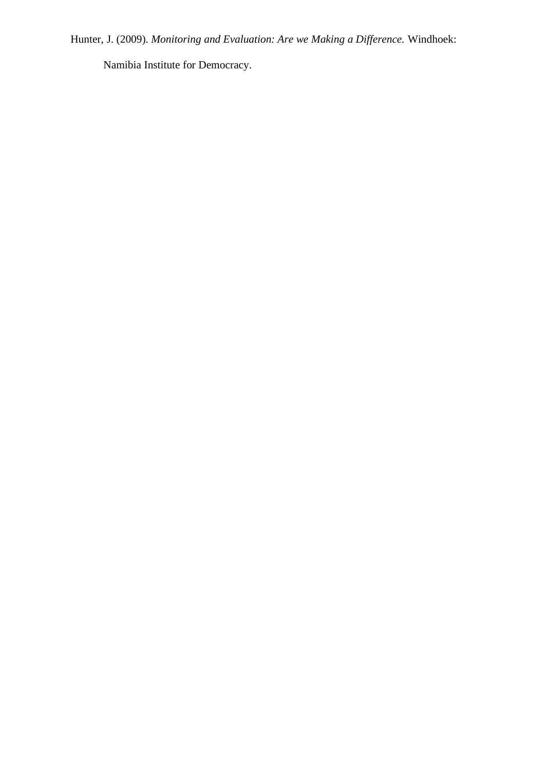Hunter, J. (2009). *Monitoring and Evaluation: Are we Making a Difference.* Windhoek:

Namibia Institute for Democracy.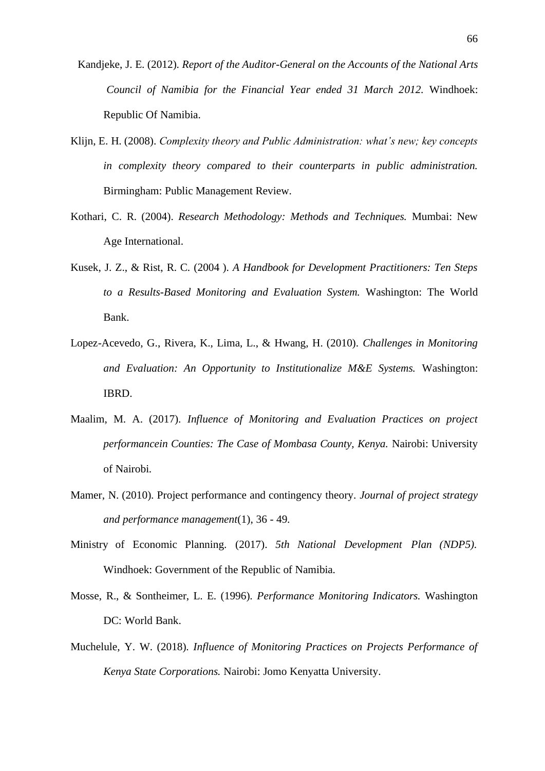- Kandjeke, J. E. (2012). *Report of the Auditor-General on the Accounts of the National Arts Council of Namibia for the Financial Year ended 31 March 2012.* Windhoek: Republic Of Namibia.
- Klijn, E. H. (2008). *Complexity theory and Public Administration: what's new; key concepts in complexity theory compared to their counterparts in public administration.*  Birmingham: Public Management Review.
- Kothari, C. R. (2004). *Research Methodology: Methods and Techniques.* Mumbai: New Age International.
- Kusek, J. Z., & Rist, R. C. (2004 ). *A Handbook for Development Practitioners: Ten Steps to a Results-Based Monitoring and Evaluation System.* Washington: The World Bank.
- Lopez-Acevedo, G., Rivera, K., Lima, L., & Hwang, H. (2010). *Challenges in Monitoring and Evaluation: An Opportunity to Institutionalize M&E Systems.* Washington: IBRD.
- Maalim, M. A. (2017). *Influence of Monitoring and Evaluation Practices on project performancein Counties: The Case of Mombasa County, Kenya.* Nairobi: University of Nairobi.
- Mamer, N. (2010). Project performance and contingency theory. *Journal of project strategy and performance management*(1), 36 - 49.
- Ministry of Economic Planning. (2017). *5th National Development Plan (NDP5).* Windhoek: Government of the Republic of Namibia.
- Mosse, R., & Sontheimer, L. E. (1996). *Performance Monitoring Indicators.* Washington DC: World Bank.
- Muchelule, Y. W. (2018). *Influence of Monitoring Practices on Projects Performance of Kenya State Corporations.* Nairobi: Jomo Kenyatta University.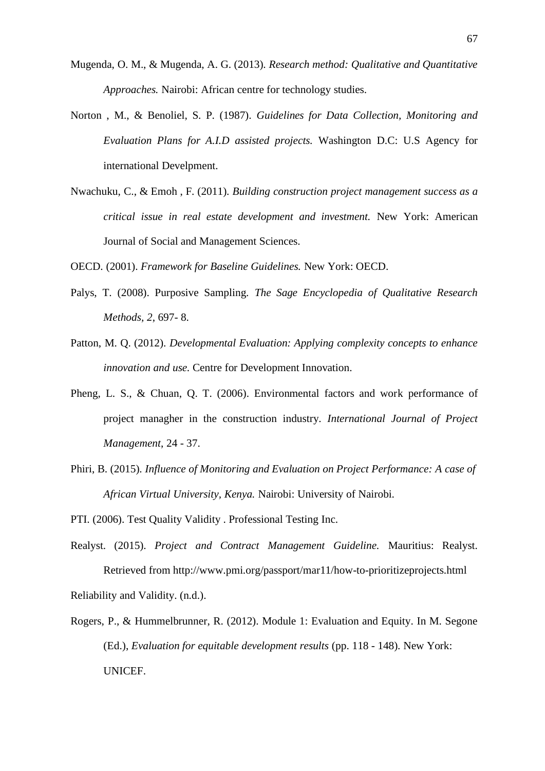- Mugenda, O. M., & Mugenda, A. G. (2013). *Research method: Qualitative and Quantitative Approaches.* Nairobi: African centre for technology studies.
- Norton , M., & Benoliel, S. P. (1987). *Guidelines for Data Collection, Monitoring and Evaluation Plans for A.I.D assisted projects.* Washington D.C: U.S Agency for international Develpment.
- Nwachuku, C., & Emoh , F. (2011). *Building construction project management success as a critical issue in real estate development and investment.* New York: American Journal of Social and Management Sciences.
- OECD. (2001). *Framework for Baseline Guidelines.* New York: OECD.
- Palys, T. (2008). Purposive Sampling. *The Sage Encyclopedia of Qualitative Research Methods, 2*, 697- 8.
- Patton, M. Q. (2012). *Developmental Evaluation: Applying complexity concepts to enhance innovation and use.* Centre for Development Innovation.
- Pheng, L. S., & Chuan, Q. T. (2006). Environmental factors and work performance of project managher in the construction industry. *International Journal of Project Management*, 24 - 37.
- Phiri, B. (2015). *Influence of Monitoring and Evaluation on Project Performance: A case of African Virtual University, Kenya.* Nairobi: University of Nairobi.
- PTI. (2006). Test Quality Validity . Professional Testing Inc.
- Realyst. (2015). *Project and Contract Management Guideline.* Mauritius: Realyst. Retrieved from http://www.pmi.org/passport/mar11/how-to-prioritizeprojects.html Reliability and Validity. (n.d.).
- Rogers, P., & Hummelbrunner, R. (2012). Module 1: Evaluation and Equity. In M. Segone (Ed.), *Evaluation for equitable development results* (pp. 118 - 148). New York: UNICEF.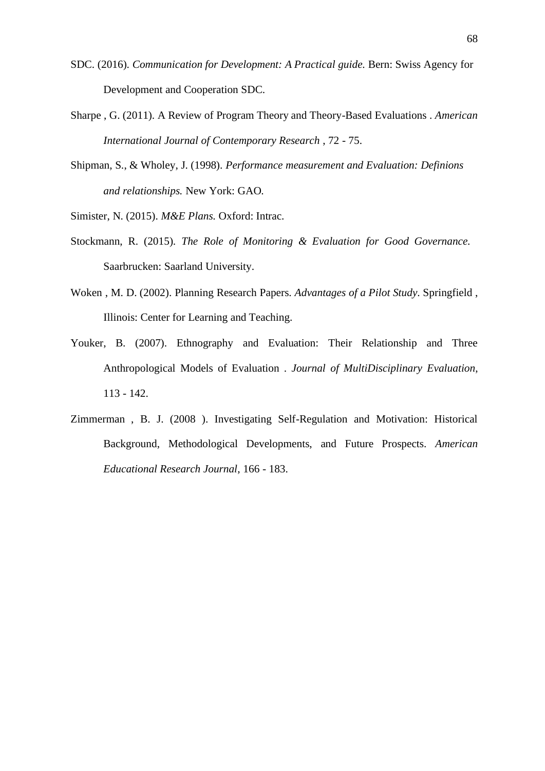- SDC. (2016). *Communication for Development: A Practical guide.* Bern: Swiss Agency for Development and Cooperation SDC.
- Sharpe , G. (2011). A Review of Program Theory and Theory-Based Evaluations . *American International Journal of Contemporary Research* , 72 - 75.
- Shipman, S., & Wholey, J. (1998). *Performance measurement and Evaluation: Definions and relationships.* New York: GAO.

Simister, N. (2015). *M&E Plans.* Oxford: Intrac.

- Stockmann, R. (2015). *The Role of Monitoring & Evaluation for Good Governance.* Saarbrucken: Saarland University.
- Woken , M. D. (2002). Planning Research Papers. *Advantages of a Pilot Study*. Springfield , Illinois: Center for Learning and Teaching.
- Youker, B. (2007). Ethnography and Evaluation: Their Relationship and Three Anthropological Models of Evaluation . *Journal of MultiDisciplinary Evaluation*, 113 - 142.
- Zimmerman , B. J. (2008 ). Investigating Self-Regulation and Motivation: Historical Background, Methodological Developments, and Future Prospects. *American Educational Research Journal*, 166 - 183.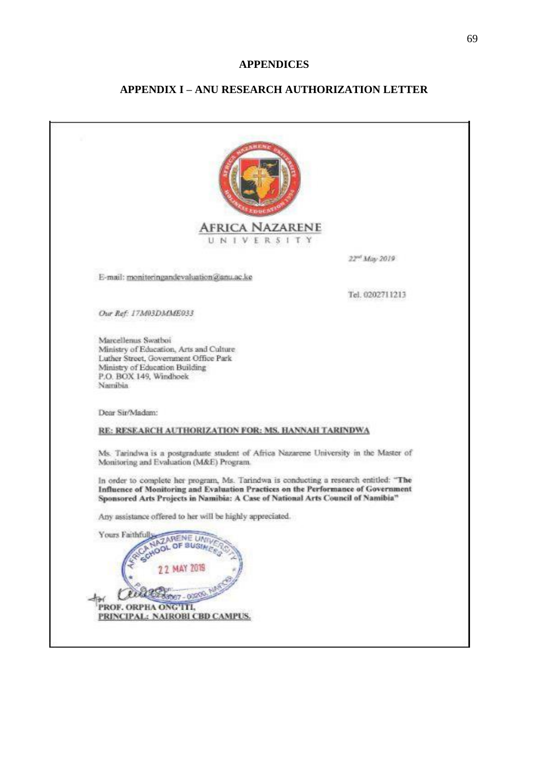## **APPENDICES**

# **APPENDIX I – ANU RESEARCH AUTHORIZATION LETTER**

| <b>AFRICA NAZARENE</b><br>UNIVERSITY                                                                                                                                                                                                                           |                           |
|----------------------------------------------------------------------------------------------------------------------------------------------------------------------------------------------------------------------------------------------------------------|---------------------------|
|                                                                                                                                                                                                                                                                | 22 <sup>nd</sup> May 2019 |
| E-mail: monitoringandevaluation@anu.ac.ke                                                                                                                                                                                                                      |                           |
|                                                                                                                                                                                                                                                                | Tel. 0202711213           |
| Our Ref: 17M03DMME033                                                                                                                                                                                                                                          |                           |
| Marcellenus Swatboi<br>Ministry of Education, Arts and Culture<br>Luther Street, Government Office Park<br>Ministry of Education Building<br>P.O. BOX 149, Windhoek<br>Namibia                                                                                 |                           |
| Dear Sir/Madam:                                                                                                                                                                                                                                                |                           |
| RE: RESEARCH AUTHORIZATION FOR: MS. HANNAH TARINDWA                                                                                                                                                                                                            |                           |
| Ms. Tarindwa is a postgraduate student of Africa Nazarene University in the Master of<br>Monitoring and Evaluation (M&E) Program.                                                                                                                              |                           |
| In order to complete her program, Ms. Tarindwa is conducting a research entitled: "The<br>Influence of Monitoring and Evaluation Practices on the Performance of Government<br>Sponsored Arts Projects in Namibia: A Case of National Arts Council of Namibia" |                           |
| Any assistance offered to her will be highly appreciated.                                                                                                                                                                                                      |                           |
| Yours Faithfull<br>22 MAY 2019<br>PROF. ORPHA ONG'ITI.<br>PRINCIPAL: NAIROBI CBD CAMPUS.                                                                                                                                                                       |                           |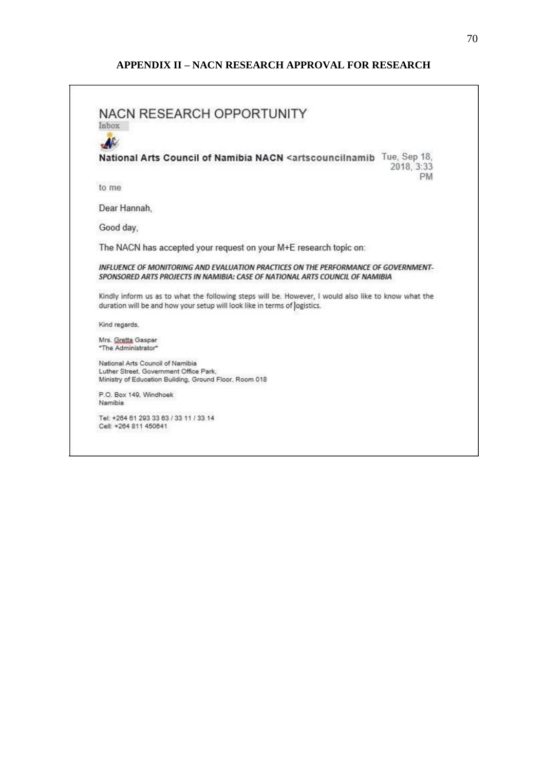# **APPENDIX II – NACN RESEARCH APPROVAL FOR RESEARCH**

| <b>NACN RESEARCH OPPORTUNITY</b>                                                                 |                                                                                                                                                                    |
|--------------------------------------------------------------------------------------------------|--------------------------------------------------------------------------------------------------------------------------------------------------------------------|
| Inbox                                                                                            |                                                                                                                                                                    |
| AC                                                                                               |                                                                                                                                                                    |
|                                                                                                  | National Arts Council of Namibia NACN <artscouncilnamib 18,<="" sep="" td="" tue,=""></artscouncilnamib>                                                           |
|                                                                                                  | 2018, 3:33<br><b>PM</b>                                                                                                                                            |
| to me                                                                                            |                                                                                                                                                                    |
| Dear Hannah,                                                                                     |                                                                                                                                                                    |
| Good day,                                                                                        |                                                                                                                                                                    |
|                                                                                                  | The NACN has accepted your request on your M+E research topic on:                                                                                                  |
|                                                                                                  |                                                                                                                                                                    |
|                                                                                                  | INFLUENCE OF MONITORING AND EVALUATION PRACTICES ON THE PERFORMANCE OF GOVERNMENT-<br>SPONSORED ARTS PROJECTS IN NAMIBIA: CASE OF NATIONAL ARTS COUNCIL OF NAMIBIA |
|                                                                                                  | Kindly inform us as to what the following steps will be. However, I would also like to know what the                                                               |
| duration will be and how your setup will look like in terms of logistics.                        |                                                                                                                                                                    |
| Kind regards.                                                                                    |                                                                                                                                                                    |
| Mrs. Gretta Gaspar                                                                               |                                                                                                                                                                    |
| *The Administrator*                                                                              |                                                                                                                                                                    |
| National Arts Council of Namibia                                                                 |                                                                                                                                                                    |
| Luther Street, Government Office Park,<br>Ministry of Education Building, Ground Floor, Room 018 |                                                                                                                                                                    |
| P.O. Box 149, Windhoek                                                                           |                                                                                                                                                                    |
| Namibia                                                                                          |                                                                                                                                                                    |

<u> 1989 - Johann Stoff, deutscher Stoff, der Stoff, der Stoff, der Stoff, der Stoff, der Stoff, der Stoff, der S</u>

 $\sim$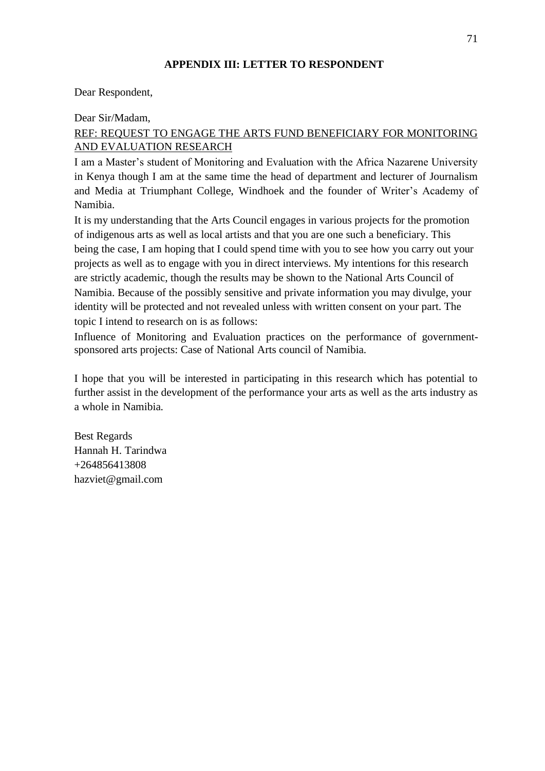## **APPENDIX III: LETTER TO RESPONDENT**

Dear Respondent,

Dear Sir/Madam,

# REF: REQUEST TO ENGAGE THE ARTS FUND BENEFICIARY FOR MONITORING AND EVALUATION RESEARCH

I am a Master's student of Monitoring and Evaluation with the Africa Nazarene University in Kenya though I am at the same time the head of department and lecturer of Journalism and Media at Triumphant College, Windhoek and the founder of Writer's Academy of Namibia.

It is my understanding that the Arts Council engages in various projects for the promotion of indigenous arts as well as local artists and that you are one such a beneficiary. This being the case, I am hoping that I could spend time with you to see how you carry out your projects as well as to engage with you in direct interviews. My intentions for this research are strictly academic, though the results may be shown to the National Arts Council of Namibia. Because of the possibly sensitive and private information you may divulge, your identity will be protected and not revealed unless with written consent on your part. The topic I intend to research on is as follows:

Influence of Monitoring and Evaluation practices on the performance of governmentsponsored arts projects: Case of National Arts council of Namibia.

I hope that you will be interested in participating in this research which has potential to further assist in the development of the performance your arts as well as the arts industry as a whole in Namibia.

Best Regards Hannah H. Tarindwa +264856413808 hazviet@gmail.com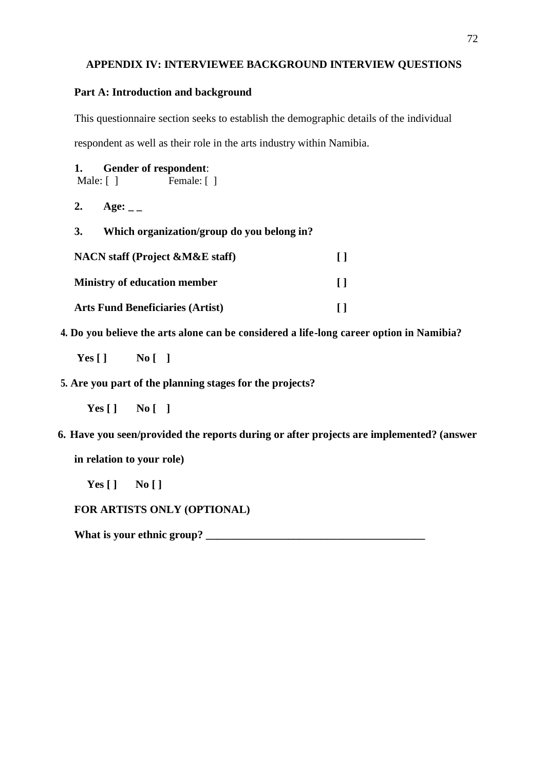## **APPENDIX IV: INTERVIEWEE BACKGROUND INTERVIEW QUESTIONS**

## **Part A: Introduction and background**

This questionnaire section seeks to establish the demographic details of the individual respondent as well as their role in the arts industry within Namibia.

| 1. |  | <b>Gender of respondent:</b> |  |
|----|--|------------------------------|--|
|----|--|------------------------------|--|

Male: [ ] Female: [ ]

- **2. Age: \_ \_**
- **3. Which organization/group do you belong in?**

| <b>NACN</b> staff (Project &M&E staff)  | $\perp$ |
|-----------------------------------------|---------|
| <b>Ministry of education member</b>     | $\perp$ |
| <b>Arts Fund Beneficiaries (Artist)</b> |         |

**4. Do you believe the arts alone can be considered a life-long career option in Namibia?**

**Yes [ ] No [ ]**

**5. Are you part of the planning stages for the projects?**

**Yes [ ] No [ ]**

**6. Have you seen/provided the reports during or after projects are implemented? (answer in relation to your role)**

**Yes [ ] No [ ]**

# **FOR ARTISTS ONLY (OPTIONAL)**

**What is your ethnic group? \_\_\_\_\_\_\_\_\_\_\_\_\_\_\_\_\_\_\_\_\_\_\_\_\_\_\_\_\_\_\_\_\_\_\_\_\_\_\_\_**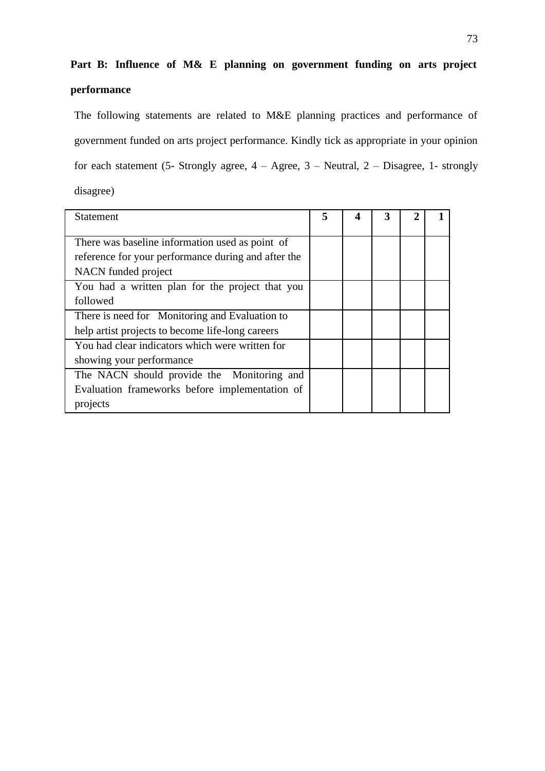# **Part B: Influence of M& E planning on government funding on arts project performance**

The following statements are related to M&E planning practices and performance of government funded on arts project performance. Kindly tick as appropriate in your opinion for each statement (5- Strongly agree,  $4 - \text{Agree}$ ,  $3 - \text{Neutral}$ ,  $2 - \text{Disagree}$ , 1- strongly disagree)

| Statement                                                                                              | 5 | 4 | 3 |  |
|--------------------------------------------------------------------------------------------------------|---|---|---|--|
| There was baseline information used as point of<br>reference for your performance during and after the |   |   |   |  |
| NACN funded project                                                                                    |   |   |   |  |
| You had a written plan for the project that you                                                        |   |   |   |  |
| followed                                                                                               |   |   |   |  |
| There is need for Monitoring and Evaluation to                                                         |   |   |   |  |
| help artist projects to become life-long careers                                                       |   |   |   |  |
| You had clear indicators which were written for                                                        |   |   |   |  |
| showing your performance                                                                               |   |   |   |  |
| The NACN should provide the Monitoring and                                                             |   |   |   |  |
| Evaluation frameworks before implementation of                                                         |   |   |   |  |
| projects                                                                                               |   |   |   |  |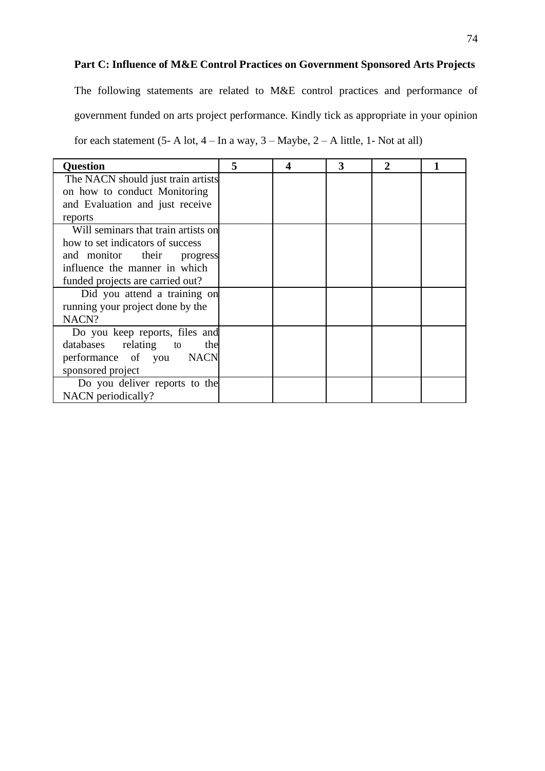## **Part C: Influence of M&E Control Practices on Government Sponsored Arts Projects**

The following statements are related to M&E control practices and performance of government funded on arts project performance. Kindly tick as appropriate in your opinion for each statement  $(5-A \text{ lot}, 4-In a way, 3-Maybe, 2-A little, 1-Not at all)$ 

| <b>Question</b>                     | 5 | 4 | 3 | 2 |  |
|-------------------------------------|---|---|---|---|--|
| The NACN should just train artists  |   |   |   |   |  |
| on how to conduct Monitoring        |   |   |   |   |  |
| and Evaluation and just receive     |   |   |   |   |  |
| reports                             |   |   |   |   |  |
| Will seminars that train artists on |   |   |   |   |  |
| how to set indicators of success    |   |   |   |   |  |
| and monitor their<br>progress       |   |   |   |   |  |
| influence the manner in which       |   |   |   |   |  |
| funded projects are carried out?    |   |   |   |   |  |
| Did you attend a training on        |   |   |   |   |  |
| running your project done by the    |   |   |   |   |  |
| NACN?                               |   |   |   |   |  |
| Do you keep reports, files and      |   |   |   |   |  |
| databases relating to<br>the        |   |   |   |   |  |
| performance of you NACN             |   |   |   |   |  |
| sponsored project                   |   |   |   |   |  |
| Do you deliver reports to the       |   |   |   |   |  |
| NACN periodically?                  |   |   |   |   |  |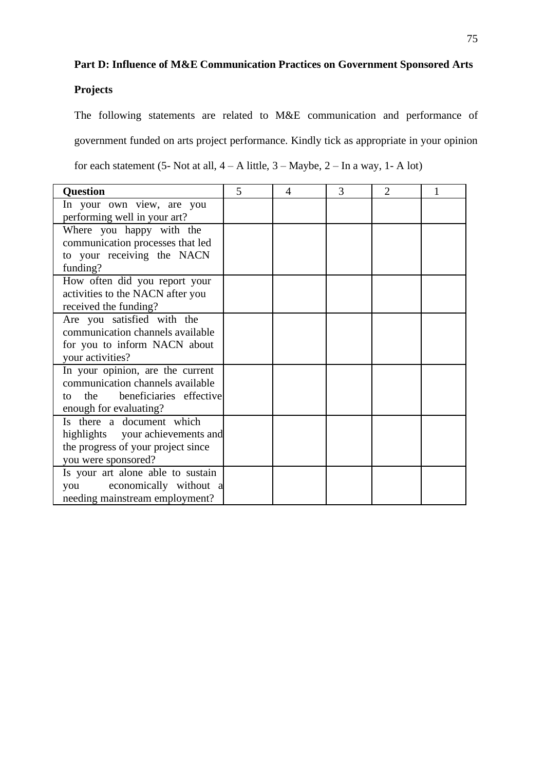# **Part D: Influence of M&E Communication Practices on Government Sponsored Arts**

# **Projects**

The following statements are related to M&E communication and performance of government funded on arts project performance. Kindly tick as appropriate in your opinion for each statement (5- Not at all,  $4 - A$  little,  $3 -$ Maybe,  $2 -$ In a way, 1- A lot)

| <b>Question</b>                      | 5 | 4 | 3 | $\overline{2}$ |  |
|--------------------------------------|---|---|---|----------------|--|
| In your own view, are you            |   |   |   |                |  |
| performing well in your art?         |   |   |   |                |  |
| Where you happy with the             |   |   |   |                |  |
| communication processes that led     |   |   |   |                |  |
| to your receiving the NACN           |   |   |   |                |  |
| funding?                             |   |   |   |                |  |
| How often did you report your        |   |   |   |                |  |
| activities to the NACN after you     |   |   |   |                |  |
| received the funding?                |   |   |   |                |  |
| Are you satisfied with the           |   |   |   |                |  |
| communication channels available     |   |   |   |                |  |
| for you to inform NACN about         |   |   |   |                |  |
| your activities?                     |   |   |   |                |  |
| In your opinion, are the current     |   |   |   |                |  |
| communication channels available     |   |   |   |                |  |
| beneficiaries effective<br>the<br>to |   |   |   |                |  |
| enough for evaluating?               |   |   |   |                |  |
| Is there a document which            |   |   |   |                |  |
| highlights your achievements and     |   |   |   |                |  |
| the progress of your project since   |   |   |   |                |  |
| you were sponsored?                  |   |   |   |                |  |
| Is your art alone able to sustain    |   |   |   |                |  |
| economically without a<br>you        |   |   |   |                |  |
| needing mainstream employment?       |   |   |   |                |  |